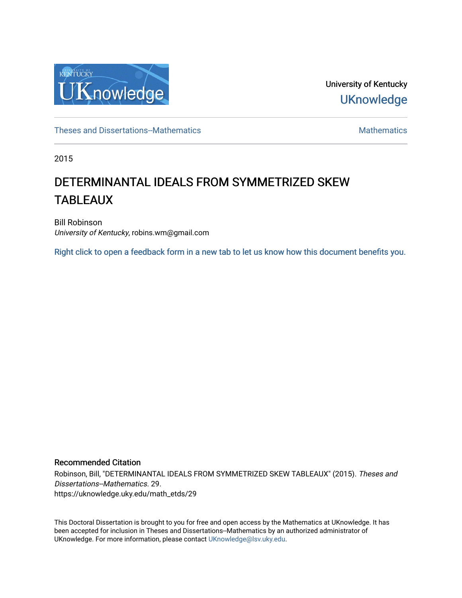

University of Kentucky **UKnowledge** 

[Theses and Dissertations--Mathematics](https://uknowledge.uky.edu/math_etds) **Mathematics** [Mathematics](https://uknowledge.uky.edu/math) Mathematics Mathematics

2015

# DETERMINANTAL IDEALS FROM SYMMETRIZED SKEW TABLEAUX

Bill Robinson University of Kentucky, robins.wm@gmail.com

[Right click to open a feedback form in a new tab to let us know how this document benefits you.](https://uky.az1.qualtrics.com/jfe/form/SV_9mq8fx2GnONRfz7)

## Recommended Citation

Robinson, Bill, "DETERMINANTAL IDEALS FROM SYMMETRIZED SKEW TABLEAUX" (2015). Theses and Dissertations--Mathematics. 29. https://uknowledge.uky.edu/math\_etds/29

This Doctoral Dissertation is brought to you for free and open access by the Mathematics at UKnowledge. It has been accepted for inclusion in Theses and Dissertations--Mathematics by an authorized administrator of UKnowledge. For more information, please contact [UKnowledge@lsv.uky.edu](mailto:UKnowledge@lsv.uky.edu).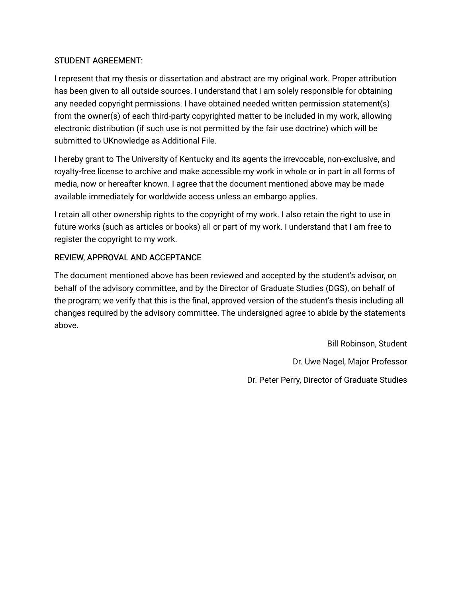## STUDENT AGREEMENT:

I represent that my thesis or dissertation and abstract are my original work. Proper attribution has been given to all outside sources. I understand that I am solely responsible for obtaining any needed copyright permissions. I have obtained needed written permission statement(s) from the owner(s) of each third-party copyrighted matter to be included in my work, allowing electronic distribution (if such use is not permitted by the fair use doctrine) which will be submitted to UKnowledge as Additional File.

I hereby grant to The University of Kentucky and its agents the irrevocable, non-exclusive, and royalty-free license to archive and make accessible my work in whole or in part in all forms of media, now or hereafter known. I agree that the document mentioned above may be made available immediately for worldwide access unless an embargo applies.

I retain all other ownership rights to the copyright of my work. I also retain the right to use in future works (such as articles or books) all or part of my work. I understand that I am free to register the copyright to my work.

## REVIEW, APPROVAL AND ACCEPTANCE

The document mentioned above has been reviewed and accepted by the student's advisor, on behalf of the advisory committee, and by the Director of Graduate Studies (DGS), on behalf of the program; we verify that this is the final, approved version of the student's thesis including all changes required by the advisory committee. The undersigned agree to abide by the statements above.

> Bill Robinson, Student Dr. Uwe Nagel, Major Professor Dr. Peter Perry, Director of Graduate Studies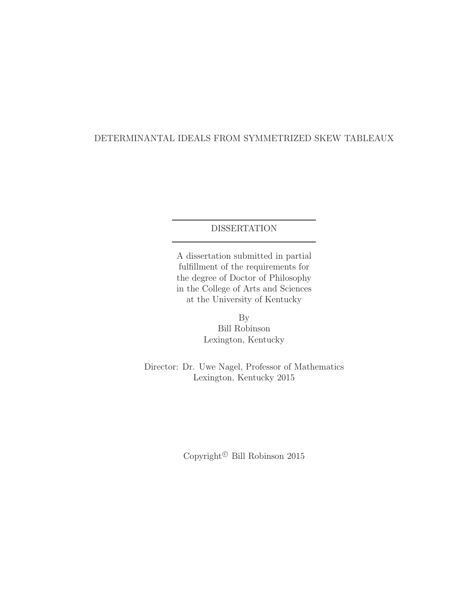## DETERMINANTAL IDEALS FROM SYMMETRIZED SKEW TABLEAUX

## DISSERTATION

A dissertation submitted in partial fulfillment of the requirements for the degree of Doctor of Philosophy in the College of Arts and Sciences at the University of Kentucky

> By Bill Robinson Lexington, Kentucky

Director: Dr. Uwe Nagel, Professor of Mathematics Lexington, Kentucky 2015

Copyright<sup>©</sup> Bill Robinson 2015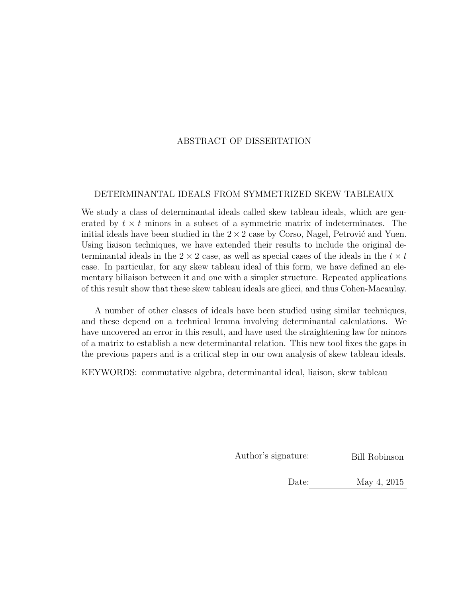## ABSTRACT OF DISSERTATION

## DETERMINANTAL IDEALS FROM SYMMETRIZED SKEW TABLEAUX

We study a class of determinantal ideals called skew tableau ideals, which are generated by  $t \times t$  minors in a subset of a symmetric matrix of indeterminates. The initial ideals have been studied in the  $2 \times 2$  case by Corso, Nagel, Petrović and Yuen. Using liaison techniques, we have extended their results to include the original determinantal ideals in the  $2 \times 2$  case, as well as special cases of the ideals in the  $t \times t$ case. In particular, for any skew tableau ideal of this form, we have defined an elementary biliaison between it and one with a simpler structure. Repeated applications of this result show that these skew tableau ideals are glicci, and thus Cohen-Macaulay.

A number of other classes of ideals have been studied using similar techniques, and these depend on a technical lemma involving determinantal calculations. We have uncovered an error in this result, and have used the straightening law for minors of a matrix to establish a new determinantal relation. This new tool fixes the gaps in the previous papers and is a critical step in our own analysis of skew tableau ideals.

KEYWORDS: commutative algebra, determinantal ideal, liaison, skew tableau

Author's signature: Bill Robinson

Date: May 4, 2015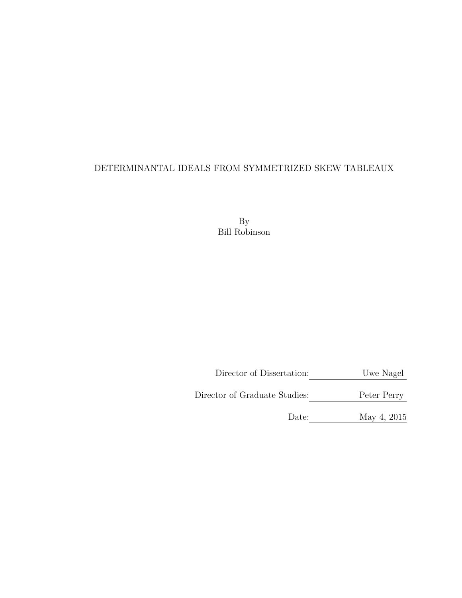# DETERMINANTAL IDEALS FROM SYMMETRIZED SKEW TABLEAUX

By Bill Robinson

Director of Dissertation: Uwe Nagel

Director of Graduate Studies: Peter Perry

Date: May 4, 2015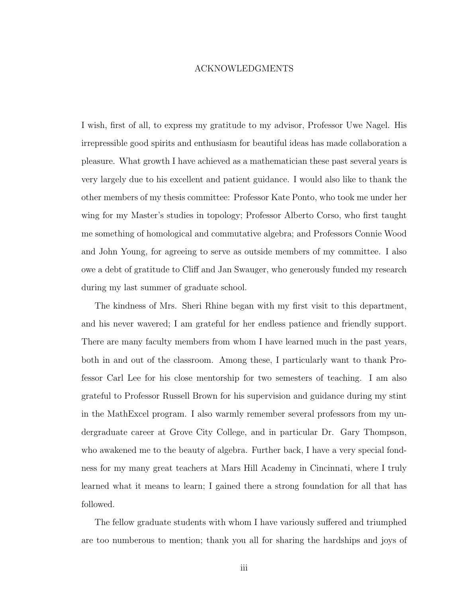#### ACKNOWLEDGMENTS

<span id="page-5-0"></span>I wish, first of all, to express my gratitude to my advisor, Professor Uwe Nagel. His irrepressible good spirits and enthusiasm for beautiful ideas has made collaboration a pleasure. What growth I have achieved as a mathematician these past several years is very largely due to his excellent and patient guidance. I would also like to thank the other members of my thesis committee: Professor Kate Ponto, who took me under her wing for my Master's studies in topology; Professor Alberto Corso, who first taught me something of homological and commutative algebra; and Professors Connie Wood and John Young, for agreeing to serve as outside members of my committee. I also owe a debt of gratitude to Cliff and Jan Swauger, who generously funded my research during my last summer of graduate school.

The kindness of Mrs. Sheri Rhine began with my first visit to this department, and his never wavered; I am grateful for her endless patience and friendly support. There are many faculty members from whom I have learned much in the past years, both in and out of the classroom. Among these, I particularly want to thank Professor Carl Lee for his close mentorship for two semesters of teaching. I am also grateful to Professor Russell Brown for his supervision and guidance during my stint in the MathExcel program. I also warmly remember several professors from my undergraduate career at Grove City College, and in particular Dr. Gary Thompson, who awakened me to the beauty of algebra. Further back, I have a very special fondness for my many great teachers at Mars Hill Academy in Cincinnati, where I truly learned what it means to learn; I gained there a strong foundation for all that has followed.

The fellow graduate students with whom I have variously suffered and triumphed are too numberous to mention; thank you all for sharing the hardships and joys of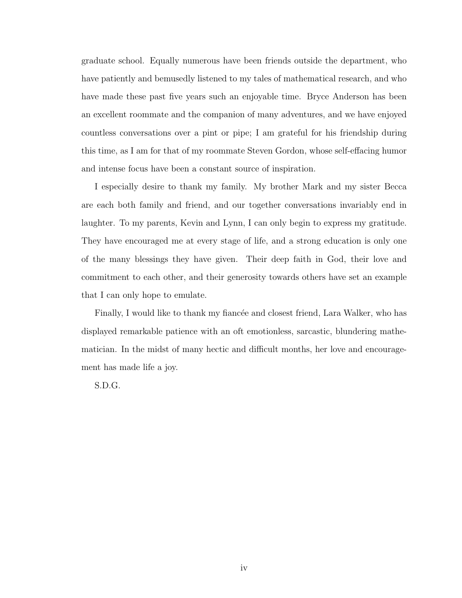graduate school. Equally numerous have been friends outside the department, who have patiently and bemusedly listened to my tales of mathematical research, and who have made these past five years such an enjoyable time. Bryce Anderson has been an excellent roommate and the companion of many adventures, and we have enjoyed countless conversations over a pint or pipe; I am grateful for his friendship during this time, as I am for that of my roommate Steven Gordon, whose self-effacing humor and intense focus have been a constant source of inspiration.

I especially desire to thank my family. My brother Mark and my sister Becca are each both family and friend, and our together conversations invariably end in laughter. To my parents, Kevin and Lynn, I can only begin to express my gratitude. They have encouraged me at every stage of life, and a strong education is only one of the many blessings they have given. Their deep faith in God, their love and commitment to each other, and their generosity towards others have set an example that I can only hope to emulate.

Finally, I would like to thank my fiancée and closest friend, Lara Walker, who has displayed remarkable patience with an oft emotionless, sarcastic, blundering mathematician. In the midst of many hectic and difficult months, her love and encouragement has made life a joy.

S.D.G.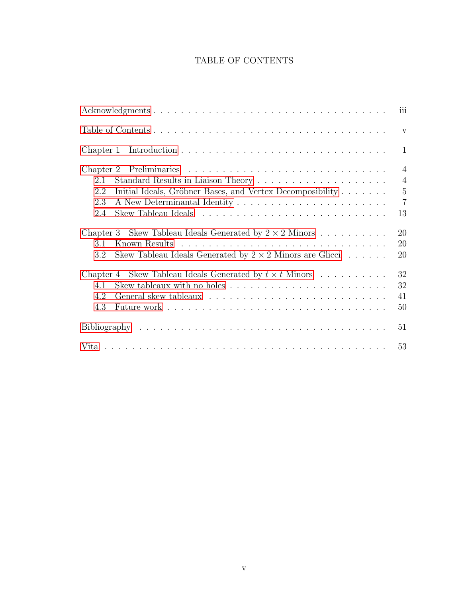## TABLE OF CONTENTS

<span id="page-7-0"></span>

|                                                                                                                                                                            | iii                                                                        |
|----------------------------------------------------------------------------------------------------------------------------------------------------------------------------|----------------------------------------------------------------------------|
|                                                                                                                                                                            | $\mathbf{V}$                                                               |
| Chapter 1                                                                                                                                                                  | $\mathbf{1}$                                                               |
| Chapter 2<br>2.1<br>Initial Ideals, Gröbner Bases, and Vertex Decomposibility<br>2.2<br>2.3<br>2.4                                                                         | $\overline{4}$<br>$\overline{4}$<br>$\overline{5}$<br>$\overline{7}$<br>13 |
| Chapter 3 Skew Tableau Ideals Generated by $2 \times 2$ Minors<br>3.1<br>Skew Tableau Ideals Generated by $2 \times 2$ Minors are Glicci<br>3.2                            | 20<br>20<br>20                                                             |
| Chapter 4 Skew Tableau Ideals Generated by $t \times t$ Minors<br>Skew tableaux with no holes $\dots \dots \dots \dots \dots \dots \dots \dots \dots$<br>4.1<br>4.2<br>4.3 | 32<br>32<br>41<br>50                                                       |
|                                                                                                                                                                            | 51                                                                         |
|                                                                                                                                                                            | 53                                                                         |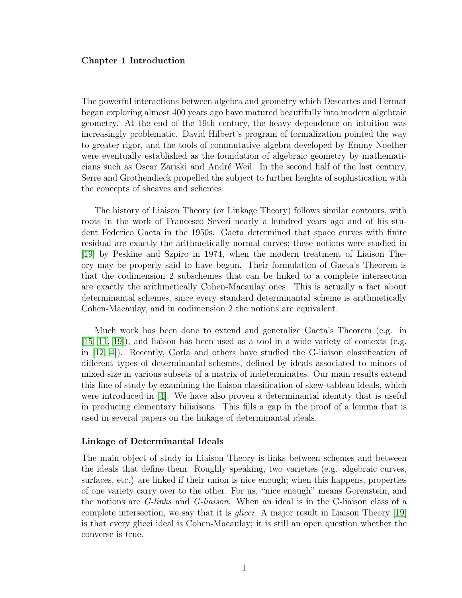## <span id="page-8-0"></span>Chapter 1 Introduction

The powerful interactions between algebra and geometry which Descartes and Fermat began exploring almost 400 years ago have matured beautifully into modern algebraic geometry. At the end of the 19th century, the heavy dependence on intuition was increasingly problematic. David Hilbert's program of formalization pointed the way to greater rigor, and the tools of commutative algebra developed by Emmy Noether were eventually established as the foundation of algebraic geometry by mathematicians such as Oscar Zariski and Andr´e Weil. In the second half of the last century, Serre and Grothendieck propelled the subject to further heights of sophistication with the concepts of sheaves and schemes.

The history of Liaison Theory (or Linkage Theory) follows similar contours, with roots in the work of Francesco Severi nearly a hundred years ago and of his student Federico Gaeta in the 1950s. Gaeta determined that space curves with finite residual are exactly the arithmetically normal curves; these notions were studied in [\[19\]](#page-59-0) by Peskine and Szpiro in 1974, when the modern treatment of Liaison Theory may be properly said to have begun. Their formulation of Gaeta's Theorem is that the codimension 2 subschemes that can be linked to a complete intersection are exactly the arithmetically Cohen-Macaulay ones. This is actually a fact about determinantal schemes, since every standard determinantal scheme is arithmetically Cohen-Macaulay, and in codimension 2 the notions are equivalent.

Much work has been done to extend and generalize Gaeta's Theorem (e.g. in [\[15,](#page-58-1) [11,](#page-58-2) [19\]](#page-59-0)), and liaison has been used as a tool in a wide variety of contexts (e.g. in [\[12,](#page-58-3) [4\]](#page-58-4)). Recently, Gorla and others have studied the G-liaison classification of different types of determinantal schemes, defined by ideals associated to minors of mixed size in various subsets of a matrix of indeterminates. Our main results extend this line of study by examining the liaison classification of skew-tableau ideals, which were introduced in [\[4\]](#page-58-4). We have also proven a determinantal identity that is useful in producing elementary biliaisons. This fills a gap in the proof of a lemma that is used in several papers on the linkage of determinantal ideals.

## Linkage of Determinantal Ideals

The main object of study in Liaison Theory is links between schemes and between the ideals that define them. Roughly speaking, two varieties (e.g. algebraic curves, surfaces, etc.) are linked if their union is nice enough; when this happens, properties of one variety carry over to the other. For us, "nice enough" means Gorenstein, and the notions are G-links and G-liaison. When an ideal is in the G-liaison class of a complete intersection, we say that it is glicci. A major result in Liaison Theory [\[19\]](#page-59-0) is that every glicci ideal is Cohen-Macaulay; it is still an open question whether the converse is true.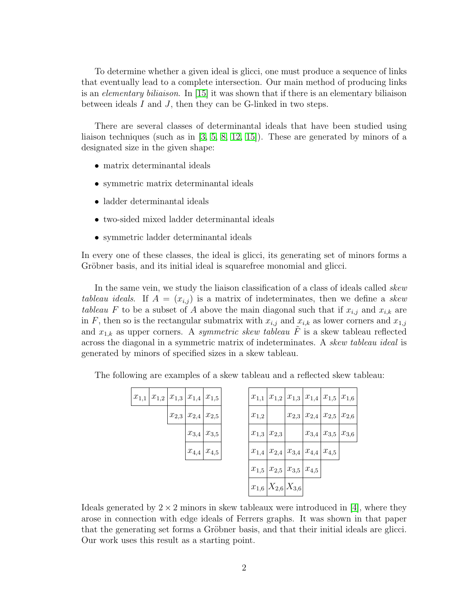To determine whether a given ideal is glicci, one must produce a sequence of links that eventually lead to a complete intersection. Our main method of producing links is an *elementary biliaison*. In [\[15\]](#page-58-1) it was shown that if there is an elementary biliaison between ideals I and J, then they can be G-linked in two steps.

There are several classes of determinantal ideals that have been studied using liaison techniques (such as in [\[3,](#page-58-5) [5,](#page-58-6) [8,](#page-58-7) [12,](#page-58-3) [15\]](#page-58-1)). These are generated by minors of a designated size in the given shape:

- matrix determinantal ideals
- symmetric matrix determinantal ideals
- ladder determinantal ideals
- two-sided mixed ladder determinantal ideals
- symmetric ladder determinantal ideals

In every one of these classes, the ideal is glicci, its generating set of minors forms a Gröbner basis, and its initial ideal is squarefree monomial and glicci.

In the same vein, we study the liaison classification of a class of ideals called *skew* tableau ideals. If  $A = (x_{i,j})$  is a matrix of indeterminates, then we define a skew tableau F to be a subset of A above the main diagonal such that if  $x_{i,j}$  and  $x_{i,k}$  are in F, then so is the rectangular submatrix with  $x_{i,j}$  and  $x_{i,k}$  as lower corners and  $x_{1,j}$ and  $x_{1,k}$  as upper corners. A symmetric skew tableau F is a skew tableau reflected across the diagonal in a symmetric matrix of indeterminates. A skew tableau ideal is generated by minors of specified sizes in a skew tableau.

| $x_{1,1} x_{1,2} x_{1,3} x_{1,4} x_{1,5} $ |                               |  |                                     |                       | $x_{1,1}   x_{1,2}   x_{1,3}   x_{1,4}   x_{1,5}   x_{1,6}$ |                                         |                               |  |
|--------------------------------------------|-------------------------------|--|-------------------------------------|-----------------------|-------------------------------------------------------------|-----------------------------------------|-------------------------------|--|
|                                            | $x_{2,3}$ $x_{2,4}$ $x_{2,5}$ |  | $_{\mathbf{1}}x_{1,2}$ $\mathbf{1}$ |                       |                                                             | $x_{2,3}$ $x_{2,4}$ $x_{2,5}$ $x_{2,6}$ |                               |  |
|                                            | $x_{3,4}$   $x_{3,5}$         |  |                                     | $x_{1,3}$   $x_{2,3}$ |                                                             |                                         | $x_{3,4}$ $x_{3,5}$ $x_{3,6}$ |  |
|                                            | $x_{4,4}$ $x_{4,5}$           |  |                                     |                       | $x_{1,4}   x_{2,4}   x_{3,4}   x_{4,4}   x_{4,5}$           |                                         |                               |  |
|                                            |                               |  |                                     |                       | $x_{1,5}$ $x_{2,5}$ $x_{3,5}$ $x_{4,5}$                     |                                         |                               |  |
|                                            |                               |  |                                     |                       | $x_{1,6} X_{2,6} X_{3,6} $                                  |                                         |                               |  |

The following are examples of a skew tableau and a reflected skew tableau:

Ideals generated by  $2 \times 2$  minors in skew tableaux were introduced in [\[4\]](#page-58-4), where they arose in connection with edge ideals of Ferrers graphs. It was shown in that paper that the generating set forms a Gröbner basis, and that their initial ideals are glicci. Our work uses this result as a starting point.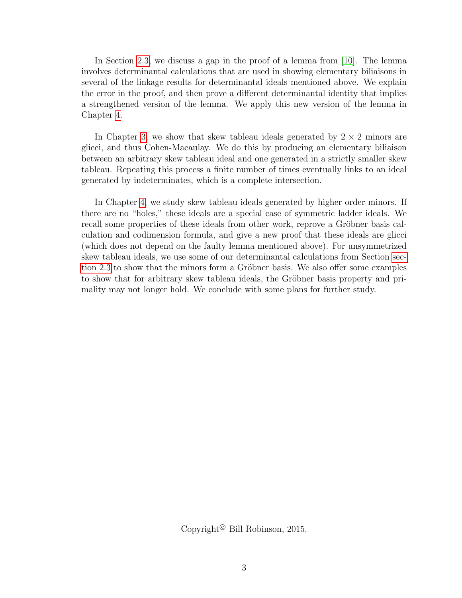In Section [2.3,](#page-14-0) we discuss a gap in the proof of a lemma from [\[10\]](#page-58-8). The lemma involves determinantal calculations that are used in showing elementary biliaisons in several of the linkage results for determinantal ideals mentioned above. We explain the error in the proof, and then prove a different determinantal identity that implies a strengthened version of the lemma. We apply this new version of the lemma in Chapter [4.](#page-39-0)

In Chapter [3,](#page-27-0) we show that skew tableau ideals generated by  $2 \times 2$  minors are glicci, and thus Cohen-Macaulay. We do this by producing an elementary biliaison between an arbitrary skew tableau ideal and one generated in a strictly smaller skew tableau. Repeating this process a finite number of times eventually links to an ideal generated by indeterminates, which is a complete intersection.

In Chapter [4,](#page-39-0) we study skew tableau ideals generated by higher order minors. If there are no "holes," these ideals are a special case of symmetric ladder ideals. We recall some properties of these ideals from other work, reprove a Gröbner basis calculation and codimension formula, and give a new proof that these ideals are glicci (which does not depend on the faulty lemma mentioned above). For unsymmetrized skew tableau ideals, we use some of our determinantal calculations from Section [sec](#page-14-0)[tion 2.3](#page-14-0) to show that the minors form a Gröbner basis. We also offer some examples to show that for arbitrary skew tableau ideals, the Gröbner basis property and primality may not longer hold. We conclude with some plans for further study.

Copyright<sup>©</sup> Bill Robinson, 2015.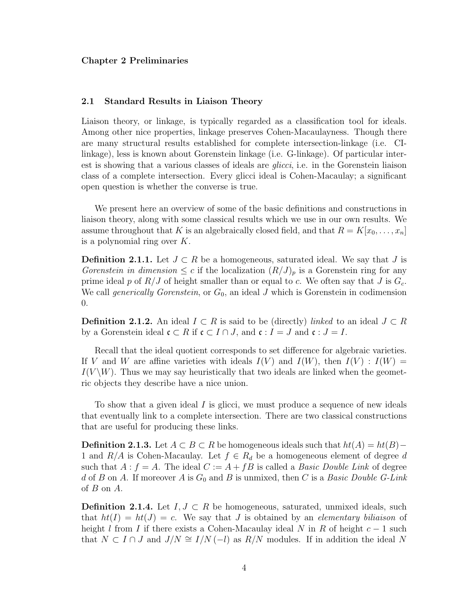## <span id="page-11-0"></span>Chapter 2 Preliminaries

## <span id="page-11-1"></span>2.1 Standard Results in Liaison Theory

Liaison theory, or linkage, is typically regarded as a classification tool for ideals. Among other nice properties, linkage preserves Cohen-Macaulayness. Though there are many structural results established for complete intersection-linkage (i.e. CIlinkage), less is known about Gorenstein linkage (i.e. G-linkage). Of particular interest is showing that a various classes of ideals are glicci, i.e. in the Gorenstein liaison class of a complete intersection. Every glicci ideal is Cohen-Macaulay; a significant open question is whether the converse is true.

We present here an overview of some of the basic definitions and constructions in liaison theory, along with some classical results which we use in our own results. We assume throughout that K is an algebraically closed field, and that  $R = K[x_0, \ldots, x_n]$ is a polynomial ring over  $K$ .

**Definition 2.1.1.** Let  $J \subset R$  be a homogeneous, saturated ideal. We say that J is Gorenstein in dimension  $\leq c$  if the localization  $(R/J)_p$  is a Gorenstein ring for any prime ideal p of  $R/J$  of height smaller than or equal to c. We often say that J is  $G_c$ . We call *generically Gorenstein*, or  $G_0$ , an ideal J which is Gorenstein in codimension 0.

**Definition 2.1.2.** An ideal  $I \subset R$  is said to be (directly) linked to an ideal  $J \subset R$ by a Gorenstein ideal  $\mathfrak{c} \subset R$  if  $\mathfrak{c} \subset I \cap J$ , and  $\mathfrak{c} : I = J$  and  $\mathfrak{c} : J = I$ .

Recall that the ideal quotient corresponds to set difference for algebraic varieties. If V and W are affine varieties with ideals  $I(V)$  and  $I(W)$ , then  $I(V)$ :  $I(W)$  =  $I(V \backslash W)$ . Thus we may say heuristically that two ideals are linked when the geometric objects they describe have a nice union.

To show that a given ideal  $I$  is glicci, we must produce a sequence of new ideals that eventually link to a complete intersection. There are two classical constructions that are useful for producing these links.

**Definition 2.1.3.** Let  $A \subset B \subset R$  be homogeneous ideals such that  $ht(A) = ht(B)$ − 1 and  $R/A$  is Cohen-Macaulay. Let  $f \in R_d$  be a homogeneous element of degree d such that  $A : f = A$ . The ideal  $C := A + fB$  is called a *Basic Double Link* of degree d of B on A. If moreover A is  $G_0$  and B is unmixed, then C is a Basic Double G-Link of B on A.

**Definition 2.1.4.** Let  $I, J \subset R$  be homogeneous, saturated, unmixed ideals, such that  $ht(I) = ht(J) = c$ . We say that J is obtained by an *elementary biliaison* of height l from I if there exists a Cohen-Macaulay ideal N in R of height  $c - 1$  such that  $N \subset I \cap J$  and  $J/N \cong I/N (-l)$  as  $R/N$  modules. If in addition the ideal N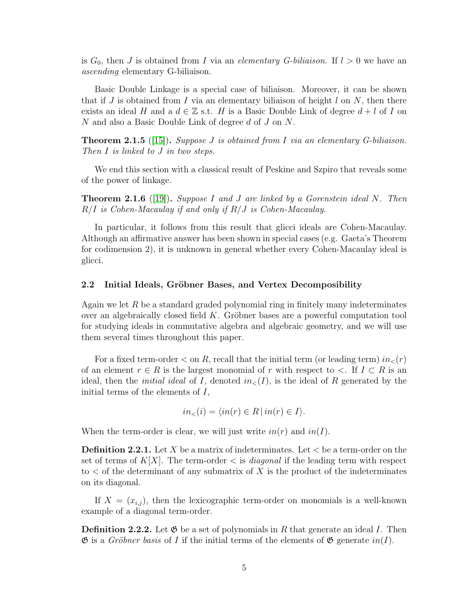is  $G_0$ , then J is obtained from I via an *elementary G-biliaison*. If  $l > 0$  we have an ascending elementary G-biliaison.

Basic Double Linkage is a special case of biliaison. Moreover, it can be shown that if J is obtained from I via an elementary biliaison of height l on N, then there exists an ideal H and a  $d \in \mathbb{Z}$  s.t. H is a Basic Double Link of degree  $d + l$  of I on N and also a Basic Double Link of degree d of J on N.

<span id="page-12-2"></span>**Theorem 2.1.5** ([\[15\]](#page-58-1)). Suppose *J* is obtained from *I* via an elementary *G*-biliaison. Then I is linked to J in two steps.

We end this section with a classical result of Peskine and Szpiro that reveals some of the power of linkage.

<span id="page-12-1"></span>**Theorem 2.1.6** ([\[19\]](#page-59-0)). Suppose I and J are linked by a Gorenstein ideal N. Then R/I is Cohen-Macaulay if and only if R/J is Cohen-Macaulay.

In particular, it follows from this result that glicci ideals are Cohen-Macaulay. Although an affirmative answer has been shown in special cases (e.g. Gaeta's Theorem for codimension 2), it is unknown in general whether every Cohen-Macaulay ideal is glicci.

#### <span id="page-12-0"></span>2.2 Initial Ideals, Gröbner Bases, and Vertex Decomposibility

Again we let  $R$  be a standard graded polynomial ring in finitely many indeterminates over an algebraically closed field  $K$ . Gröbner bases are a powerful computation tool for studying ideals in commutative algebra and algebraic geometry, and we will use them several times throughout this paper.

For a fixed term-order  $\lt$  on R, recall that the initial term (or leading term)  $in_{\lt}(r)$ of an element  $r \in R$  is the largest monomial of r with respect to  $\lt$ . If  $I \subset R$  is an ideal, then the *initial ideal* of I, denoted  $in<sub>(I)</sub>$ , is the ideal of R generated by the initial terms of the elements of I,

$$
in_{<} (i) = \langle in(r) \in R \, | \, in(r) \in I \rangle.
$$

<span id="page-12-3"></span>When the term-order is clear, we will just write  $in(r)$  and  $in(I)$ .

**Definition 2.2.1.** Let X be a matrix of indeterminates. Let  $\lt$  be a term-order on the set of terms of  $K[X]$ . The term-order  $\lt$  is *diagonal* if the leading term with respect to  $\lt$  of the determinant of any submatrix of X is the product of the indeterminates on its diagonal.

If  $X = (x_{i,j})$ , then the lexicographic term-order on monomials is a well-known example of a diagonal term-order.

**Definition 2.2.2.** Let  $\mathfrak{G}$  be a set of polynomials in R that generate an ideal I. Then G is a *Gröbner basis* of I if the initial terms of the elements of G generate  $in(I)$ .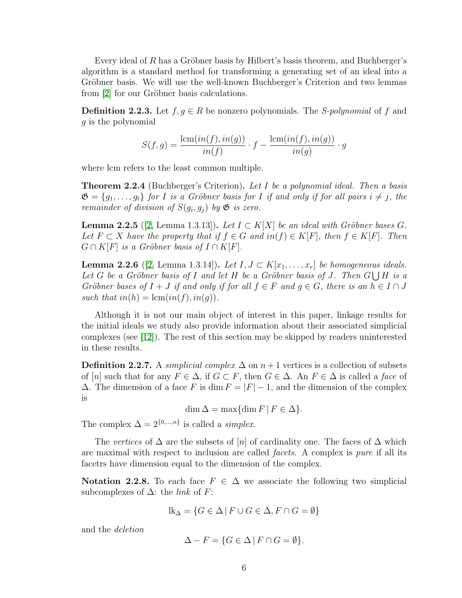Every ideal of  $R$  has a Gröbner basis by Hilbert's basis theorem, and Buchberger's algorithm is a standard method for transforming a generating set of an ideal into a Gröbner basis. We will use the well-known Buchberger's Criterion and two lemmas from  $[2]$  for our Gröbner basis calculations.

**Definition 2.2.3.** Let  $f, g \in R$  be nonzero polynomials. The *S-polynomial* of f and g is the polynomial

$$
S(f,g) = \frac{\text{lcm}(in(f),in(g))}{in(f)} \cdot f - \frac{\text{lcm}(in(f),in(g))}{in(g)} \cdot g
$$

where lcm refers to the least common multiple.

<span id="page-13-2"></span>**Theorem 2.2.4** (Buchberger's Criterion). Let I be a polynomial ideal. Then a basis  $\mathfrak{G} = \{g_1, \ldots, g_t\}$  for I is a Gröbner basis for I if and only if for all pairs  $i \neq j$ , the remainder of division of  $S(g_i, g_j)$  by  $\mathfrak{G}$  is zero.

<span id="page-13-0"></span>**Lemma 2.2.5** ([\[2,](#page-58-9) Lemma 1.3.13]). Let  $I \subset K[X]$  be an ideal with Gröbner bases G. Let  $F \subset X$  have the property that if  $f \in G$  and  $in(f) \in K[F]$ , then  $f \in K[F]$ . Then  $G \cap K[F]$  is a Gröbner basis of  $I \cap K[F]$ .

<span id="page-13-1"></span>**Lemma 2.2.6** ([\[2,](#page-58-9) Lemma 1.3.14]). Let  $I, J \subset K[x_1, \ldots, x_r]$  be homogeneous ideals. Let G be a Gröbner basis of I and let H be a Gröbner basis of J. Then  $G \bigcup H$  is a Gröbner bases of  $I + J$  if and only if for all  $f \in F$  and  $g \in G$ , there is an  $h \in I \cap J$ such that  $in(h) = \text{lcm}(in(f), in(g)).$ 

Although it is not our main object of interest in this paper, linkage results for the initial ideals we study also provide information about their associated simplicial complexes (see [\[12\]](#page-58-3)). The rest of this section may be skipped by readers uninterested in these results.

**Definition 2.2.7.** A *simplicial complex*  $\Delta$  on  $n+1$  vertices is a collection of subsets of [n] such that for any  $F \in \Delta$ , if  $G \subset F$ , then  $G \in \Delta$ . An  $F \in \Delta$  is called a face of  $\Delta$ . The dimension of a face F is dim  $F = |F| - 1$ , and the dimension of the complex is

 $\dim \Delta = \max\{\dim F \mid F \in \Delta\}.$ 

The complex  $\Delta = 2^{\{0,\dots,n\}}$  is called a *simplex*.

The vertices of  $\Delta$  are the subsets of [n] of cardinality one. The faces of  $\Delta$  which are maximal with respect to inclusion are called facets. A complex is pure if all its facetrs have dimension equal to the dimension of the complex.

Notation 2.2.8. To each face  $F \in \Delta$  we associate the following two simplicial subcomplexes of  $\Delta$ : the *link* of *F*:

$$
lk_{\Delta} = \{ G \in \Delta \mid F \cup G \in \Delta, F \cap G = \emptyset \}
$$

and the deletion

$$
\Delta - F = \{ G \in \Delta \mid F \cap G = \emptyset \}.
$$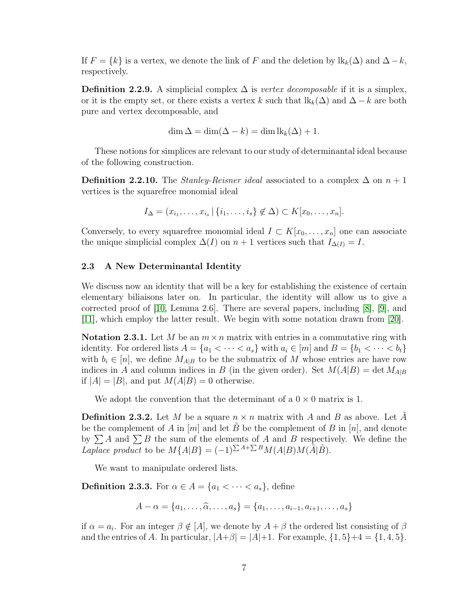If  $F = \{k\}$  is a vertex, we denote the link of F and the deletion by  $\text{lk}_k(\Delta)$  and  $\Delta - k$ , respectively.

**Definition 2.2.9.** A simplicial complex  $\Delta$  is vertex decomposable if it is a simplex, or it is the empty set, or there exists a vertex k such that  $\text{lk}_k(\Delta)$  and  $\Delta - k$  are both pure and vertex decomposable, and

$$
\dim \Delta = \dim(\Delta - k) = \dim \mathrm{lk}_k(\Delta) + 1.
$$

These notions for simplices are relevant to our study of determinantal ideal because of the following construction.

**Definition 2.2.10.** The *Stanley-Reisner ideal* associated to a complex  $\Delta$  on  $n + 1$ vertices is the squarefree monomial ideal

$$
I_{\Delta} = (x_{i_1}, \ldots, x_{i_s} \mid \{i_1, \ldots, i_s\} \notin \Delta) \subset K[x_0, \ldots, x_n].
$$

Conversely, to every squarefree monomial ideal  $I \subset K[x_0, \ldots, x_n]$  one can associate the unique simplicial complex  $\Delta(I)$  on  $n + 1$  vertices such that  $I_{\Delta(I)} = I$ .

#### <span id="page-14-0"></span>2.3 A New Determinantal Identity

We discuss now an identity that will be a key for establishing the existence of certain elementary biliaisons later on. In particular, the identity will allow us to give a corrected proof of [\[10,](#page-58-8) Lemma 2.6]. There are several papers, including [\[8\]](#page-58-7), [\[9\]](#page-58-10), and [\[11\]](#page-58-2), which employ the latter result. We begin with some notation drawn from [\[20\]](#page-59-1).

<span id="page-14-2"></span>**Notation 2.3.1.** Let M be an  $m \times n$  matrix with entries in a commutative ring with identity. For ordered lists  $A = \{a_1 < \cdots < a_s\}$  with  $a_i \in [m]$  and  $B = \{b_1 < \cdots < b_t\}$ with  $b_i \in [n]$ , we define  $M_{A|B}$  to be the submatrix of M whose entries are have row indices in A and column indices in B (in the given order). Set  $M(A|B) = \det M_{A|B}$ if  $|A| = |B|$ , and put  $M(A|B) = 0$  otherwise.

We adopt the convention that the determinant of a  $0 \times 0$  matrix is 1.

<span id="page-14-1"></span>**Definition 2.3.2.** Let M be a square  $n \times n$  matrix with A and B as above. Let A be the complement of A in  $[m]$  and let B be the complement of B in  $[n]$ , and denote by  $\sum A$  and  $\sum B$  the sum of the elements of A and B respectively. We define the Laplace product to be  $M\{A|B\} = (-1)^{\sum A + \sum B} M(A|B) M(\tilde{\tilde{A}}|\tilde{B}).$ 

We want to manipulate ordered lists.

**Definition 2.3.3.** For  $\alpha \in A = \{a_1 < \cdots < a_s\}$ , define

$$
A - \alpha = \{a_1, \dots, \widehat{\alpha}, \dots, a_s\} = \{a_1, \dots, a_{i-1}, a_{i+1}, \dots, a_s\}
$$

if  $\alpha = a_i$ . For an integer  $\beta \notin [A]$ , we denote by  $A + \beta$  the ordered list consisting of  $\beta$ and the entries of A. In particular,  $|A+\beta| = |A|+1$ . For example,  $\{1, 5\}+4 = \{1, 4, 5\}$ .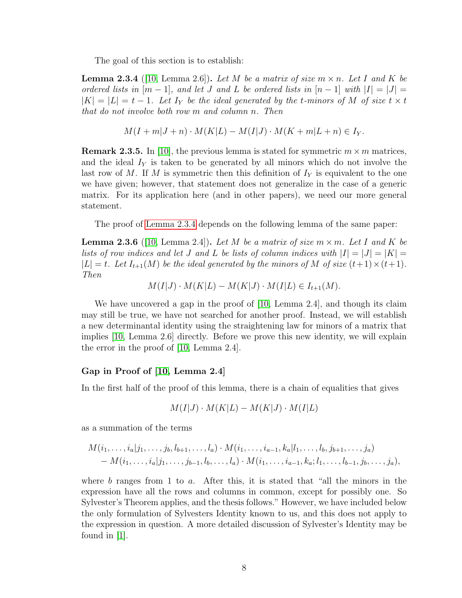The goal of this section is to establish:

<span id="page-15-0"></span>**Lemma 2.3.4** ([\[10,](#page-58-8) Lemma 2.6]). Let M be a matrix of size  $m \times n$ . Let I and K be ordered lists in  $[m-1]$ , and let J and L be ordered lists in  $[n-1]$  with  $|I|=|J|=$  $|K| = |L| = t - 1$ . Let  $I_Y$  be the ideal generated by the t-minors of M of size  $t \times t$ that do not involve both row m and column n. Then

$$
M(I+m|J+n) \cdot M(K|L) - M(I|J) \cdot M(K+m|L+n) \in I_Y.
$$

**Remark 2.3.5.** In [\[10\]](#page-58-8), the previous lemma is stated for symmetric  $m \times m$  matrices, and the ideal  $I_Y$  is taken to be generated by all minors which do not involve the last row of M. If M is symmetric then this definition of  $I<sub>Y</sub>$  is equivalent to the one we have given; however, that statement does not generalize in the case of a generic matrix. For its application here (and in other papers), we need our more general statement.

The proof of [Lemma 2.3.4](#page-15-0) depends on the following lemma of the same paper:

<span id="page-15-1"></span>**Lemma 2.3.6** (10, Lemma 2.4). Let M be a matrix of size  $m \times m$ . Let I and K be lists of row indices and let J and L be lists of column indices with  $|I| = |J| = |K| =$  $|L| = t$ . Let  $I_{t+1}(M)$  be the ideal generated by the minors of M of size  $(t+1) \times (t+1)$ . Then

 $M(I|J) \cdot M(K|L) - M(K|J) \cdot M(I|L) \in I_{t+1}(M).$ 

We have uncovered a gap in the proof of [\[10,](#page-58-8) Lemma 2.4], and though its claim may still be true, we have not searched for another proof. Instead, we will establish a new determinantal identity using the straightening law for minors of a matrix that implies [\[10,](#page-58-8) Lemma 2.6] directly. Before we prove this new identity, we will explain the error in the proof of [\[10,](#page-58-8) Lemma 2.4].

## Gap in Proof of [\[10,](#page-58-8) Lemma 2.4]

In the first half of the proof of this lemma, there is a chain of equalities that gives

$$
M(I|J) \cdot M(K|L) - M(K|J) \cdot M(I|L)
$$

as a summation of the terms

$$
M(i_1, \ldots, i_a | j_1, \ldots, j_b, l_{b+1}, \ldots, l_a) \cdot M(i_1, \ldots, i_{a-1}, k_a | l_1, \ldots, l_b, j_{b+1}, \ldots, j_a) - M(i_1, \ldots, i_a | j_1, \ldots, j_{b-1}, l_b, \ldots, l_a) \cdot M(i_1, \ldots, i_{a-1}, k_a; l_1, \ldots, l_{b-1}, j_b, \ldots, j_a),
$$

where b ranges from 1 to a. After this, it is stated that "all the minors in the expression have all the rows and columns in common, except for possibly one. So Sylvester's Theorem applies, and the thesis follows." However, we have included below the only formulation of Sylvesters Identity known to us, and this does not apply to the expression in question. A more detailed discussion of Sylvester's Identity may be found in [\[1\]](#page-58-11).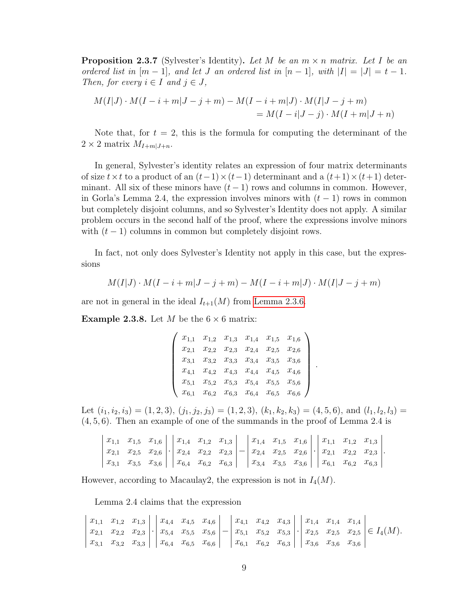**Proposition 2.3.7** (Sylvester's Identity). Let M be an  $m \times n$  matrix. Let I be an ordered list in  $[m-1]$ , and let J an ordered list in  $[n-1]$ , with  $|I| = |J| = t - 1$ . Then, for every  $i \in I$  and  $j \in J$ ,

$$
M(I|J) \cdot M(I - i + m|J - j + m) - M(I - i + m|J) \cdot M(I|J - j + m) = M(I - i|J - j) \cdot M(I + m|J + n)
$$

Note that, for  $t = 2$ , this is the formula for computing the determinant of the  $2 \times 2$  matrix  $M_{I+m|J+n}$ .

In general, Sylvester's identity relates an expression of four matrix determinants of size  $t \times t$  to a product of an  $(t-1) \times (t-1)$  determinant and a  $(t+1) \times (t+1)$  determinant. All six of these minors have  $(t-1)$  rows and columns in common. However, in Gorla's Lemma 2.4, the expression involves minors with  $(t - 1)$  rows in common but completely disjoint columns, and so Sylvester's Identity does not apply. A similar problem occurs in the second half of the proof, where the expressions involve minors with  $(t-1)$  columns in common but completely disjoint rows.

In fact, not only does Sylvester's Identity not apply in this case, but the expressions

$$
M(I|J) \cdot M(I - i + m|J - j + m) - M(I - i + m|J) \cdot M(I|J - j + m)
$$

are not in general in the ideal  $I_{t+1}(M)$  from [Lemma 2.3.6.](#page-15-1)

**Example 2.3.8.** Let M be the  $6 \times 6$  matrix:

|           |           | $x_{1,3}$ | $x_{1,4}$ | $x_{1,5}$ | $x_{1,6}$ |
|-----------|-----------|-----------|-----------|-----------|-----------|
| $x_{2,1}$ | $x_{2,2}$ | $x_{2,3}$ | $x_{2,4}$ | $x_{2,5}$ | $x_{2,6}$ |
| $x_{3,1}$ | $x_{3,2}$ | $x_{3,3}$ | $x_{3,4}$ | $x_{3,5}$ | $x_{3,6}$ |
| $x_{4,1}$ | $x_{4,2}$ | $x_{4,3}$ | $x_{4,4}$ | $x_{4,5}$ | $x_{4,6}$ |
| $x_{5,1}$ | 3.2       | $x_{5,3}$ | $x_{5,4}$ | $x_{5,5}$ | $x_{5,6}$ |
| $x_{6,1}$ | $x_{6,2}$ | $x_{6,3}$ | $x_{6,4}$ | $x_{6,5}$ | $x_{6,6}$ |

.

Let  $(i_1, i_2, i_3) = (1, 2, 3), (j_1, j_2, j_3) = (1, 2, 3), (k_1, k_2, k_3) = (4, 5, 6),$  and  $(l_1, l_2, l_3) =$  $(4, 5, 6)$ . Then an example of one of the summands in the proof of Lemma 2.4 is

|  |  |  |  |  |                                                                                                                                                                                                                                                         |  | $\begin{vmatrix} x_{1,1} & x_{1,5} & x_{1,6} \end{vmatrix}$ $\begin{vmatrix} x_{1,4} & x_{1,2} & x_{1,3} \end{vmatrix}$ $\begin{vmatrix} x_{1,4} & x_{1,5} & x_{1,6} \end{vmatrix}$ $\begin{vmatrix} x_{1,1} & x_{1,2} & x_{1,3} \end{vmatrix}$ |  |
|--|--|--|--|--|---------------------------------------------------------------------------------------------------------------------------------------------------------------------------------------------------------------------------------------------------------|--|-------------------------------------------------------------------------------------------------------------------------------------------------------------------------------------------------------------------------------------------------|--|
|  |  |  |  |  | $\begin{vmatrix} x_{2,1} & x_{2,5} & x_{2,6} \end{vmatrix} \cdot \begin{vmatrix} x_{2,4} & x_{2,2} & x_{2,3} \end{vmatrix} = \begin{vmatrix} x_{2,4} & x_{2,5} & x_{2,6} \end{vmatrix} \cdot \begin{vmatrix} x_{2,1} & x_{2,2} & x_{2,3} \end{vmatrix}$ |  |                                                                                                                                                                                                                                                 |  |
|  |  |  |  |  |                                                                                                                                                                                                                                                         |  |                                                                                                                                                                                                                                                 |  |

However, according to Macaulay2, the expression is not in  $I_4(M)$ .

Lemma 2.4 claims that the expression

 $x_{1,1}$   $x_{1,2}$   $x_{1,3}$  $x_{2,1}$   $x_{2,2}$   $x_{2,3}$  $x_{3,1}$   $x_{3,2}$   $x_{3,3}$ ·  $x_{4,4}$   $x_{4,5}$   $x_{4,6}$  $x_{5,4}$   $x_{5,5}$   $x_{5,6}$  $x_{6,4}$   $x_{6,5}$   $x_{6,6}$ −  $x_{4,1}$   $x_{4,2}$   $x_{4,3}$  $x_{5,1}$   $x_{5,2}$   $x_{5,3}$  $x_{6,1}$   $x_{6,2}$   $x_{6,3}$ ·  $x_{1,4}$   $x_{1,4}$   $x_{1,4}$  $x_{2,5}$   $x_{2,5}$   $x_{2,5}$  $x_{3,6}$   $x_{3,6}$   $x_{3,6}$  $\in I_4(M)$ .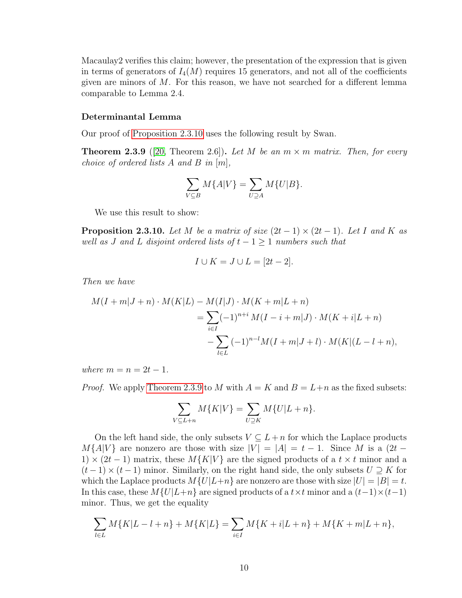Macaulay2 verifies this claim; however, the presentation of the expression that is given in terms of generators of  $I_4(M)$  requires 15 generators, and not all of the coefficients given are minors of  $M$ . For this reason, we have not searched for a different lemma comparable to Lemma 2.4.

#### Determinantal Lemma

<span id="page-17-1"></span>Our proof of [Proposition 2.3.10](#page-17-0) uses the following result by Swan.

**Theorem 2.3.9** ([\[20,](#page-59-1) Theorem 2.6]). Let M be an  $m \times m$  matrix. Then, for every *choice of ordered lists A and B in*  $[m]$ ,

$$
\sum_{V \subseteq B} M\{A|V\} = \sum_{U \supseteq A} M\{U|B\}.
$$

We use this result to show:

<span id="page-17-0"></span>**Proposition 2.3.10.** Let M be a matrix of size  $(2t-1) \times (2t-1)$ . Let I and K as well as J and L disjoint ordered lists of  $t - 1 \geq 1$  numbers such that

$$
I \cup K = J \cup L = [2t - 2].
$$

Then we have

$$
M(I+m|J+n) \cdot M(K|L) - M(I|J) \cdot M(K+m|L+n)
$$
  
= 
$$
\sum_{i \in I} (-1)^{n+i} M(I-i+m|J) \cdot M(K+i|L+n)
$$
  
- 
$$
\sum_{l \in L} (-1)^{n-l} M(I+m|J+l) \cdot M(K|(L-l+n),
$$

where  $m = n = 2t - 1$ .

*Proof.* We apply [Theorem 2.3.9](#page-17-1) to M with  $A = K$  and  $B = L+n$  as the fixed subsets:

$$
\sum_{V \subseteq L+n} M\{K|V\} = \sum_{U \supseteq K} M\{U|L+n\}.
$$

On the left hand side, the only subsets  $V \subseteq L+n$  for which the Laplace products  $M\{A|V\}$  are nonzero are those with size  $|V| = |A| = t - 1$ . Since M is a  $(2t 1) \times (2t-1)$  matrix, these  $M\{K|V\}$  are the signed products of a  $t \times t$  minor and a  $(t-1) \times (t-1)$  minor. Similarly, on the right hand side, the only subsets  $U \supseteq K$  for which the Laplace products  $M\{U|L+n\}$  are nonzero are those with size  $|U| = |B| = t$ . In this case, these  $M\{U|L+n\}$  are signed products of a  $t\times t$  minor and a  $(t-1)\times(t-1)$ minor. Thus, we get the equality

$$
\sum_{l \in L} M\{K|L-l+n\} + M\{K|L\} = \sum_{i \in I} M\{K+i|L+n\} + M\{K+m|L+n\},\
$$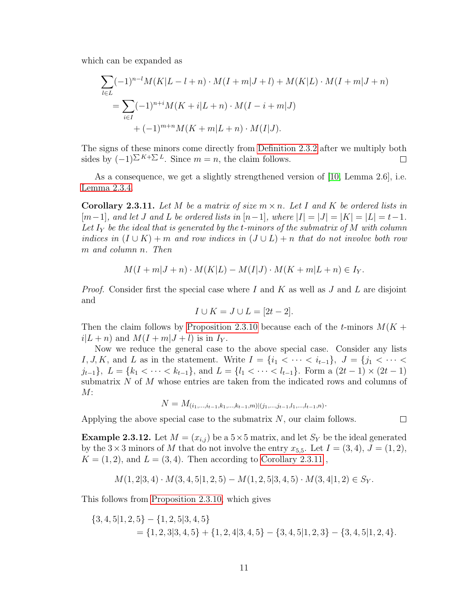which can be expanded as

$$
\sum_{l \in L} (-1)^{n-l} M(K|L-l+n) \cdot M(I+m|J+l) + M(K|L) \cdot M(I+m|J+n)
$$
  
= 
$$
\sum_{i \in I} (-1)^{n+i} M(K+i|L+n) \cdot M(I-i+m|J)
$$
  
+ 
$$
(-1)^{m+n} M(K+m|L+n) \cdot M(I|J).
$$

The signs of these minors come directly from [Definition 2.3.2](#page-14-1) after we multiply both sides by  $(-1)^{\sum K + \sum L}$ . Since  $m = n$ , the claim follows.  $\Box$ 

As a consequence, we get a slightly strengthened version of [\[10,](#page-58-8) Lemma 2.6], i.e. [Lemma 2.3.4.](#page-15-0)

<span id="page-18-0"></span>**Corollary 2.3.11.** Let M be a matrix of size  $m \times n$ . Let I and K be ordered lists in  $[m-1]$ , and let J and L be ordered lists in  $[n-1]$ , where  $|I| = |J| = |K| = |L| = t-1$ . Let  $I_Y$  be the ideal that is generated by the t-minors of the submatrix of M with column indices in  $(I \cup K) + m$  and row indices in  $(J \cup L) + n$  that do not involve both row m and column n. Then

$$
M(I+m|J+n) \cdot M(K|L) - M(I|J) \cdot M(K+m|L+n) \in I_Y.
$$

*Proof.* Consider first the special case where I and K as well as J and L are disjoint and

$$
I \cup K = J \cup L = [2t - 2].
$$

Then the claim follows by [Proposition 2.3.10](#page-17-0) because each of the t-minors  $M(K +$  $i|L + n$  and  $M(I + m|J + l)$  is in  $I_Y$ .

Now we reduce the general case to the above special case. Consider any lists I, J, K, and L as in the statement. Write  $I = \{i_1 < \cdots < i_{t-1}\}, J = \{j_1 < \cdots < j_{t-1}\}$  $j_{t-1}$ ,  $L = \{k_1 < \cdots < k_{t-1}\}$ , and  $L = \{l_1 < \cdots < l_{t-1}\}$ . Form a  $(2t - 1) \times (2t - 1)$ submatrix N of M whose entries are taken from the indicated rows and columns of  $M$ :

$$
N = M_{(i_1,\ldots,i_{t-1},k_1,\ldots,k_{t-1},m) | (j_1,\ldots,j_{t-1},l_1,\ldots,l_{t-1},n)}.
$$

 $\Box$ 

Applying the above special case to the submatrix  $N$ , our claim follows.

**Example 2.3.12.** Let  $M = (x_{i,j})$  be a  $5 \times 5$  matrix, and let  $S_Y$  be the ideal generated by the  $3\times 3$  minors of M that do not involve the entry  $x_{5,5}$ . Let  $I = (3,4)$ ,  $J = (1,2)$ ,  $K = (1, 2)$ , and  $L = (3, 4)$ . Then according to [Corollary 2.3.11](#page-18-0),

$$
M(1,2|3,4) \cdot M(3,4,5|1,2,5) - M(1,2,5|3,4,5) \cdot M(3,4|1,2) \in S_Y.
$$

This follows from [Proposition 2.3.10,](#page-17-0) which gives

$$
{3, 4, 5|1, 2, 5} - {1, 2, 5|3, 4, 5}
$$
  
= {1, 2, 3|3, 4, 5} + {1, 2, 4|3, 4, 5} - {3, 4, 5|1, 2, 3} - {3, 4, 5|1, 2, 4}.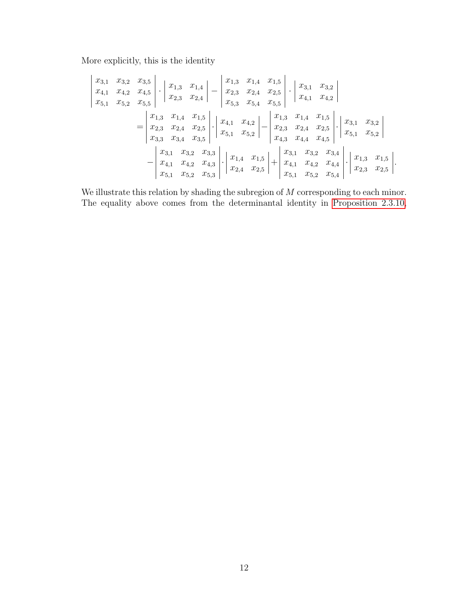More explicitly, this is the identity

$$
\begin{aligned}\nx_{3,1} & x_{3,2} & x_{3,5} \\
x_{4,1} & x_{4,2} & x_{4,5} \\
x_{5,1} & x_{5,2} & x_{5,5}\n\end{aligned}\n\bigg| \cdot \bigg| \begin{array}{ccc}\nx_{1,3} & x_{1,4} \\
x_{2,3} & x_{2,4} \\
x_{5,3} & x_{2,4} \\
x_{5,3} & x_{5,4} \\
x_{5,4} & x_{5,5}\n\end{array}\n\bigg| \cdot \bigg| \begin{array}{ccc}\nx_{3,1} & x_{3,2} \\
x_{4,1} & x_{4,2} \\
x_{4,1} & x_{4,2}\n\end{array}\n\bigg| \\
&= \bigg| \begin{array}{ccc}\nx_{1,3} & x_{1,4} \\
x_{2,3} & x_{2,4} \\
x_{2,3} & x_{2,4} \\
x_{3,3} & x_{3,4} \\
x_{3,5}\n\end{array}\n\bigg| \cdot \bigg| \begin{array}{ccc}\nx_{1,3} & x_{1,4} & x_{1,5} \\
x_{4,1} & x_{4,2} \\
x_{5,1} & x_{5,2}\n\end{array}\n\bigg| - \bigg| \begin{array}{ccc}\nx_{1,3} & x_{1,4} & x_{1,5} \\
x_{2,3} & x_{2,4} & x_{2,5} \\
x_{2,3} & x_{2,4} & x_{2,5} \\
x_{4,3} & x_{4,4} \\
x_{4,3} & x_{4,4} \\
x_{4,4} & x_{4,5}\n\end{array}\n\bigg| \cdot \bigg| \begin{array}{ccc}\nx_{3,1} & x_{3,2} \\
x_{4,1} & x_{4,2} \\
x_{5,1} & x_{5,2} \\
x_{5,2} & x_{5,3}\n\end{array}\n\bigg| \cdot \bigg| \begin{array}{ccc}\nx_{1,4} & x_{1,5} \\
x_{1,4} & x_{1,5} \\
x_{2,4} & x_{2,5}\n\end{array}\n\bigg| + \bigg| \begin{array}{ccc}\nx_{3,1
$$

We illustrate this relation by shading the subregion of  $M$  corresponding to each minor. The equality above comes from the determinantal identity in [Proposition 2.3.10,](#page-17-0)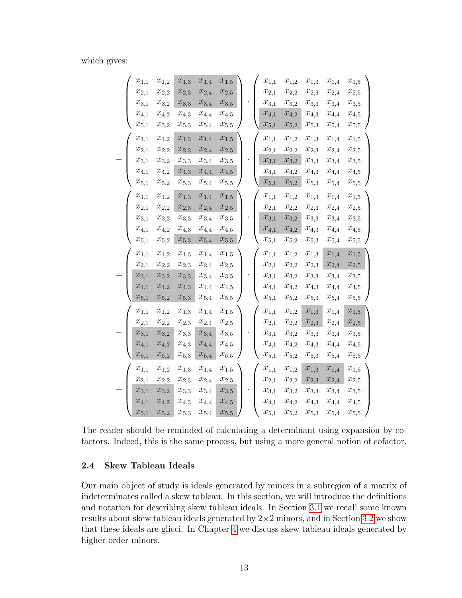which gives:

|                    | $x_{1,1}$              | $\boldsymbol{x}_{1,2}$ | $x_{1,3}$              | $x_{1,4}$              | $x_{1,5}$              |  | $x_{1,1}$              | $x_{1,2}$              | $x_{1,3}$              | $x_{1,4}$              | $x_{1,5}$              |  |
|--------------------|------------------------|------------------------|------------------------|------------------------|------------------------|--|------------------------|------------------------|------------------------|------------------------|------------------------|--|
|                    | $\bar{x}_{2,1}$        | $\bar{x}_{2,2}$        | $x_{2,3}$              | $x_{2,4}$              | $x_{2,5}$              |  | $\bar{x}_{2,1}$        | $\bar{x}_{2,2}$        | $\bar{x}_{2,3}$        | $\boldsymbol{x}_{2,4}$ | $x_{2,5}$              |  |
|                    | $x_{3,1}$              | $x_{3,2}$              | $x_{3,3}$              | $x_{3,4}$              | $x_{3,5}$              |  | $x_{3,1}$              | $x_{3,2}$              | $x_{3,3}$              | $x_{3,4}$              | $x_{3,5}$              |  |
|                    | $x_{4,1}$              | $x_{4,2}$              | $x_{4,3}$              | $x_{4,4}$              | $x_{4,5}$              |  | $\boldsymbol{x_{4,1}}$ | $x_{4,2}$              | $x_{4,3}$              | $x_{4,4}$              | $x_{4,5}$              |  |
|                    | $x_{5,1}$              | $\boldsymbol{x}_{5,2}$ | $x_{5,3}$              | $x_{5,4}$              | $x_{5,5}$              |  | $x_{5,1}$              | $x_{5,2}$              | $x_{5,3}$              | $\boldsymbol{x}_{5,4}$ | $x_{5,5}$              |  |
|                    | $x_{1,1}$              | $x_{1,2}$              | $x_{1,3}$              | $x_{1,4}$              | $\overline{x_{1,5}}$   |  | $x_{1,1}$              | $\boldsymbol{x}_{1,2}$ | $x_{1,3}$              | $x_{1,4}$              | $x_{1,5}$              |  |
|                    | $\boldsymbol{x}_{2,1}$ | $\boldsymbol{x}_{2,2}$ | $x_{2,3}$              | $x_{2,4}$              | $\boldsymbol{x_{2,5}}$ |  | $\boldsymbol{x}_{2,1}$ | $x_{2,2}$              | $\boldsymbol{x}_{2,3}$ | $x_{2,4}$              | $x_{2,5}$              |  |
|                    | $x_{3,1}$              | $\boldsymbol{x}_{3,2}$ | $x_{3,3}$              | $x_{3,4}$              | $x_{3,5}$              |  | $x_{3,1}$              | $x_{3,2}$              | $x_{3,3}$              | $x_{3,4}$              | $x_{3,5}$              |  |
|                    | $x_{4,1}$              | $x_{4,2}$              | $x_{4,3}$              | $\boldsymbol{x_{4,4}}$ | $x_{4,5}$              |  | $x_{4,1}$              | $x_{4,2}$              | $x_{4,3}$              | $x_{4,4}$              | $x_{4,5}$              |  |
|                    | $\boldsymbol{x}_{5,1}$ | $\boldsymbol{x}_{5,2}$ | $\boldsymbol{x}_{5,3}$ | $x_{5,4}$              | $x_{5,5}$              |  | $x_{5,1}$              | $x_{5,2}$              | $\boldsymbol{x}_{5,3}$ | $\boldsymbol{x}_{5,4}$ | $x_{5,5}$              |  |
|                    | $\boldsymbol{x}_{1,1}$ | $\boldsymbol{x}_{1,2}$ | $x_{1,3}$              | $x_{1,4}$              | $x_{1,5}$              |  | $\boldsymbol{x}_{1,1}$ | $\boldsymbol{x}_{1,2}$ | $x_{1,3}$              | $x_{1,4}$              | $x_{1,5}$              |  |
|                    | $x_{2,1}$              | $\boldsymbol{x}_{2,2}$ | $x_{2,3}$              | $x_{2,4}$              | $x_{2,5}$              |  | $x_{2,1}$              | $\boldsymbol{x}_{2,2}$ | $x_{2,3}$              | $\boldsymbol{x}_{2,4}$ | $x_{2,5}$              |  |
| $\hspace{0.1mm} +$ | $x_{3,1}$              | $x_{3,2}$              | $x_{3,3}$              | $x_{3,4}$              | $x_{3,5}$              |  | $x_{3,1}$              | $x_{3,2}$              | $x_{3,3}$              | $x_{3,4}$              | $x_{3,5}$              |  |
|                    | $x_{4,1}$              | $x_{4,2}$              | $x_{4,3}$              | $x_{4,4}$              | $x_{4,5}$              |  | $x_{4,1}$              | $x_{4,2}$              | $x_{4,3}$              | $x_{4,4}$              | $x_{4,5}$              |  |
|                    | $\boldsymbol{x}_{5,1}$ | $\boldsymbol{x}_{5,2}$ | $x_{5,3}$              | $\boldsymbol{x}_{5,4}$ | $\boldsymbol{x}_{5,5}$ |  | $\boldsymbol{x}_{5,1}$ | $\boldsymbol{x}_{5,2}$ | $\boldsymbol{x}_{5,3}$ | $\boldsymbol{x}_{5,4}$ | $x_{5,5}$              |  |
|                    | $\boldsymbol{x}_{1,1}$ | $\boldsymbol{x}_{1,2}$ | $x_{1,3}$              | $x_{1,4}$              | $x_{1,5}$              |  | $\boldsymbol{x}_{1,1}$ | $\boldsymbol{x}_{1,2}$ | $x_{1,3}$              | $x_{1,4}$              | $x_{1,5}$              |  |
|                    | $x_{2,1}$              | $x_{2,2}$              | $x_{2,3}$              | $\boldsymbol{x}_{2,4}$ | $\boldsymbol{x}_{2,5}$ |  | $\boldsymbol{x}_{2,1}$ | $\boldsymbol{x}_{2,2}$ | $x_{2,3}$              | $x_{2,4}$              | $x_{2,5}$              |  |
|                    | $x_{3,1}$              | $x_{3,2}$              | $x_{3,3}$              | $x_{3,4}$              | $x_{3,5}$              |  | $x_{3,1}$              | $x_{3,2}$              | $x_{3,3}$              | $x_{3,4}$              | $x_{3,5}$              |  |
|                    | $x_{4,1}$              | $x_{4,2}$              | $x_{4,3}$              | $x_{4,4}$              | $x_{4,5}$              |  | $x_{4,1}$              | $x_{4,2}$              | $x_{4,3}$              | $x_{4,4}$              | $x_{4,5}$              |  |
|                    | $x_{5,1}$              | $x_{5,2}$              | $x_{5,3}$              | $x_{5,4}$              | $\boldsymbol{x}_{5,5}$ |  | $x_{5,1}$              | $\boldsymbol{x}_{5,2}$ | $\boldsymbol{x}_{5,3}$ | $x_{5,4}$              | $x_{5,5}$              |  |
|                    | $x_{1,1}$              | $\boldsymbol{x}_{1,2}$ | $x_{1,3}$              | $x_{1,4}$              | $x_{1,5}$              |  | $x_{1,1}$              | $\boldsymbol{x}_{1,2}$ | $\overline{x_{1,3}}$   | $x_{1,4}$              | $\overline{x_{1,5}}$   |  |
|                    | $x_{2,1}$              | $x_{2,2}$              | $\bar{x}_{2,3}$        | $x_{2,4}$              | $\boldsymbol{x}_{2,5}$ |  | $\boldsymbol{x}_{2,1}$ | $\boldsymbol{x}_{2,2}$ | $x_{2,3}$              | $x_{2,4}$              | $x_{2,5}$              |  |
|                    | $x_{3,1}$              | $x_{3,2}$              | $x_{3,3}$              | $x_{3,4}$              | $x_{3,5}$              |  | $x_{3,1}$              | $x_{3,2}$              | $x_{3,3}$              | $x_{3,4}$              | $x_{3,5}$              |  |
|                    | $x_{4,1}$              | $x_{4,2}$              | $x_{4,3}$              | $x_{4,4}$              | $x_{4,5}$              |  | $x_{4,1}$              | $x_{4,2}$              | $x_{4,3}$              | $x_{4,4}$              | $x_{4,5}$              |  |
|                    | $\overline{x_{5,1}}$   | $x_{5,2}$              | $x_{5,3}$              | $x_{5,4}$              | $x_{5,5}$              |  | $x_{5,1}$              | $x_{5,2}$              | $\boldsymbol{x}_{5,3}$ | $x_{5,4}$              | $x_{5,5}$              |  |
|                    | $x_{1,1}$              | $\boldsymbol{x}_{1,2}$ | $x_{1,3}$              | $x_{1,4}$              | $x_{1,5}$              |  | $\boldsymbol{x}_{1,1}$ | $\boldsymbol{x}_{1,2}$ | $x_{1,3}$              | $x_{1,4}$              | $x_{1,5}$              |  |
|                    | $x_{2,1}$              | $x_{2,2}$              | $\boldsymbol{x}_{2,3}$ | $x_{2,4}$              | $x_{2,5}$              |  | $\boldsymbol{x}_{2,1}$ | $\boldsymbol{x}_{2,2}$ | $x_{2,3}$              | $x_{2,4}$              | $\boldsymbol{x_{2,5}}$ |  |
| $^{+}$             | $x_{3,1}$              | $x_{3,2}$              | $x_{3,3}$              | $x_{3,4}$              | $x_{3,5}$              |  | $x_{3,1}$              | $\boldsymbol{x}_{3,2}$ | $x_{3,3}$              | $x_{3,4}$              | $x_{3,5}$              |  |
|                    | $x_{4,1}$              | $x_{4,2}$              | $x_{4,3}$              | $x_{4,4}$              | $x_{4,5}$              |  | $x_{4,1}$              | $x_{4,2}$              | $x_{4,3}$              | $x_{4,4}$              | $x_{4,5}$              |  |
|                    | $\overline{x_{5,1}}$   | $\overline{x}_{5,2}$   | $x_{5,3}$              | $x_{5,4}$              | $\overline{x_{5,5}}$   |  | $x_{5,1}$              | $x_{5,2}$              | $x_{5,3}$              | $x_{5,4}$              | $x_{5,5}$              |  |

The reader should be reminded of calculating a determinant using expansion by cofactors. Indeed, this is the same process, but using a more general notion of cofactor.

## <span id="page-20-0"></span>2.4 Skew Tableau Ideals

Our main object of study is ideals generated by minors in a subregion of a matrix of indeterminates called a skew tableau. In this section, we will introduce the definitions and notation for describing skew tableau ideals. In Section [3.1](#page-27-1) we recall some known results about skew tableau ideals generated by  $2\times 2$  minors, and in Section [3.2](#page-27-2) we show that these ideals are glicci. In Chapter [4](#page-39-0) we discuss skew tableau ideals generated by higher order minors.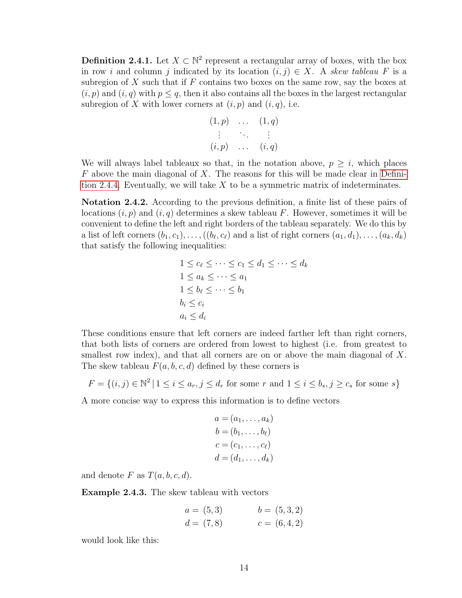**Definition 2.4.1.** Let  $X \subset \mathbb{N}^2$  represent a rectangular array of boxes, with the box in row i and column j indicated by its location  $(i, j) \in X$ . A skew tableau F is a subregion of  $X$  such that if  $F$  contains two boxes on the same row, say the boxes at  $(i, p)$  and  $(i, q)$  with  $p \leq q$ , then it also contains all the boxes in the largest rectangular subregion of X with lower corners at  $(i, p)$  and  $(i, q)$ , i.e.

$$
(1, p)
$$
 ...  $(1, q)$   
\n $\vdots$  ...  $\vdots$   
\n $(i, p)$  ...  $(i, q)$ 

We will always label tableaux so that, in the notation above,  $p \geq i$ , which places  $F$  above the main diagonal of  $X$ . The reasons for this will be made clear in [Defini](#page-22-0)[tion 2.4.4.](#page-22-0) Eventually, we will take  $X$  to be a symmetric matrix of indeterminates.

Notation 2.4.2. According to the previous definition, a finite list of these pairs of locations  $(i, p)$  and  $(i, q)$  determines a skew tableau F. However, sometimes it will be convenient to define the left and right borders of the tableau separately. We do this by a list of left corners  $(b_1, c_1), \ldots, ((b_\ell, c_\ell)$  and a list of right corners  $(a_1, d_1), \ldots, (a_k, d_k)$ that satisfy the following inequalities:

$$
1 \leq c_{\ell} \leq \cdots \leq c_1 \leq d_1 \leq \cdots \leq d_k
$$
  
\n
$$
1 \leq a_k \leq \cdots \leq a_1
$$
  
\n
$$
1 \leq b_{\ell} \leq \cdots \leq b_1
$$
  
\n
$$
b_i \leq c_i
$$
  
\n
$$
a_i \leq d_i
$$

These conditions ensure that left corners are indeed farther left than right corners, that both lists of corners are ordered from lowest to highest (i.e. from greatest to smallest row index), and that all corners are on or above the main diagonal of X. The skew tableau  $F(a, b, c, d)$  defined by these corners is

$$
F = \{(i, j) \in \mathbb{N}^2 \mid 1 \le i \le a_r, j \le d_r \text{ for some } r \text{ and } 1 \le i \le b_s, j \ge c_s \text{ for some } s\}
$$

A more concise way to express this information is to define vectors

$$
a = (a_1, \dots, a_k)
$$
  
\n
$$
b = (b_1, \dots, b_\ell)
$$
  
\n
$$
c = (c_1, \dots, c_\ell)
$$
  
\n
$$
d = (d_1, \dots, d_k)
$$

and denote F as  $T(a, b, c, d)$ .

<span id="page-21-0"></span>Example 2.4.3. The skew tableau with vectors

$$
a = (5,3) \n d = (7,8) \n c = (6,4,2)
$$

would look like this: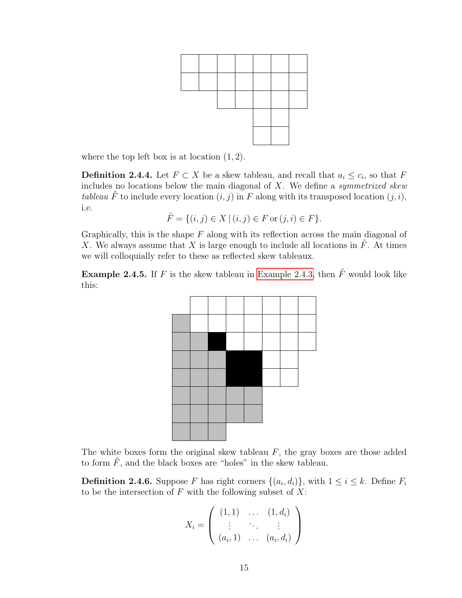

where the top left box is at location  $(1, 2)$ .

<span id="page-22-0"></span>**Definition 2.4.4.** Let  $F \subset X$  be a skew tableau, and recall that  $a_i \leq c_i$ , so that F includes no locations below the main diagonal of  $X$ . We define a *symmetrized skew* tableau  $\tilde{F}$  to include every location  $(i, j)$  in F along with its transposed location  $(j, i)$ , i.e.

$$
\tilde{F} = \{(i, j) \in X \mid (i, j) \in F \text{ or } (j, i) \in F\}.
$$

Graphically, this is the shape  $F$  along with its reflection across the main diagonal of X. We always assume that X is large enough to include all locations in  $\tilde{F}$ . At times we will colloquially refer to these as reflected skew tableaux.

Example 2.4.5. If F is the skew tableau in [Example 2.4.3,](#page-21-0) then  $\tilde{F}$  would look like this:



The white boxes form the original skew tableau  $F$ , the gray boxes are those added to form  $\tilde{F}$ , and the black boxes are "holes" in the skew tableau.

<span id="page-22-1"></span>**Definition 2.4.6.** Suppose F has right corners  $\{(a_i, d_i)\}\$ , with  $1 \leq i \leq k$ . Define  $F_i$ to be the intersection of  $F$  with the following subset of  $X$ :

$$
X_i = \left( \begin{array}{ccc} (1,1) & \dots & (1,d_i) \\ \vdots & \ddots & \vdots \\ (a_i,1) & \dots & (a_i,d_i) \end{array} \right)
$$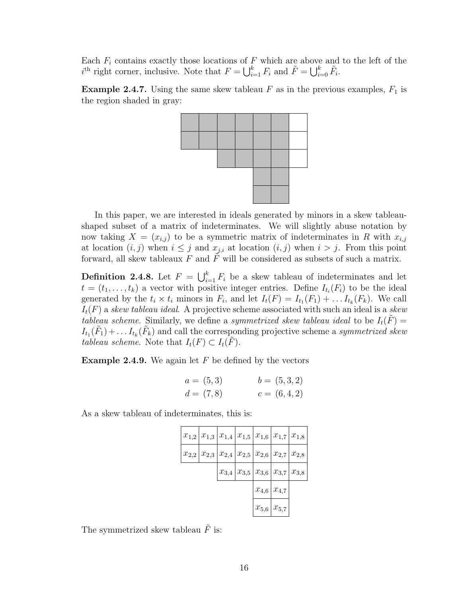Each  $F_i$  contains exactly those locations of F which are above and to the left of the  $i^{\text{th}}$  right corner, inclusive. Note that  $F = \bigcup_{i=1}^{k} F_i$  and  $\tilde{F} = \bigcup_{i=0}^{k} \tilde{F}_i$ .

**Example 2.4.7.** Using the same skew tableau F as in the previous examples,  $F_1$  is the region shaded in gray:



In this paper, we are interested in ideals generated by minors in a skew tableaushaped subset of a matrix of indeterminates. We will slightly abuse notation by now taking  $X = (x_{i,j})$  to be a symmetric matrix of indeterminates in R with  $x_{i,j}$ at location  $(i, j)$  when  $i \leq j$  and  $x_{j,i}$  at location  $(i, j)$  when  $i > j$ . From this point forward, all skew tableaux  $F$  and  $\tilde{F}$  will be considered as subsets of such a matrix.

**Definition 2.4.8.** Let  $F = \bigcup_{i=1}^{k} F_i$  be a skew tableau of indeterminates and let  $t = (t_1, \ldots, t_k)$  a vector with positive integer entries. Define  $I_{t_i}(F_i)$  to be the ideal generated by the  $t_i \times t_i$  minors in  $F_i$ , and let  $I_t(F) = I_{t_1}(F_1) + \ldots I_{t_k}(F_k)$ . We call  $I_t(F)$  a skew tableau ideal. A projective scheme associated with such an ideal is a skew tableau scheme. Similarly, we define a symmetrized skew tableau ideal to be  $I_t(F)$  =  $I_{t_1}(\tilde{F}_1) + \ldots I_{t_k}(\tilde{F}_k)$  and call the corresponding projective scheme a symmetrized skew tableau scheme. Note that  $I_t(F) \subset I_t(F)$ .

**Example 2.4.9.** We again let  $F$  be defined by the vectors

$$
a = (5,3) \n d = (7,8) \n c = (6,4,2)
$$

As a skew tableau of indeterminates, this is:

|  |                                                                                                                                                                |                     |                     | $x_{1,2}\left x_{1,3}\right x_{1,4}\left x_{1,5}\right x_{1,6}\left x_{1,7}\right x_{1,8}\right $ |
|--|----------------------------------------------------------------------------------------------------------------------------------------------------------------|---------------------|---------------------|---------------------------------------------------------------------------------------------------|
|  | $x_{2,2}\left\lfloor x_{2,3}\left\lfloor x_{2,4}\left\lfloor x_{2,5}\left\lfloor x_{2,6}\left\lfloor x_{2,7}\right\rfloor x_{2,8}\right.\right.\right.\right.$ |                     |                     |                                                                                                   |
|  |                                                                                                                                                                |                     |                     | $x_{3,4}$ $x_{3,5}$ $x_{3,6}$ $x_{3,7}$ $x_{3,8}$                                                 |
|  |                                                                                                                                                                |                     | $x_{4,6}$ $x_{4,7}$ |                                                                                                   |
|  |                                                                                                                                                                | $x_{5,6}$ $x_{5,7}$ |                     |                                                                                                   |

The symmetrized skew tableau  $\tilde{F}$  is: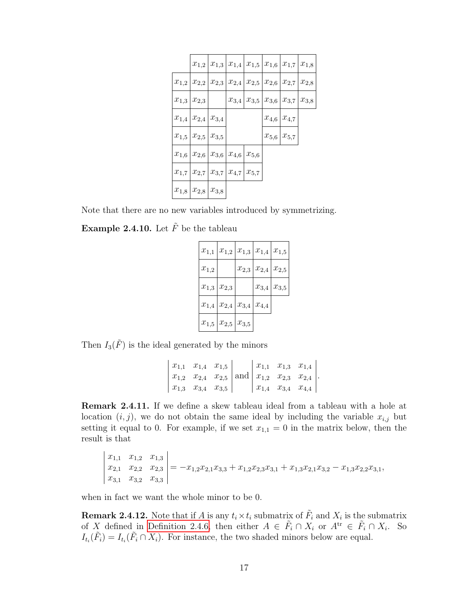|  | $x_{1,3}$   $x_{2,3}$  <br>$x_{1,4} x_{2,4} x_{3,4}$<br>$x_{1,5}$   $x_{2,5}$   $x_{3,5}$<br>$x_{1,8}$ $x_{2,8}$ $x_{3,8}$ | $x_{1,6}$ $x_{2,6}$ $x_{3,6}$ $x_{4,6}$ $x_{5,6}$<br>$x_{1,7}$   $x_{2,7}$   $x_{3,7}$   $x_{4,7}$   $x_{5,7}$ | $x_{1,2} x_{1,3} x_{1,4} x_{1,5} x_{1,6} x_{1,7} x_{1,8}$<br>$x_{1,2} x_{2,2} x_{2,3} x_{2,4} x_{2,5} x_{2,6} x_{2,7} x_{2,8}$<br>$x_{3,4}$   $x_{3,5}$   $x_{3,6}$   $x_{3,7}$   $x_{3,8}$<br>$x_{4,6}$ $x_{4,7}$<br>$x_{5,6}$   $x_{5,7}$ |
|--|----------------------------------------------------------------------------------------------------------------------------|----------------------------------------------------------------------------------------------------------------|---------------------------------------------------------------------------------------------------------------------------------------------------------------------------------------------------------------------------------------------|

Note that there are no new variables introduced by symmetrizing.

Example 2.4.10. Let  $\tilde{F}$  be the tableau

|           | $x_{1,1} x_{1,2} x_{1,3} x_{1,4} x_{1,5}$ |                               |  |
|-----------|-------------------------------------------|-------------------------------|--|
| $x_{1,2}$ |                                           | $x_{2,3}$ $x_{2,4}$ $x_{2,5}$ |  |
|           | $x_{1,3}$   $x_{2,3}$                     | $x_{3,4}$   $x_{3,5}$         |  |
|           | $x_{1,4} x_{2,4} x_{3,4} x_{4,4}$         |                               |  |
|           | $x_{1,5}$   $x_{2,5}$   $x_{3,5}$         |                               |  |

Then  $I_3(\tilde{F})$  is the ideal generated by the minors

|  | $x_{1,1}$ $x_{1,4}$ $x_{1,5}$ |  | $x_{1,1}$ $x_{1,3}$ $x_{1,4}$ |                                                                   |  |
|--|-------------------------------|--|-------------------------------|-------------------------------------------------------------------|--|
|  |                               |  |                               | $x_{1,2}$ $x_{2,4}$ $x_{2,5}$ and $x_{1,2}$ $x_{2,3}$ $x_{2,4}$ . |  |
|  | $x_{1,3}$ $x_{3,4}$ $x_{3,5}$ |  |                               | $\begin{vmatrix} x_{1,4} & x_{3,4} & x_{4,4} \end{vmatrix}$       |  |

Remark 2.4.11. If we define a skew tableau ideal from a tableau with a hole at location  $(i, j)$ , we do not obtain the same ideal by including the variable  $x_{i,j}$  but setting it equal to 0. For example, if we set  $x_{1,1} = 0$  in the matrix below, then the result is that

$$
\begin{vmatrix} x_{1,1} & x_{1,2} & x_{1,3} \ x_{2,1} & x_{2,2} & x_{2,3} \ x_{3,1} & x_{3,2} & x_{3,3} \ \end{vmatrix} = -x_{1,2}x_{2,1}x_{3,3} + x_{1,2}x_{2,3}x_{3,1} + x_{1,3}x_{2,1}x_{3,2} - x_{1,3}x_{2,2}x_{3,1},
$$

when in fact we want the whole minor to be 0.

<span id="page-24-0"></span>**Remark 2.4.12.** Note that if A is any  $t_i \times t_i$  submatrix of  $\tilde{F}_i$  and  $X_i$  is the submatrix of X defined in [Definition 2.4.6,](#page-22-1) then either  $A \in \tilde{F}_i \cap X_i$  or  $A^{tr} \in \tilde{F}_i \cap X_i$ . So  $I_{t_i}(\tilde{F}_i) = I_{t_i}(\tilde{F}_i \cap X_i)$ . For instance, the two shaded minors below are equal.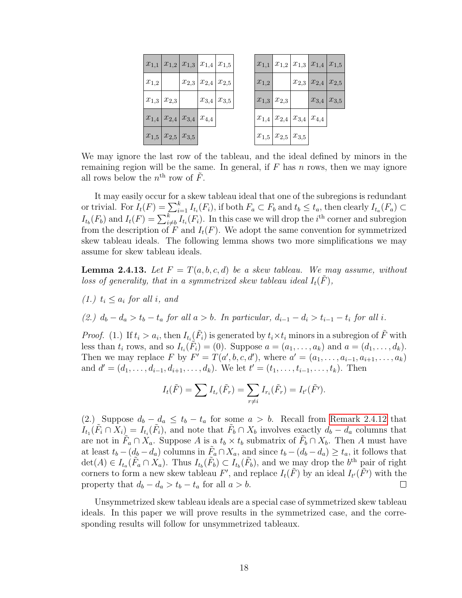|                         | $x_{1,1}   x_{1,2}   x_{1,3}   x_{1,4}   x_{1,5}  $ |                               |  |             |                               | $x_{1,1}   x_{1,2}   x_{1,3}   x_{1,4}   x_{1,5}$ |                               |  |
|-------------------------|-----------------------------------------------------|-------------------------------|--|-------------|-------------------------------|---------------------------------------------------|-------------------------------|--|
| $_{{\rm I}}\,x_{1,2}$ , |                                                     | $x_{2,3}$ $x_{2,4}$ $x_{2,5}$ |  | $(x_{1,2})$ |                               |                                                   | $x_{2,3}$ $x_{2,4}$ $x_{2,5}$ |  |
|                         | $x_{1,3}$ $x_{2,3}$                                 | $x_{3,4}$ $x_{3,5}$           |  |             | $x_{1,3}$ $x_{2,3}$           |                                                   | $ x_{3,4} x_{3,5}$            |  |
|                         | $x_{1,4}$ $x_{2,4}$ $x_{3,4}$ $x_{4,4}$             |                               |  |             |                               | $x_{1,4}$ $x_{2,4}$ $x_{3,4}$ $x_{4,4}$           |                               |  |
|                         | $x_{1,5}$ $x_{2,5}$ $x_{3,5}$                       |                               |  |             | $x_{1,5}$ $x_{2,5}$ $x_{3,5}$ |                                                   |                               |  |

We may ignore the last row of the tableau, and the ideal defined by minors in the remaining region will be the same. In general, if  $F$  has  $n$  rows, then we may ignore all rows below the  $n^{\text{th}}$  row of  $\tilde{F}$ .

It may easily occur for a skew tableau ideal that one of the subregions is redundant or trivial. For  $I_t(F) = \sum_{i=1}^k I_{t_i}(F_i)$ , if both  $F_a \subset F_b$  and  $t_b \leq t_a$ , then clearly  $I_{t_a}(F_a) \subset$  $I_{t_b}(F_b)$  and  $I_t(F) = \sum_{i \neq b}^k I_{t_i}(F_i)$ . In this case we will drop the *i*<sup>th</sup> corner and subregion from the description of F and  $I_t(F)$ . We adopt the same convention for symmetrized skew tableau ideals. The following lemma shows two more simplifications we may assume for skew tableau ideals.

<span id="page-25-1"></span>**Lemma 2.4.13.** Let  $F = T(a, b, c, d)$  be a skew tableau. We may assume, without loss of generality, that in a symmetrized skew tableau ideal  $I_t(F)$ ,

(1.)  $t_i \leq a_i$  for all i, and

(2.)  $d_b - d_a > t_b - t_a$  for all  $a > b$ . In particular,  $d_{i-1} - d_i > t_{i-1} - t_i$  for all i.

*Proof.* (1.) If  $t_i > a_i$ , then  $I_{t_i}(\tilde{F}_i)$  is generated by  $t_i \times t_i$  minors in a subregion of  $\tilde{F}$  with less than  $t_i$  rows, and so  $I_{t_i}(\tilde{F}_i) = (0)$ . Suppose  $a = (a_1, \ldots, a_k)$  and  $a = (d_1, \ldots, d_k)$ . Then we may replace F by  $F' = T(a', b, c, d')$ , where  $a' = (a_1, ..., a_{i-1}, a_{i+1}, ..., a_k)$ and  $d' = (d_1, \ldots, d_{i-1}, d_{i+1}, \ldots, d_k)$ . We let  $t' = (t_1, \ldots, t_{i-1}, \ldots, t_k)$ . Then

$$
I_t(\tilde{F}) = \sum I_{t_r}(\tilde{F}_r) = \sum_{r \neq i} I_{r_i}(\tilde{F}_r) = I_{t'}(\tilde{F}').
$$

(2.) Suppose  $d_b - d_a \leq t_b - t_a$  for some  $a > b$ . Recall from [Remark 2.4.12](#page-24-0) that  $I_{t_1}(\tilde{F}_i \cap X_i) = I_{t_i}(\tilde{F}_i)$ , and note that  $\tilde{F}_b \cap X_b$  involves exactly  $d_b - d_a$  columns that are not in  $\tilde{F}_a \cap X_a$ . Suppose A is a  $t_b \times t_b$  submatrix of  $\tilde{F}_b \cap X_b$ . Then A must have at least  $t_b - (d_b - d_a)$  columns in  $\tilde{F}_a \cap X_a$ , and since  $t_b - (d_b - d_a) \ge t_a$ , it follows that  $\det(A) \in I_{t_a}(\tilde{F}_a \cap X_a)$ . Thus  $I_{t_b}(\tilde{F}_b) \subset I_{t_b}(\tilde{F}_b)$ , and we may drop the  $b^{\text{th}}$  pair of right corners to form a new skew tableau F', and replace  $I_t(\tilde{F})$  by an ideal  $I_{t'}(\tilde{F}')$  with the property that  $d_b - d_a > t_b - t_a$  for all  $a > b$ .  $\Box$ 

<span id="page-25-0"></span>Unsymmetrized skew tableau ideals are a special case of symmetrized skew tableau ideals. In this paper we will prove results in the symmetrized case, and the corresponding results will follow for unsymmetrized tableaux.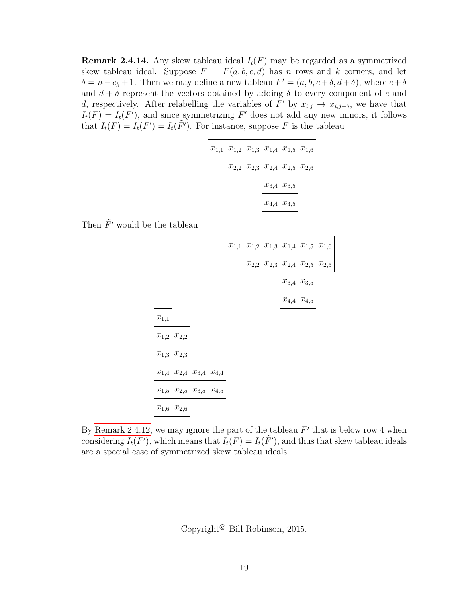**Remark 2.4.14.** Any skew tableau ideal  $I_t(F)$  may be regarded as a symmetrized skew tableau ideal. Suppose  $F = F(a, b, c, d)$  has n rows and k corners, and let  $\delta = n - c_k + 1$ . Then we may define a new tableau  $F' = (a, b, c + \delta, d + \delta)$ , where  $c + \delta$ and  $d + \delta$  represent the vectors obtained by adding  $\delta$  to every component of c and d, respectively. After relabelling the variables of  $F'$  by  $x_{i,j} \to x_{i,j-\delta}$ , we have that  $I_t(F) = I_t(F')$ , and since symmetrizing F' does not add any new minors, it follows that  $I_t(F) = I_t(F') = I_t(\tilde{F}')$ . For instance, suppose F is the tableau

|  |                     | $x_{1,1} x_{1,2} x_{1,3} x_{1,4} x_{1,5} x_{1,6} $ |
|--|---------------------|----------------------------------------------------|
|  |                     | $x_{2,2} x_{2,3} x_{2,4} x_{2,5} x_{2,6} $         |
|  | $x_{3,4}$ $x_{3,5}$ |                                                    |
|  | $x_{4,4}$ $x_{4,5}$ |                                                    |

Then  $\tilde{F}'$  would be the tableau

| $x_{1,1} x_{1,2} x_{1,3} x_{1,4} x_{1,5} x_{1,6}$ |                                                                                                      |                    |  |
|---------------------------------------------------|------------------------------------------------------------------------------------------------------|--------------------|--|
|                                                   | $\begin{array}{ c c c } \hline x_{2,2} & x_{2,3} & x_{2,4} & x_{2,5} & x_{2,6} \ \hline \end{array}$ |                    |  |
|                                                   | $x_{3,4}$ $x_{3,5}$                                                                                  |                    |  |
|                                                   |                                                                                                      | $x_{4,4} x_{4,5} $ |  |

| $x_{1,1}$ |                                   |  |
|-----------|-----------------------------------|--|
|           | $x_{1,2} x_{2,2} $                |  |
| $x_{1,3}$ | $x_{2,3}$                         |  |
|           | $x_{1,4} x_{2,4} x_{3,4} x_{4,4}$ |  |
|           | $x_{1,5} x_{2,5} x_{3,5} x_{4,5}$ |  |
| $x_{1,6}$ | $x_{2,6}$                         |  |

By [Remark 2.4.12,](#page-24-0) we may ignore the part of the tableau  $\tilde{F}'$  that is below row 4 when considering  $I_t(\tilde{F}')$ , which means that  $I_t(F) = I_t(\tilde{F}')$ , and thus that skew tableau ideals are a special case of symmetrized skew tableau ideals.

Copyright<sup>©</sup> Bill Robinson, 2015.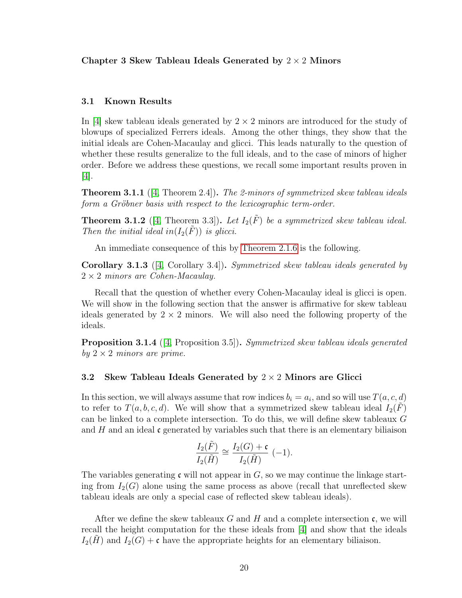## <span id="page-27-0"></span>Chapter 3 Skew Tableau Ideals Generated by  $2 \times 2$  Minors

## <span id="page-27-1"></span>3.1 Known Results

In [\[4\]](#page-58-4) skew tableau ideals generated by  $2 \times 2$  minors are introduced for the study of blowups of specialized Ferrers ideals. Among the other things, they show that the initial ideals are Cohen-Macaulay and glicci. This leads naturally to the question of whether these results generalize to the full ideals, and to the case of minors of higher order. Before we address these questions, we recall some important results proven in [\[4\]](#page-58-4).

**Theorem 3.1.1** ([\[4,](#page-58-4) Theorem 2.4]). The 2-minors of symmetrized skew tableau ideals form a Gröbner basis with respect to the lexicographic term-order.

**Theorem 3.1.2** ([\[4,](#page-58-4) Theorem 3.3]). Let  $I_2(\tilde{F})$  be a symmetrized skew tableau ideal. Then the initial ideal in $(I_2(F))$  is glicci.

An immediate consequence of this by [Theorem 2.1.6](#page-12-1) is the following.

<span id="page-27-4"></span>Corollary 3.1.3 ([\[4,](#page-58-4) Corollary 3.4]). Symmetrized skew tableau ideals generated by  $2 \times 2$  minors are Cohen-Macaulay.

Recall that the question of whether every Cohen-Macaulay ideal is glicci is open. We will show in the following section that the answer is affirmative for skew tableau ideals generated by  $2 \times 2$  minors. We will also need the following property of the ideals.

<span id="page-27-5"></span>**Proposition 3.1.4** ([\[4,](#page-58-4) Proposition 3.5]). Symmetrized skew tableau ideals generated by  $2 \times 2$  minors are prime.

## <span id="page-27-2"></span>3.2 Skew Tableau Ideals Generated by  $2 \times 2$  Minors are Glicci

In this section, we will always assume that row indices  $b_i = a_i$ , and so will use  $T(a, c, d)$ to refer to  $T(a, b, c, d)$ . We will show that a symmetrized skew tableau ideal  $I_2(F)$ can be linked to a complete intersection. To do this, we will define skew tableaux G and H and an ideal c generated by variables such that there is an elementary biliaison

$$
\frac{I_2(\tilde{F})}{I_2(\tilde{H})} \cong \frac{I_2(G) + \mathfrak{c}}{I_2(\tilde{H})} (-1).
$$

The variables generating c will not appear in  $G$ , so we may continue the linkage starting from  $I_2(G)$  alone using the same process as above (recall that unreflected skew tableau ideals are only a special case of reflected skew tableau ideals).

<span id="page-27-3"></span>After we define the skew tableaux G and H and a complete intersection  $\mathfrak{c}$ , we will recall the height computation for the these ideals from [\[4\]](#page-58-4) and show that the ideals  $I_2(H)$  and  $I_2(G) + c$  have the appropriate heights for an elementary biliaison.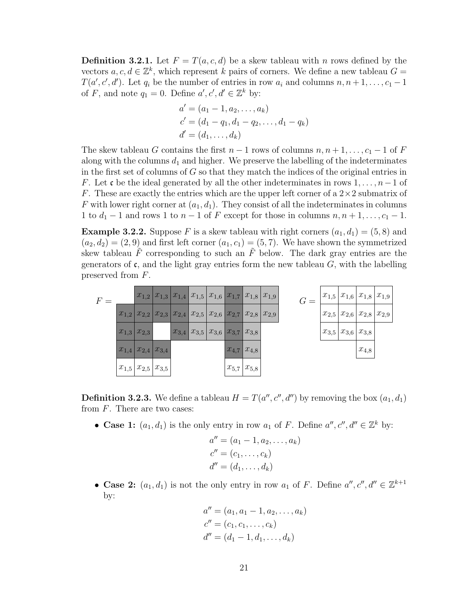**Definition 3.2.1.** Let  $F = T(a, c, d)$  be a skew tableau with n rows defined by the vectors  $a, c, d \in \mathbb{Z}^k$ , which represent k pairs of corners. We define a new tableau  $G =$  $T(a', c', d')$ . Let  $q_i$  be the number of entries in row  $a_i$  and columns  $n, n+1, \ldots, c_1-1$ of F, and note  $q_1 = 0$ . Define  $a', c', d' \in \mathbb{Z}^k$  by:

$$
a' = (a_1 - 1, a_2, \dots, a_k)
$$
  
\n
$$
c' = (d_1 - q_1, d_1 - q_2, \dots, d_1 - q_k)
$$
  
\n
$$
d' = (d_1, \dots, d_k)
$$

The skew tableau G contains the first  $n-1$  rows of columns  $n, n+1, \ldots, c_1-1$  of F along with the columns  $d_1$  and higher. We preserve the labelling of the indeterminates in the first set of columns of  $G$  so that they match the indices of the original entries in F. Let c be the ideal generated by all the other indeterminates in rows  $1, \ldots, n-1$  of F. These are exactly the entries which are the upper left corner of a  $2\times 2$  submatrix of F with lower right corner at  $(a_1, d_1)$ . They consist of all the indeterminates in columns 1 to  $d_1 - 1$  and rows 1 to  $n - 1$  of F except for those in columns  $n, n + 1, \ldots, c_1 - 1$ .

**Example 3.2.2.** Suppose F is a skew tableau with right corners  $(a_1, d_1) = (5, 8)$  and  $(a_2, d_2) = (2, 9)$  and first left corner  $(a_1, c_1) = (5, 7)$ . We have shown the symmetrized skew tableau  $\tilde{F}$  corresponding to such an  $\tilde{F}$  below. The dark gray entries are the generators of  $\mathfrak{c}$ , and the light gray entries form the new tableau  $G$ , with the labelling preserved from F.



<span id="page-28-0"></span>**Definition 3.2.3.** We define a tableau  $H = T(a'', c'', d'')$  by removing the box  $(a_1, d_1)$ from F. There are two cases:

• Case 1:  $(a_1, d_1)$  is the only entry in row  $a_1$  of F. Define  $a'', c'', d'' \in \mathbb{Z}^k$  by:

$$
a'' = (a_1 - 1, a_2, \dots, a_k)
$$
  
\n
$$
c'' = (c_1, \dots, c_k)
$$
  
\n
$$
d'' = (d_1, \dots, d_k)
$$

• Case 2:  $(a_1, d_1)$  is not the only entry in row  $a_1$  of F. Define  $a'', c'', d'' \in \mathbb{Z}^{k+1}$ by:

$$
a'' = (a_1, a_1 - 1, a_2, \dots, a_k)
$$
  
\n
$$
c'' = (c_1, c_1, \dots, c_k)
$$
  
\n
$$
d'' = (d_1 - 1, d_1, \dots, d_k)
$$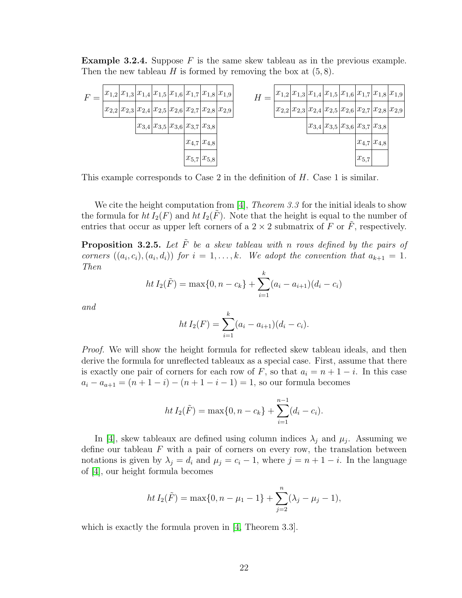**Example 3.2.4.** Suppose  $F$  is the same skew tableau as in the previous example. Then the new tableau H is formed by removing the box at  $(5, 8)$ .

| $F =$ | $ x_{1,2} x_{1,3} x_{1,4} x_{1,5} x_{1,6} x_{1,7} x_{1,8} x_{1,9} $ |  |                                                                     |                     |                     |  | $H =$ |  |  |           | $ x_{1,2} x_{1,3} x_{1,4} x_{1,5} x_{1,6} x_{1,7} x_{1,8} x_{1,9} $ |  |
|-------|---------------------------------------------------------------------|--|---------------------------------------------------------------------|---------------------|---------------------|--|-------|--|--|-----------|---------------------------------------------------------------------|--|
|       |                                                                     |  | $ x_{2,2} x_{2,3} x_{2,4} x_{2,5} x_{2,6} x_{2,7} x_{2,8} x_{2,9} $ |                     |                     |  |       |  |  |           | $ x_{2,2} x_{2,3} x_{2,4} x_{2,5} x_{2,6} x_{2,7} x_{2,8} x_{2,9} $ |  |
|       |                                                                     |  | $x_{3,4} x_{3,5} x_{3,6} x_{3,7} x_{3,8}$                           |                     |                     |  |       |  |  |           | $x_{3,4} x_{3,5} x_{3,6} x_{3,7} x_{3,8}$                           |  |
|       |                                                                     |  |                                                                     | $ x_{4,7} x_{4,8} $ |                     |  |       |  |  |           | $ x_{4,7} x_{4,8}$                                                  |  |
|       |                                                                     |  |                                                                     |                     | $ x_{5,7} x_{5,8} $ |  |       |  |  | $x_{5,7}$ |                                                                     |  |

This example corresponds to Case 2 in the definition of  $H$ . Case 1 is similar.

We cite the height computation from [\[4\]](#page-58-4), *Theorem 3.3* for the initial ideals to show the formula for  $ht I_2(F)$  and  $ht I_2(F)$ . Note that the height is equal to the number of entries that occur as upper left corners of a  $2 \times 2$  submatrix of F or  $\tilde{F}$ , respectively.

**Proposition 3.2.5.** Let  $\tilde{F}$  be a skew tableau with n rows defined by the pairs of corners  $((a_i, c_i), (a_i, d_i))$  for  $i = 1, \ldots, k$ . We adopt the convention that  $a_{k+1} = 1$ . Then

$$
ht I_2(\tilde{F}) = \max\{0, n - c_k\} + \sum_{i=1}^k (a_i - a_{i+1})(d_i - c_i)
$$

and

$$
ht I_2(F) = \sum_{i=1}^{k} (a_i - a_{i+1})(d_i - c_i).
$$

*Proof.* We will show the height formula for reflected skew tableau ideals, and then derive the formula for unreflected tableaux as a special case. First, assume that there is exactly one pair of corners for each row of F, so that  $a_i = n + 1 - i$ . In this case  $a_i - a_{a+1} = (n + 1 - i) - (n + 1 - i - 1) = 1$ , so our formula becomes

$$
ht I_2(\tilde{F}) = \max\{0, n - c_k\} + \sum_{i=1}^{n-1} (d_i - c_i).
$$

In [\[4\]](#page-58-4), skew tableaux are defined using column indices  $\lambda_j$  and  $\mu_j$ . Assuming we define our tableau  $F$  with a pair of corners on every row, the translation between notations is given by  $\lambda_j = d_i$  and  $\mu_j = c_i - 1$ , where  $j = n + 1 - i$ . In the language of [\[4\]](#page-58-4), our height formula becomes

$$
ht I_2(\tilde{F}) = \max\{0, n - \mu_1 - 1\} + \sum_{j=2}^n (\lambda_j - \mu_j - 1),
$$

which is exactly the formula proven in [\[4,](#page-58-4) Theorem 3.3].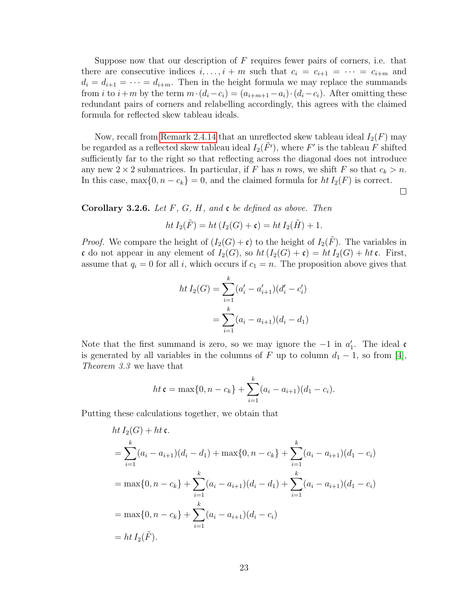Suppose now that our description of  $F$  requires fewer pairs of corners, i.e. that there are consecutive indices  $i, \ldots, i + m$  such that  $c_i = c_{i+1} = \cdots = c_{i+m}$  and  $d_i = d_{i+1} = \cdots = d_{i+m}$ . Then in the height formula we may replace the summands from *i* to  $i+m$  by the term  $m \cdot (d_i-c_i) = (a_{i+m+1}-a_i) \cdot (d_i-c_i)$ . After omitting these redundant pairs of corners and relabelling accordingly, this agrees with the claimed formula for reflected skew tableau ideals.

Now, recall from [Remark 2.4.14](#page-25-0) that an unreflected skew tableau ideal  $I_2(F)$  may be regarded as a reflected skew tableau ideal  $I_2(\tilde{F}')$ , where  $F'$  is the tableau  $\tilde{F}$  shifted sufficiently far to the right so that reflecting across the diagonal does not introduce any new  $2 \times 2$  submatrices. In particular, if F has n rows, we shift F so that  $c_k > n$ . In this case, max $\{0, n - c_k\} = 0$ , and the claimed formula for  $ht I_2(F)$  is correct.

 $\Box$ 

<span id="page-30-0"></span>**Corollary 3.2.6.** Let  $F$ ,  $G$ ,  $H$ , and  $\mathfrak{c}$  be defined as above. Then

$$
ht I_2(\tilde{F}) = ht (I_2(G) + \mathfrak{c}) = ht I_2(\tilde{H}) + 1.
$$

*Proof.* We compare the height of  $(I_2(G) + c)$  to the height of  $I_2(\tilde{F})$ . The variables in c do not appear in any element of  $I_2(G)$ , so  $ht(I_2(G) + c) = ht I_2(G) + ht$ . First, assume that  $q_i = 0$  for all i, which occurs if  $c_1 = n$ . The proposition above gives that

$$
ht I_2(G) = \sum_{i=1}^{k} (a'_i - a'_{i+1})(d'_i - c'_i)
$$

$$
= \sum_{i=1}^{k} (a_i - a_{i+1})(d_i - d_1)
$$

Note that the first summand is zero, so we may ignore the  $-1$  in  $a'_1$ . The ideal c is generated by all variables in the columns of F up to column  $d_1 - 1$ , so from [\[4\]](#page-58-4), Theorem 3.3 we have that

$$
ht \mathfrak{c} = \max\{0, n - c_k\} + \sum_{i=1}^k (a_i - a_{i+1})(d_1 - c_i).
$$

Putting these calculations together, we obtain that

$$
ht I_2(G) + ht \mathbf{c}.
$$
  
=  $\sum_{i=1}^k (a_i - a_{i+1})(d_i - d_1) + \max\{0, n - c_k\} + \sum_{i=1}^k (a_i - a_{i+1})(d_1 - c_i)$   
=  $\max\{0, n - c_k\} + \sum_{i=1}^k (a_i - a_{i+1})(d_i - d_1) + \sum_{i=1}^k (a_i - a_{i+1})(d_1 - c_i)$   
=  $\max\{0, n - c_k\} + \sum_{i=1}^k (a_i - a_{i+1})(d_i - c_i)$   
=  $ht I_2(\tilde{F}).$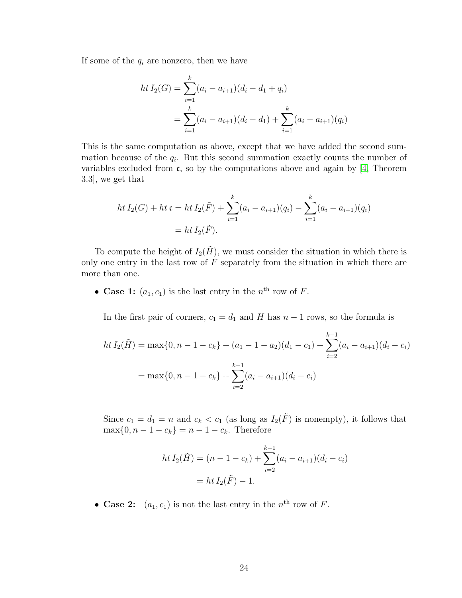If some of the  $q_i$  are nonzero, then we have

$$
ht I_2(G) = \sum_{i=1}^{k} (a_i - a_{i+1})(d_i - d_1 + q_i)
$$
  
= 
$$
\sum_{i=1}^{k} (a_i - a_{i+1})(d_i - d_1) + \sum_{i=1}^{k} (a_i - a_{i+1})(q_i)
$$

This is the same computation as above, except that we have added the second summation because of the  $q_i$ . But this second summation exactly counts the number of variables excluded from  $\mathfrak{c}$ , so by the computations above and again by [\[4,](#page-58-4) Theorem 3.3], we get that

$$
ht I_2(G) + ht \mathfrak{c} = ht I_2(\tilde{F}) + \sum_{i=1}^k (a_i - a_{i+1})(q_i) - \sum_{i=1}^k (a_i - a_{i+1})(q_i)
$$
  
= ht I\_2(\tilde{F}).

To compute the height of  $I_2(\tilde{H})$ , we must consider the situation in which there is only one entry in the last row of  $F$  separately from the situation in which there are more than one.

• Case 1:  $(a_1, c_1)$  is the last entry in the  $n<sup>th</sup>$  row of F.

In the first pair of corners,  $c_1 = d_1$  and H has  $n - 1$  rows, so the formula is

$$
ht I_2(\tilde{H}) = \max\{0, n - 1 - c_k\} + (a_1 - 1 - a_2)(d_1 - c_1) + \sum_{i=2}^{k-1} (a_i - a_{i+1})(d_i - c_i)
$$

$$
= \max\{0, n - 1 - c_k\} + \sum_{i=2}^{k-1} (a_i - a_{i+1})(d_i - c_i)
$$

Since  $c_1 = d_1 = n$  and  $c_k < c_1$  (as long as  $I_2(\tilde{F})$  is nonempty), it follows that  $\max\{0, n-1-c_k\} = n-1-c_k$ . Therefore

$$
ht I_2(\tilde{H}) = (n - 1 - c_k) + \sum_{i=2}^{k-1} (a_i - a_{i+1})(d_i - c_i)
$$
  
=  $ht I_2(\tilde{F}) - 1$ .

• Case 2:  $(a_1, c_1)$  is not the last entry in the  $n<sup>th</sup>$  row of F.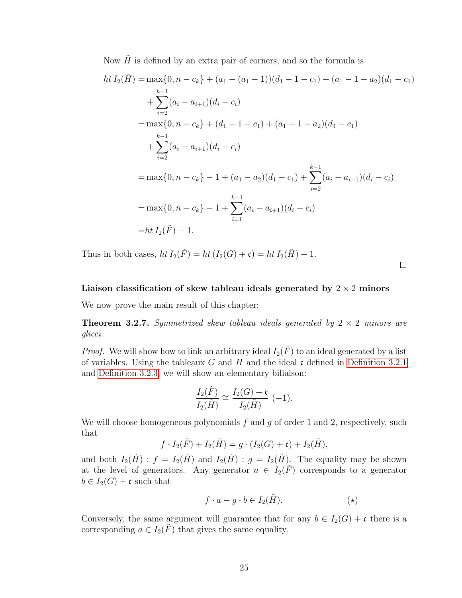Now  $\tilde{H}$  is defined by an extra pair of corners, and so the formula is

$$
ht I_2(\tilde{H}) = \max\{0, n - c_k\} + (a_1 - (a_1 - 1))(d_1 - 1 - c_1) + (a_1 - 1 - a_2)(d_1 - c_1)
$$
  
+ 
$$
\sum_{i=2}^{k-1} (a_i - a_{i+1})(d_i - c_i)
$$
  
= 
$$
\max\{0, n - c_k\} + (d_1 - 1 - c_1) + (a_1 - 1 - a_2)(d_1 - c_1)
$$
  
+ 
$$
\sum_{i=2}^{k-1} (a_i - a_{i+1})(d_i - c_i)
$$
  
= 
$$
\max\{0, n - c_k\} - 1 + (a_1 - a_2)(d_1 - c_1) + \sum_{i=2}^{k-1} (a_i - a_{i+1})(d_i - c_i)
$$
  
= 
$$
\max\{0, n - c_k\} - 1 + \sum_{i=1}^{k-1} (a_i - a_{i+1})(d_i - c_i)
$$
  
= 
$$
ht I_2(\tilde{F}) - 1.
$$

 $\Box$ 

Thus in both cases,  $ht I_2(\tilde{F}) = ht(I_2(G) + c) = ht I_2(\tilde{H}) + 1.$ 

#### Liaison classification of skew tableau ideals generated by  $2 \times 2$  minors

We now prove the main result of this chapter:

**Theorem 3.2.7.** Symmetrized skew tableau ideals generated by  $2 \times 2$  minors are glicci.

*Proof.* We will show how to link an arbitrary ideal  $I_2(\tilde{F})$  to an ideal generated by a list of variables. Using the tableaux  $G$  and  $H$  and the ideal  $\mathfrak c$  defined in [Definition 3.2.1](#page-27-3) and [Definition 3.2.3,](#page-28-0) we will show an elementary biliaison:

$$
\frac{I_2(\tilde{F})}{I_2(\tilde{H})} \cong \frac{I_2(G) + \mathfrak{c}}{I_2(\tilde{H})} (-1).
$$

We will choose homogeneous polynomials  $f$  and  $g$  of order 1 and 2, respectively, such that

$$
f \cdot I_2(\tilde{F}) + I_2(\tilde{H}) = g \cdot (I_2(G) + \mathfrak{c}) + I_2(\tilde{H}),
$$

and both  $I_2(\tilde{H})$ :  $f = I_2(\tilde{H})$  and  $I_2(\tilde{H})$ :  $g = I_2(\tilde{H})$ . The equality may be shown at the level of generators. Any generator  $a \in I_2(\tilde{F})$  corresponds to a generator  $b \in I_2(G) + \mathfrak{c}$  such that

$$
f \cdot a - g \cdot b \in I_2(\tilde{H}). \tag{\star}
$$

Conversely, the same argument will guarantee that for any  $b \in I_2(G) + c$  there is a corresponding  $a \in I_2(\tilde{F})$  that gives the same equality.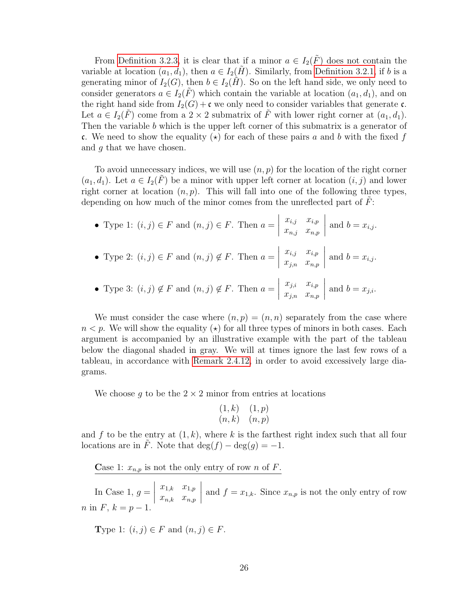From [Definition 3.2.3,](#page-28-0) it is clear that if a minor  $a \in I_2(\tilde{F})$  does not contain the variable at location  $(a_1, d_1)$ , then  $a \in I_2(\tilde{H})$ . Similarly, from [Definition 3.2.1,](#page-27-3) if b is a generating minor of  $I_2(G)$ , then  $b \in I_2(H)$ . So on the left hand side, we only need to consider generators  $a \in I_2(F)$  which contain the variable at location  $(a_1, d_1)$ , and on the right hand side from  $I_2(G) + \mathfrak{c}$  we only need to consider variables that generate  $\mathfrak{c}$ . Let  $a \in I_2(\tilde{F})$  come from a  $2 \times 2$  submatrix of  $\tilde{F}$  with lower right corner at  $(a_1, d_1)$ . Then the variable b which is the upper left corner of this submatrix is a generator of c. We need to show the equality  $\star$  for each of these pairs a and b with the fixed f and  $q$  that we have chosen.

To avoid unnecessary indices, we will use  $(n, p)$  for the location of the right corner  $(a_1, d_1)$ . Let  $a \in I_2(F)$  be a minor with upper left corner at location  $(i, j)$  and lower right corner at location  $(n, p)$ . This will fall into one of the following three types, depending on how much of the minor comes from the unreflected part of  $F$ :

• Type 1: 
$$
(i, j) \in F
$$
 and  $(n, j) \in F$ . Then  $a = \begin{vmatrix} x_{i,j} & x_{i,p} \\ x_{n,j} & x_{n,p} \end{vmatrix}$  and  $b = x_{i,j}$ .

\n- Type 2: 
$$
(i, j) \in F
$$
 and  $(n, j) \notin F$ . Then  $a = \begin{vmatrix} x_{i,j} & x_{i,p} \\ x_{j,n} & x_{n,p} \end{vmatrix}$  and  $b = x_{i,j}$ .
\n- Type 3:  $(i, j) \notin F$  and  $(n, j) \notin F$ . Then  $a = \begin{vmatrix} x_{j,i} & x_{i,p} \\ x_{j,n} & x_{n,p} \end{vmatrix}$  and  $b = x_{j,i}$ .
\n

We must consider the case where  $(n, p) = (n, n)$  separately from the case where  $n < p$ . We will show the equality  $(\star)$  for all three types of minors in both cases. Each argument is accompanied by an illustrative example with the part of the tableau below the diagonal shaded in gray. We will at times ignore the last few rows of a tableau, in accordance with [Remark 2.4.12,](#page-24-0) in order to avoid excessively large diagrams.

 $x_{j,n}$   $x_{n,p}$ 

We choose g to be the  $2 \times 2$  minor from entries at locations

$$
\begin{array}{cc} (1,k) & (1,p) \\ (n,k) & (n,p) \end{array}
$$

and f to be the entry at  $(1, k)$ , where k is the farthest right index such that all four locations are in F. Note that  $\deg(f) - \deg(q) = -1$ .

Case 1:  $x_{n,p}$  is not the only entry of row n of F.

In Case 1,  $g =$   $x_{1,k}$   $x_{1,p}$  $x_{n,k}$   $x_{n,p}$  and  $f = x_{1,k}$ . Since  $x_{n,p}$  is not the only entry of row  $n \text{ in } F, k = p - 1.$ 

Type 1:  $(i, j) \in F$  and  $(n, j) \in F$ .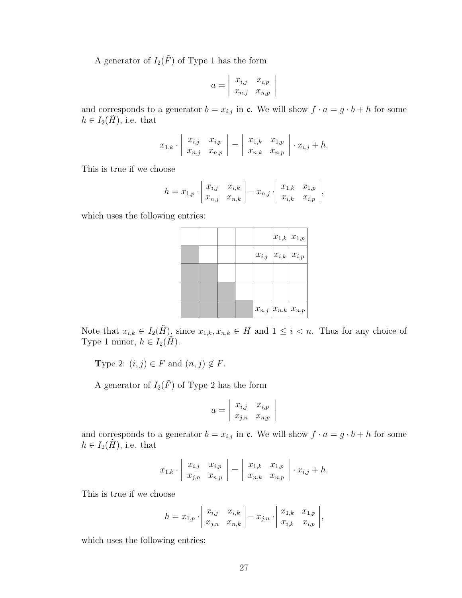A generator of  $I_2(\tilde{F})$  of Type 1 has the form

$$
a = \left| \begin{array}{cc} x_{i,j} & x_{i,p} \\ x_{n,j} & x_{n,p} \end{array} \right|
$$

and corresponds to a generator  $b = x_{i,j}$  in c. We will show  $f \cdot a = g \cdot b + h$  for some  $h \in I_2(\tilde{H})$ , i.e. that

$$
x_{1,k} \cdot \left| \begin{array}{cc} x_{i,j} & x_{i,p} \\ x_{n,j} & x_{n,p} \end{array} \right| = \left| \begin{array}{cc} x_{1,k} & x_{1,p} \\ x_{n,k} & x_{n,p} \end{array} \right| \cdot x_{i,j} + h.
$$

This is true if we choose

$$
h = x_{1,p} \cdot \begin{vmatrix} x_{i,j} & x_{i,k} \\ x_{n,j} & x_{n,k} \end{vmatrix} - x_{n,j} \cdot \begin{vmatrix} x_{1,k} & x_{1,p} \\ x_{i,k} & x_{i,p} \end{vmatrix},
$$

which uses the following entries:

|  |  |                               | $ x_{1,k} x_{1,p} $        |
|--|--|-------------------------------|----------------------------|
|  |  | $x_{i,j}   x_{i,k}   x_{i,p}$ |                            |
|  |  |                               |                            |
|  |  |                               |                            |
|  |  |                               | $x_{n,j} x_{n,k} x_{n,p} $ |

Note that  $x_{i,k} \in I_2(\tilde{H})$ , since  $x_{1,k}, x_{n,k} \in H$  and  $1 \leq i \leq n$ . Thus for any choice of Type 1 minor,  $h \in I_2(\tilde{H})$ .

Type 2:  $(i, j) \in F$  and  $(n, j) \notin F$ .

A generator of  $I_2(\tilde{F})$  of Type 2 has the form

$$
a = \begin{vmatrix} x_{i,j} & x_{i,p} \\ x_{j,n} & x_{n,p} \end{vmatrix}
$$

 $\overline{\phantom{a}}$  $\overline{\phantom{a}}$  $\Big\}$  $\vert$ 

and corresponds to a generator  $b = x_{i,j}$  in c. We will show  $f \cdot a = g \cdot b + h$  for some  $h \in I_2(\tilde{H}),$  i.e. that

$$
x_{1,k} \cdot \left| \begin{array}{cc} x_{i,j} & x_{i,p} \\ x_{j,n} & x_{n,p} \end{array} \right| = \left| \begin{array}{cc} x_{1,k} & x_{1,p} \\ x_{n,k} & x_{n,p} \end{array} \right| \cdot x_{i,j} + h.
$$

This is true if we choose

$$
h = x_{1,p} \cdot \begin{vmatrix} x_{i,j} & x_{i,k} \\ x_{j,n} & x_{n,k} \end{vmatrix} - x_{j,n} \cdot \begin{vmatrix} x_{1,k} & x_{1,p} \\ x_{i,k} & x_{i,p} \end{vmatrix},
$$

which uses the following entries: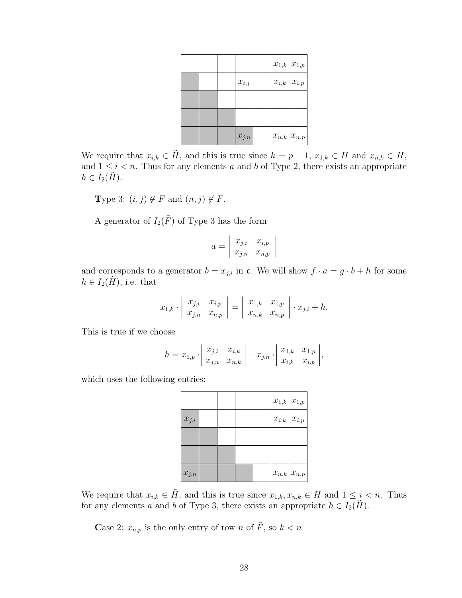|  |                        |                                                | $ x_{1,k} x_{1,p} $                  |
|--|------------------------|------------------------------------------------|--------------------------------------|
|  | $\boldsymbol{x}_{i,j}$ | $\left\lfloor x_{i,k}\, \right\rfloor x_{i,p}$ |                                      |
|  |                        |                                                |                                      |
|  |                        |                                                |                                      |
|  | $x_{j,n}$              |                                                | $\left x_{n,k}\right x_{n,p}\right $ |

We require that  $x_{i,k} \in \tilde{H}$ , and this is true since  $k = p - 1$ ,  $x_{1,k} \in H$  and  $x_{n,k} \in H$ , and  $1 \leq i \leq n$ . Thus for any elements a and b of Type 2, there exists an appropriate  $h\in I_2(\tilde{H}).$ 

Type 3:  $(i, j) \notin F$  and  $(n, j) \notin F$ .

A generator of  $I_2(\tilde{F})$  of Type 3 has the form

$$
a = \left| \begin{array}{cc} x_{j,i} & x_{i,p} \\ x_{j,n} & x_{n,p} \end{array} \right|
$$

and corresponds to a generator  $b = x_{j,i}$  in c. We will show  $f \cdot a = g \cdot b + h$  for some  $h \in I_2(H)$ , i.e. that

$$
x_{1,k} \cdot \left| \begin{array}{cc} x_{j,i} & x_{i,p} \\ x_{j,n} & x_{n,p} \end{array} \right| = \left| \begin{array}{cc} x_{1,k} & x_{1,p} \\ x_{n,k} & x_{n,p} \end{array} \right| \cdot x_{j,i} + h.
$$

This is true if we choose

$$
h = x_{1,p} \cdot \begin{vmatrix} x_{j,i} & x_{i,k} \\ x_{j,n} & x_{n,k} \end{vmatrix} - x_{j,n} \cdot \begin{vmatrix} x_{1,k} & x_{1,p} \\ x_{i,k} & x_{i,p} \end{vmatrix},
$$

which uses the following entries:

|           |  |  | $\ x_{1,k}\ x_{1,p}\ $ |  |
|-----------|--|--|------------------------|--|
| $x_{j,i}$ |  |  | $x_{i,k}   x_{i,p}$    |  |
|           |  |  |                        |  |
|           |  |  |                        |  |
| $x_{j,n}$ |  |  | $ x_{n,k} x_{n,p}$     |  |

We require that  $x_{i,k} \in \tilde{H}$ , and this is true since  $x_{1,k}, x_{n,k} \in H$  and  $1 \leq i \leq n$ . Thus for any elements a and b of Type 3, there exists an appropriate  $h \in I_2(H)$ .

Case 2:  $x_{n,p}$  is the only entry of row n of  $\tilde{F}$ , so  $k < n$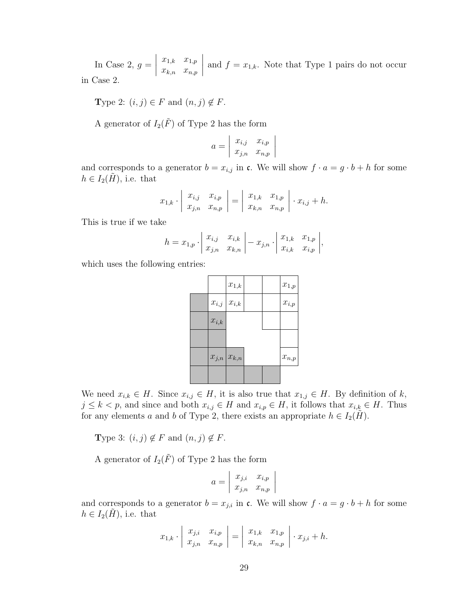In Case 2,  $g =$  $\begin{array}{c} \begin{array}{c} \begin{array}{c} \begin{array}{c} \end{array} \\ \end{array} \\ \begin{array}{c} \end{array} \end{array} \end{array} \end{array}$  $x_{1,k}$   $x_{1,p}$  $x_{k,n}$   $x_{n,p}$  $\begin{array}{c} \hline \end{array}$ and  $f = x_{1,k}$ . Note that Type 1 pairs do not occur in Case 2.

Type 2:  $(i, j) \in F$  and  $(n, j) \notin F$ .

A generator of  $I_2(\tilde{F})$  of Type 2 has the form

$$
a = \begin{vmatrix} x_{i,j} & x_{i,p} \\ x_{j,n} & x_{n,p} \end{vmatrix}
$$

and corresponds to a generator  $b = x_{i,j}$  in c. We will show  $f \cdot a = g \cdot b + h$  for some  $h \in I_2(H)$ , i.e. that

$$
x_{1,k} \cdot \left| \begin{array}{cc} x_{i,j} & x_{i,p} \\ x_{j,n} & x_{n,p} \end{array} \right| = \left| \begin{array}{cc} x_{1,k} & x_{1,p} \\ x_{k,n} & x_{n,p} \end{array} \right| \cdot x_{i,j} + h.
$$

This is true if we take

$$
h = x_{1,p} \cdot \left| \begin{array}{cc} x_{i,j} & x_{i,k} \\ x_{j,n} & x_{k,n} \end{array} \right| - x_{j,n} \cdot \left| \begin{array}{cc} x_{1,k} & x_{1,p} \\ x_{i,k} & x_{i,p} \end{array} \right|,
$$

which uses the following entries:

|                     | $\boldsymbol{x}_{1,k}$ |  | $\boldsymbol{x}_{1,p}$ |
|---------------------|------------------------|--|------------------------|
| $x_{i,j}$           | $\boldsymbol{x}_{i,k}$ |  | $\boldsymbol{x}_{i,p}$ |
| $x_{i,k}$           |                        |  |                        |
|                     |                        |  |                        |
| $x_{j,n}$ $x_{k,n}$ |                        |  | $\boldsymbol{x}_{n,p}$ |
|                     |                        |  |                        |

We need  $x_{i,k} \in H$ . Since  $x_{i,j} \in H$ , it is also true that  $x_{1,j} \in H$ . By definition of k,  $j \leq k < p$ , and since and both  $x_{i,j} \in H$  and  $x_{i,p} \in H$ , it follows that  $x_{i,k} \in H$ . Thus for any elements a and b of Type 2, there exists an appropriate  $h \in I_2(H)$ .

Type 3:  $(i, j) \notin F$  and  $(n, j) \notin F$ .

A generator of  $I_2(\tilde{F})$  of Type 2 has the form

$$
a = \begin{vmatrix} x_{j,i} & x_{i,p} \\ x_{j,n} & x_{n,p} \end{vmatrix}
$$

 $\overline{\phantom{a}}$  $\overline{\phantom{a}}$  $\Big\}$  $\vert$ 

and corresponds to a generator  $b = x_{j,i}$  in c. We will show  $f \cdot a = g \cdot b + h$  for some  $h \in I_2(H)$ , i.e. that

$$
x_{1,k} \cdot \left| \begin{array}{cc} x_{j,i} & x_{i,p} \\ x_{j,n} & x_{n,p} \end{array} \right| = \left| \begin{array}{cc} x_{1,k} & x_{1,p} \\ x_{k,n} & x_{n,p} \end{array} \right| \cdot x_{j,i} + h.
$$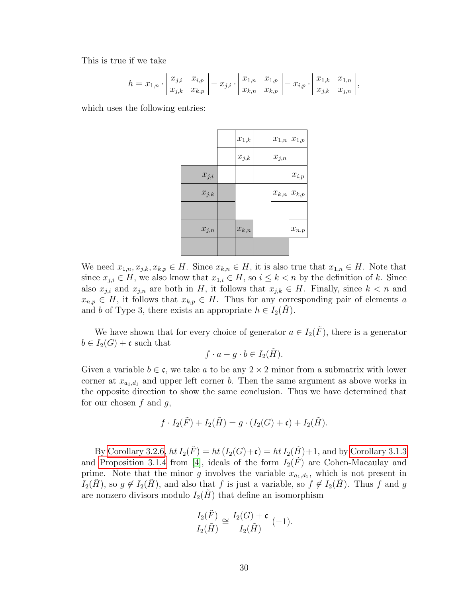This is true if we take

$$
h = x_{1,n} \cdot \begin{vmatrix} x_{j,i} & x_{i,p} \\ x_{j,k} & x_{k,p} \end{vmatrix} - x_{j,i} \cdot \begin{vmatrix} x_{1,n} & x_{1,p} \\ x_{k,n} & x_{k,p} \end{vmatrix} - x_{i,p} \cdot \begin{vmatrix} x_{1,k} & x_{1,n} \\ x_{j,k} & x_{j,n} \end{vmatrix},
$$

which uses the following entries:



We need  $x_{1,n}, x_{j,k}, x_{k,p} \in H$ . Since  $x_{k,n} \in H$ , it is also true that  $x_{1,n} \in H$ . Note that since  $x_{j,i} \in H$ , we also know that  $x_{1,i} \in H$ , so  $i \leq k < n$  by the definition of k. Since also  $x_{j,i}$  and  $x_{j,n}$  are both in H, it follows that  $x_{j,k} \in H$ . Finally, since  $k < n$  and  $x_{n,p} \in H$ , it follows that  $x_{k,p} \in H$ . Thus for any corresponding pair of elements a and b of Type 3, there exists an appropriate  $h \in I_2(H)$ .

We have shown that for every choice of generator  $a \in I_2(\tilde{F})$ , there is a generator  $b \in I_2(G) + \mathfrak{c}$  such that

$$
f \cdot a - g \cdot b \in I_2(\tilde{H}).
$$

Given a variable  $b \in \mathfrak{c}$ , we take a to be any  $2 \times 2$  minor from a submatrix with lower corner at  $x_{a_1,d_1}$  and upper left corner b. Then the same argument as above works in the opposite direction to show the same conclusion. Thus we have determined that for our chosen  $f$  and  $g$ ,

$$
f \cdot I_2(\tilde{F}) + I_2(\tilde{H}) = g \cdot (I_2(G) + \mathfrak{c}) + I_2(\tilde{H}).
$$

By [Corollary 3.2.6,](#page-30-0) ht  $I_2(\tilde{F}) = ht(I_2(G)+c) = ht I_2(\tilde{H})+1$ , and by [Corollary 3.1.3](#page-27-4) and [Proposition 3.1.4](#page-27-5) from [\[4\]](#page-58-4), ideals of the form  $I_2(F)$  are Cohen-Macaulay and prime. Note that the minor g involves the variable  $x_{a_1,d_1}$ , which is not present in  $I_2(H)$ , so  $g \notin I_2(H)$ , and also that f is just a variable, so  $f \notin I_2(H)$ . Thus f and g are nonzero divisors modulo  $I_2(H)$  that define an isomorphism

$$
\frac{I_2(\tilde{F})}{I_2(\tilde{H})}\cong \frac{I_2(G)+\mathfrak{c}}{I_2(\tilde{H})}\ (-1).
$$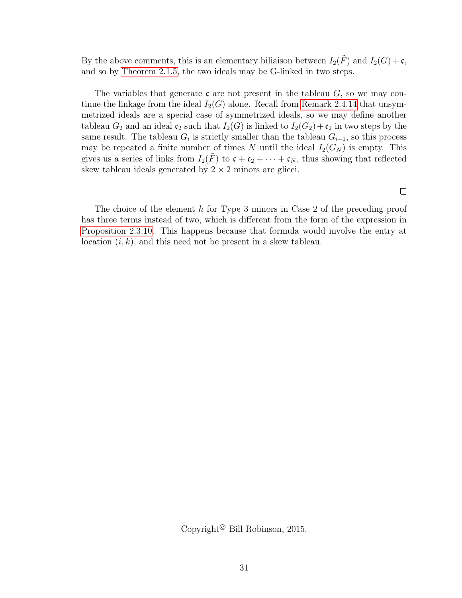By the above comments, this is an elementary biliaison between  $I_2(\tilde{F})$  and  $I_2(G) + \mathfrak{c}$ , and so by [Theorem 2.1.5,](#page-12-2) the two ideals may be G-linked in two steps.

The variables that generate c are not present in the tableau  $G$ , so we may continue the linkage from the ideal  $I_2(G)$  alone. Recall from [Remark 2.4.14](#page-25-0) that unsymmetrized ideals are a special case of symmetrized ideals, so we may define another tableau  $G_2$  and an ideal  $\mathfrak{c}_2$  such that  $I_2(G)$  is linked to  $I_2(G_2) + \mathfrak{c}_2$  in two steps by the same result. The tableau  $G_i$  is strictly smaller than the tableau  $G_{i-1}$ , so this process may be repeated a finite number of times N until the ideal  $I_2(G_N)$  is empty. This gives us a series of links from  $I_2(\tilde{F})$  to  $\mathfrak{c} + \mathfrak{c}_2 + \cdots + \mathfrak{c}_N$ , thus showing that reflected skew tableau ideals generated by  $2 \times 2$  minors are glicci.

 $\Box$ 

The choice of the element h for Type 3 minors in Case 2 of the preceding proof has three terms instead of two, which is different from the form of the expression in [Proposition 2.3.10.](#page-17-0) This happens because that formula would involve the entry at location  $(i, k)$ , and this need not be present in a skew tableau.

Copyright<sup> $©$ </sup> Bill Robinson, 2015.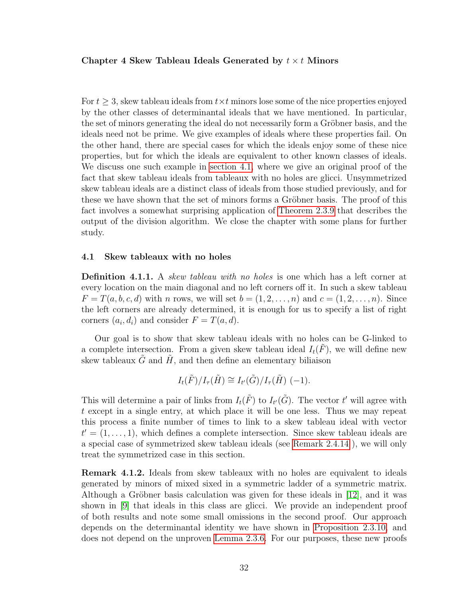#### <span id="page-39-0"></span>Chapter 4 Skew Tableau Ideals Generated by  $t \times t$  Minors

For  $t \geq 3$ , skew tableau ideals from  $t \times t$  minors lose some of the nice properties enjoyed by the other classes of determinantal ideals that we have mentioned. In particular, the set of minors generating the ideal do not necessarily form a Gröbner basis, and the ideals need not be prime. We give examples of ideals where these properties fail. On the other hand, there are special cases for which the ideals enjoy some of these nice properties, but for which the ideals are equivalent to other known classes of ideals. We discuss one such example in [section 4.1,](#page-39-1) where we give an original proof of the fact that skew tableau ideals from tableaux with no holes are glicci. Unsymmetrized skew tableau ideals are a distinct class of ideals from those studied previously, and for these we have shown that the set of minors forms a Gröbner basis. The proof of this fact involves a somewhat surprising application of [Theorem 2.3.9](#page-17-1) that describes the output of the division algorithm. We close the chapter with some plans for further study.

#### <span id="page-39-1"></span>4.1 Skew tableaux with no holes

**Definition 4.1.1.** A skew tableau with no holes is one which has a left corner at every location on the main diagonal and no left corners off it. In such a skew tableau  $F = T(a, b, c, d)$  with n rows, we will set  $b = (1, 2, \ldots, n)$  and  $c = (1, 2, \ldots, n)$ . Since the left corners are already determined, it is enough for us to specify a list of right corners  $(a_i, d_i)$  and consider  $F = T(a, d)$ .

Our goal is to show that skew tableau ideals with no holes can be G-linked to a complete intersection. From a given skew tableau ideal  $I_t(F)$ , we will define new skew tableaux  $\tilde{G}$  and  $\tilde{H}$ , and then define an elementary biliaison

$$
I_t(\tilde{F})/I_{\tau}(\tilde{H}) \cong I_{t'}(\tilde{G})/I_{\tau}(\tilde{H}) \; (-1).
$$

This will determine a pair of links from  $I_t(\tilde{F})$  to  $I_{t'}(\tilde{G})$ . The vector t' will agree with t except in a single entry, at which place it will be one less. Thus we may repeat this process a finite number of times to link to a skew tableau ideal with vector  $t' = (1, \ldots, 1)$ , which defines a complete intersection. Since skew tableau ideals are a special case of symmetrized skew tableau ideals (see [Remark 2.4.14](#page-25-0) ), we will only treat the symmetrized case in this section.

Remark 4.1.2. Ideals from skew tableaux with no holes are equivalent to ideals generated by minors of mixed sixed in a symmetric ladder of a symmetric matrix. Although a Gröbner basis calculation was given for these ideals in  $[12]$ , and it was shown in [\[9\]](#page-58-10) that ideals in this class are glicci. We provide an independent proof of both results and note some small omissions in the second proof. Our approach depends on the determinantal identity we have shown in [Proposition 2.3.10,](#page-17-0) and does not depend on the unproven [Lemma 2.3.6.](#page-15-1) For our purposes, these new proofs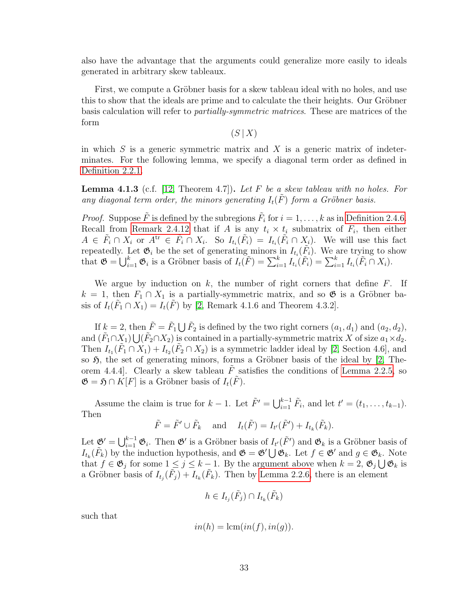also have the advantage that the arguments could generalize more easily to ideals generated in arbitrary skew tableaux.

First, we compute a Gröbner basis for a skew tableau ideal with no holes, and use this to show that the ideals are prime and to calculate the their heights. Our Gröbner basis calculation will refer to partially-symmetric matrices. These are matrices of the form

 $(S | X)$ 

in which  $S$  is a generic symmetric matrix and  $X$  is a generic matrix of indeterminates. For the following lemma, we specify a diagonal term order as defined in [Definition 2.2.1.](#page-12-3)

<span id="page-40-0"></span>**Lemma 4.1.3** (c.f. [\[12,](#page-58-3) Theorem 4.7]). Let F be a skew tableau with no holes. For any diagonal term order, the minors generating  $I_t(F)$  form a Gröbner basis.

*Proof.* Suppose  $\tilde{F}$  is defined by the subregions  $\tilde{F}_i$  for  $i = 1, ..., k$  as in [Definition 2.4.6.](#page-22-1) Recall from [Remark 2.4.12](#page-24-0) that if A is any  $t_i \times t_i$  submatrix of  $\tilde{F}_i$ , then either  $A \in \tilde{F}_i \cap X_i$  or  $A^{\text{tr}} \in \tilde{F}_i \cap X_i$ . So  $I_{t_i}(\tilde{F}_i) = I_{t_i}(\tilde{F}_i \cap X_i)$ . We will use this fact repeatedly. Let  $\mathfrak{G}_i$  be the set of generating minors in  $I_{t_i}(\tilde{F}_i)$ . We are trying to show that  $\mathfrak{G} = \bigcup_{i=1}^k \mathfrak{G}_i$  is a Gröbner basis of  $I_t(\tilde{F}) = \sum_{i=1}^k I_{t_i}(\tilde{F}_i) = \sum_{i=1}^k I_{t_i}(\tilde{F}_i \cap X_i)$ .

We argue by induction on  $k$ , the number of right corners that define  $F$ . If  $k = 1$ , then  $F_1 \cap X_1$  is a partially-symmetric matrix, and so  $\mathfrak{G}$  is a Gröbner basis of  $I_t(\tilde{F}_1 \cap X_1) = I_t(\tilde{F})$  by [\[2,](#page-58-9) Remark 4.1.6 and Theorem 4.3.2].

If  $k = 2$ , then  $\tilde{F} = \tilde{F}_1 \bigcup \tilde{F}_2$  is defined by the two right corners  $(a_1, d_1)$  and  $(a_2, d_2)$ , and  $(\tilde{F}_1 \cap X_1) \bigcup (\tilde{F}_2 \cap X_2)$  is contained in a partially-symmetric matrix X of size  $a_1 \times d_2$ . Then  $I_{t_1}(\tilde{F}_1 \cap X_1) + I_{t_2}(\tilde{F}_2 \cap X_2)$  is a symmetric ladder ideal by [\[2,](#page-58-9) Section 4.6], and so  $\mathfrak{H}$ , the set of generating minors, forms a Gröbner basis of the ideal by [\[2,](#page-58-9) Theorem 4.4.4. Clearly a skew tableau  $\tilde{F}$  satisfies the conditions of [Lemma 2.2.5,](#page-13-0) so  $\mathfrak{G} = \mathfrak{H} \cap K[F]$  is a Gröbner basis of  $I_t(\tilde{F})$ .

Assume the claim is true for  $k-1$ . Let  $\tilde{F}' = \bigcup_{i=1}^{k-1} \tilde{F}_i$ , and let  $t' = (t_1, \ldots, t_{k-1})$ . Then

$$
\tilde{F} = \tilde{F}' \cup \tilde{F}_k
$$
 and  $I_t(\tilde{F}) = I_{t'}(\tilde{F}') + I_{t_k}(\tilde{F}_k)$ .

Let  $\mathfrak{G}' = \bigcup_{i=1}^{k-1} \mathfrak{G}_i$ . Then  $\mathfrak{G}'$  is a Gröbner basis of  $I_{t'}(\tilde{F}')$  and  $\mathfrak{G}_k$  is a Gröbner basis of  $I_{t_k}(\tilde{F}_k)$  by the induction hypothesis, and  $\mathfrak{G} = \mathfrak{G}' \bigcup \mathfrak{G}_k$ . Let  $f \in \mathfrak{G}'$  and  $g \in \mathfrak{G}_k$ . Note that  $f \in \mathfrak{G}_j$  for some  $1 \leq j \leq k-1$ . By the argument above when  $k = 2$ ,  $\mathfrak{G}_j \bigcup \mathfrak{G}_k$  is a Gröbner basis of  $I_{t_j}(\tilde{F}_j) + I_{t_k}(\tilde{F}_k)$ . Then by [Lemma 2.2.6,](#page-13-1) there is an element

$$
h \in I_{t_j}(\tilde{F}_j) \cap I_{t_k}(\tilde{F}_k)
$$

such that

$$
in(h) = \operatorname{lcm}(in(f), in(g)).
$$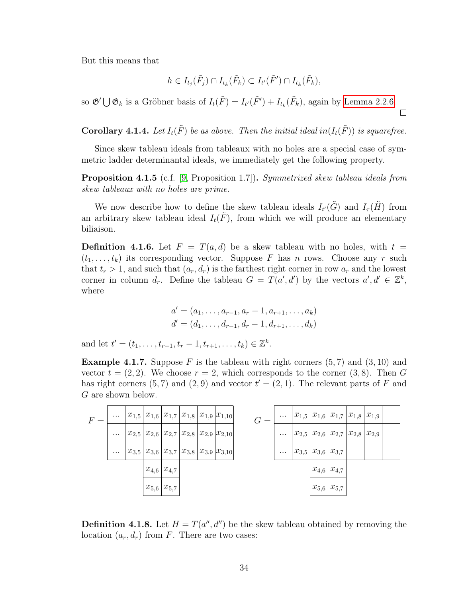But this means that

$$
h \in I_{t_j}(\tilde{F}_j) \cap I_{t_k}(\tilde{F}_k) \subset I_{t'}(\tilde{F}') \cap I_{t_k}(\tilde{F}_k),
$$

so  $\mathfrak{G}' \bigcup \mathfrak{G}_k$  is a Gröbner basis of  $I_t(\tilde{F}) = I_{t'}(\tilde{F}') + I_{t_k}(\tilde{F}_k)$ , again by [Lemma 2.2.6.](#page-13-1)

**Corollary 4.1.4.** Let  $I_t(\tilde{F})$  be as above. Then the initial ideal in( $I_t(\tilde{F})$ ) is squarefree.

 $\Box$ 

Since skew tableau ideals from tableaux with no holes are a special case of symmetric ladder determinantal ideals, we immediately get the following property.

<span id="page-41-1"></span>Proposition 4.1.5 (c.f. [\[9,](#page-58-10) Proposition 1.7]). Symmetrized skew tableau ideals from skew tableaux with no holes are prime.

We now describe how to define the skew tableau ideals  $I_{t'}(\tilde{G})$  and  $I_{\tau}(\tilde{H})$  from an arbitrary skew tableau ideal  $I_t(\tilde{F})$ , from which we will produce an elementary biliaison.

<span id="page-41-0"></span>**Definition 4.1.6.** Let  $F = T(a,d)$  be a skew tableau with no holes, with  $t =$  $(t_1, \ldots, t_k)$  its corresponding vector. Suppose F has n rows. Choose any r such that  $t_r > 1$ , and such that  $(a_r, d_r)$  is the farthest right corner in row  $a_r$  and the lowest corner in column  $d_r$ . Define the tableau  $G = T(a', d')$  by the vectors  $a', d' \in \mathbb{Z}^k$ , where

$$
a' = (a_1, \dots, a_{r-1}, a_r - 1, a_{r+1}, \dots, a_k)
$$
  

$$
d' = (d_1, \dots, d_{r-1}, d_r - 1, d_{r+1}, \dots, d_k)
$$

and let  $t' = (t_1, \ldots, t_{r-1}, t_r - 1, t_{r+1}, \ldots, t_k) \in \mathbb{Z}^k$ .

**Example 4.1.7.** Suppose F is the tableau with right corners  $(5, 7)$  and  $(3, 10)$  and vector  $t = (2, 2)$ . We choose  $r = 2$ , which corresponds to the corner  $(3, 8)$ . Then G has right corners  $(5, 7)$  and  $(2, 9)$  and vector  $t' = (2, 1)$ . The relevant parts of F and G are shown below.

| $F =$ |          | $ x_{1,5} x_{1,6} x_{1,7} x_{1,8} x_{1,9} x_{1,10} $           |  |  | $G =$ | $\ldots$ | $ x_{1,5} x_{1,6} x_{1,7} x_{1,8} x_{1,9}$ |                     |  |  |
|-------|----------|----------------------------------------------------------------|--|--|-------|----------|--------------------------------------------|---------------------|--|--|
|       | $\cdots$ | $ x_{2,5} x_{2,6} x_{2,7} x_{2,8} x_{2,9} x_{2,10} $           |  |  |       | $\cdots$ | $ x_{2,5} x_{2,6} x_{2,7} x_{2,8} x_{2,9}$ |                     |  |  |
|       |          | $ x_{3,5}  x_{3,6}   x_{3,7}   x_{3,8}   x_{3,9}   x_{3,10}  $ |  |  |       | $\ldots$ | $ x_{3,5} x_{3,6} x_{3,7}$                 |                     |  |  |
|       |          | $ x_{4,6} x_{4,7}$                                             |  |  |       |          |                                            | $x_{4,6}$ $x_{4,7}$ |  |  |
|       |          | $x_{5,6}$   $x_{5,7}$                                          |  |  |       |          |                                            | $x_{5,6}$ $x_{5,7}$ |  |  |

**Definition 4.1.8.** Let  $H = T(a'', d'')$  be the skew tableau obtained by removing the location  $(a_r, d_r)$  from F. There are two cases: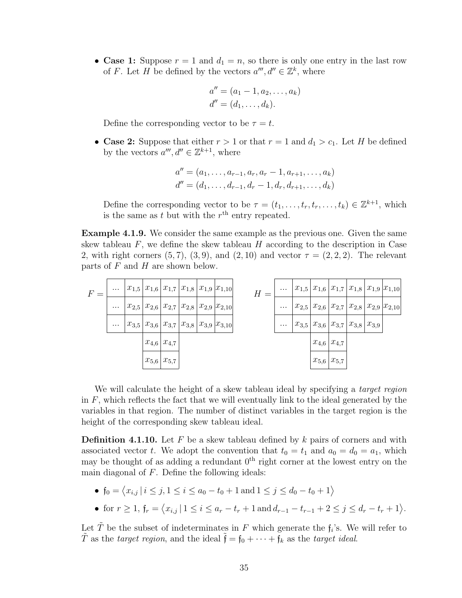• Case 1: Suppose  $r = 1$  and  $d_1 = n$ , so there is only one entry in the last row of F. Let H be defined by the vectors  $a'''$ ,  $d'' \in \mathbb{Z}^k$ , where

$$
a'' = (a_1 - 1, a_2, \dots, a_k) d'' = (d_1, \dots, d_k).
$$

Define the corresponding vector to be  $\tau = t$ .

• Case 2: Suppose that either  $r > 1$  or that  $r = 1$  and  $d_1 > c_1$ . Let H be defined by the vectors  $a'''$ ,  $d'' \in \mathbb{Z}^{k+1}$ , where

$$
a'' = (a_1, \dots, a_{r-1}, a_r, a_r - 1, a_{r+1}, \dots, a_k)
$$
  

$$
d'' = (d_1, \dots, d_{r-1}, d_r - 1, d_r, d_{r+1}, \dots, d_k)
$$

Define the corresponding vector to be  $\tau = (t_1, \ldots, t_r, t_r, \ldots, t_k) \in \mathbb{Z}^{k+1}$ , which is the same as t but with the  $r<sup>th</sup>$  entry repeated.

Example 4.1.9. We consider the same example as the previous one. Given the same skew tableau  $F$ , we define the skew tableau  $H$  according to the description in Case 2, with right corners  $(5, 7)$ ,  $(3, 9)$ , and  $(2, 10)$  and vector  $\tau = (2, 2, 2)$ . The relevant parts of  $F$  and  $H$  are shown below.

| $F =$ |          | $ x_{1,5}  x_{1,6}   x_{1,7}   x_{1,8}   x_{1,9}   x_{1,10}  $ |                                                                        |                     |  |  | $H =$ | $\cdots$ |                     |                     |                                            | $ x_{1,5} x_{1,6} x_{1,7} x_{1,8} x_{1,9} x_{1,10} $ |
|-------|----------|----------------------------------------------------------------|------------------------------------------------------------------------|---------------------|--|--|-------|----------|---------------------|---------------------|--------------------------------------------|------------------------------------------------------|
|       | $\cdots$ | $ x_{2,5} x_{2,6} x_{2,7} x_{2,8} x_{2,9} x_{2,10} $           |                                                                        |                     |  |  |       | $\cdots$ |                     |                     |                                            | $ x_{2,5} x_{2,6} x_{2,7} x_{2,8} x_{2,9} x_{2,10} $ |
|       | $\cdots$ |                                                                | $x_{3,5}$   $x_{3,6}$   $x_{3,7}$   $x_{3,8}$   $x_{3,9}$   $x_{3,10}$ |                     |  |  |       | $\cdots$ |                     |                     | $ x_{3,5} x_{3,6} x_{3,7} x_{3,8} x_{3,9}$ |                                                      |
|       |          |                                                                | $x_{4,6}$ $x_{4,7}$                                                    |                     |  |  |       |          | $x_{4,6}$ $x_{4,7}$ |                     |                                            |                                                      |
|       |          |                                                                |                                                                        | $x_{5,6}$ $x_{5,7}$ |  |  |       |          |                     | $x_{5,6}$ $x_{5,7}$ |                                            |                                                      |

We will calculate the height of a skew tableau ideal by specifying a *target region* in  $F$ , which reflects the fact that we will eventually link to the ideal generated by the variables in that region. The number of distinct variables in the target region is the height of the corresponding skew tableau ideal.

<span id="page-42-0"></span>**Definition 4.1.10.** Let  $F$  be a skew tableau defined by  $k$  pairs of corners and with associated vector t. We adopt the convention that  $t_0 = t_1$  and  $a_0 = d_0 = a_1$ , which may be thought of as adding a redundant  $0<sup>th</sup>$  right corner at the lowest entry on the main diagonal of  $F$ . Define the following ideals:

- $f_0 = \langle x_{i,j} | i \leq j, 1 \leq i \leq a_0 t_0 + 1 \text{ and } 1 \leq j \leq d_0 t_0 + 1 \rangle$
- for  $r \geq 1$ ,  $f_r = \langle x_{i,j} | 1 \leq i \leq a_r t_r + 1$  and  $d_{r-1} t_{r-1} + 2 \leq j \leq d_r t_r + 1$ .

Let  $\tilde{T}$  be the subset of indeterminates in F which generate the  $f_i$ 's. We will refer to  $\tilde{T}$  as the target region, and the ideal  $\tilde{\mathfrak{f}} = \mathfrak{f}_0 + \cdots + \mathfrak{f}_k$  as the target ideal.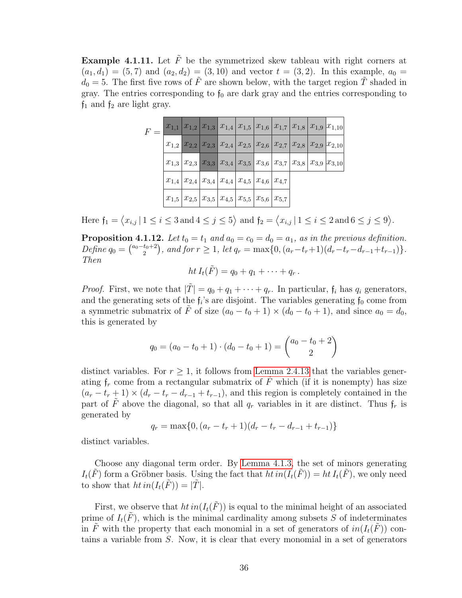Example 4.1.11. Let  $\tilde{F}$  be the symmetrized skew tableau with right corners at  $(a_1, d_1) = (5, 7)$  and  $(a_2, d_2) = (3, 10)$  and vector  $t = (3, 2)$ . In this example,  $a_0 =$  $d_0 = 5$ . The first five rows of  $\tilde{F}$  are shown below, with the target region  $\tilde{T}$  shaded in gray. The entries corresponding to  $f_0$  are dark gray and the entries corresponding to  $f_1$  and  $f_2$  are light gray.

| $F =$ |  |                                                                       |  |                          |  | $x_{1,1}   x_{1,2}   x_{1,3}   x_{1,4}   x_{1,5}   x_{1,6}   x_{1,7}   x_{1,8}   x_{1,9}   x_{1,10}$                   |
|-------|--|-----------------------------------------------------------------------|--|--------------------------|--|------------------------------------------------------------------------------------------------------------------------|
|       |  |                                                                       |  |                          |  | $x_{1,2}$   $x_{2,2}$   $x_{2,3}$   $x_{2,4}$   $x_{2,5}$   $x_{2,6}$   $x_{2,7}$   $x_{2,8}$   $x_{2,9}$   $x_{2,10}$ |
|       |  |                                                                       |  |                          |  | $x_{1,3}$   $x_{2,3}$   $x_{3,3}$   $x_{3,4}$   $x_{3,5}$   $x_{3,6}$   $x_{3,7}$   $x_{3,8}$   $x_{3,9}$   $x_{3,10}$ |
|       |  | $x_{1,4} x_{2,4} x_{3,4} x_{4,4} x_{4,5} x_{4,6} x_{4,7}$             |  |                          |  |                                                                                                                        |
|       |  | $x_{1,5}$   $x_{2,5}$   $x_{3,5}$   $x_{4,5}$   $x_{5,5}$   $x_{5,6}$ |  | $\lfloor x_{5,7}\rfloor$ |  |                                                                                                                        |

Here  $\mathfrak{f}_1 = \langle x_{i,j} | 1 \le i \le 3 \text{ and } 4 \le j \le 5 \rangle$  and  $\mathfrak{f}_2 = \langle x_{i,j} | 1 \le i \le 2 \text{ and } 6 \le j \le 9 \rangle$ .

<span id="page-43-0"></span>**Proposition 4.1.12.** Let  $t_0 = t_1$  and  $a_0 = c_0 = d_0 = a_1$ , as in the previous definition. Define  $q_0 = \binom{a_0 - t_0 + 2}{2}$  $\binom{t_0+2}{2}$ , and for  $r \geq 1$ , let  $q_r = \max\{0, (a_r-t_r+1)(d_r-t_r-d_{r-1}+t_{r-1})\}.$ Then

$$
ht I_t(\tilde{F}) = q_0 + q_1 + \cdots + q_r.
$$

*Proof.* First, we note that  $|\tilde{T}| = q_0 + q_1 + \cdots + q_r$ . In particular,  $f_i$  has  $q_i$  generators, and the generating sets of the  $f_i$ 's are disjoint. The variables generating  $f_0$  come from a symmetric submatrix of  $\tilde{F}$  of size  $(a_0 - t_0 + 1) \times (d_0 - t_0 + 1)$ , and since  $a_0 = d_0$ , this is generated by

$$
q_0 = (a_0 - t_0 + 1) \cdot (d_0 - t_0 + 1) = \begin{pmatrix} a_0 - t_0 + 2 \\ 2 \end{pmatrix}
$$

distinct variables. For  $r > 1$ , it follows from [Lemma 2.4.13](#page-25-1) that the variables generating  $f_r$  come from a rectangular submatrix of  $\tilde{F}$  which (if it is nonempty) has size  $(a_r - t_r + 1) \times (d_r - t_r - d_{r-1} + t_{r-1}),$  and this region is completely contained in the part of F above the diagonal, so that all  $q_r$  variables in it are distinct. Thus  $f_r$  is generated by

$$
q_r = \max\{0, (a_r - t_r + 1)(d_r - t_r - d_{r-1} + t_{r-1})\}
$$

distinct variables.

Choose any diagonal term order. By [Lemma 4.1.3,](#page-40-0) the set of minors generating  $I_t(\tilde{F})$  form a Gröbner basis. Using the fact that  $ht$   $in(I_t(\tilde{F})) = ht I_t(\tilde{F})$ , we only need to show that  $ht\,in(I_t(F)) = |T|$ .

First, we observe that  $ht\,in(I_t(\tilde{F}))$  is equal to the minimal height of an associated prime of  $I_t(\tilde{F})$ , which is the minimal cardinality among subsets S of indeterminates in  $\tilde{F}$  with the property that each monomial in a set of generators of  $in(I_t(\tilde{F}))$  contains a variable from S. Now, it is clear that every monomial in a set of generators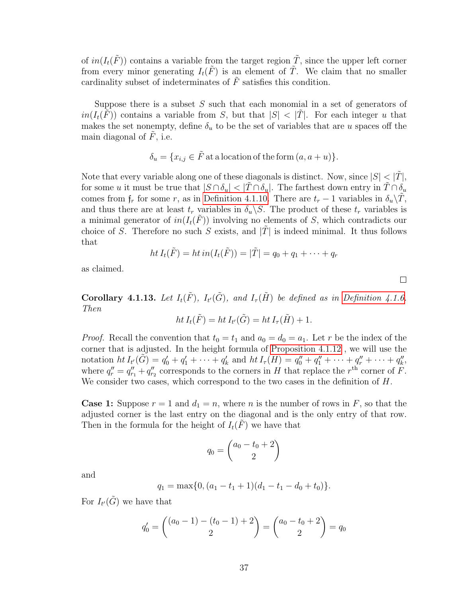of  $in(I_t(\tilde{F}))$  contains a variable from the target region  $\tilde{T}$ , since the upper left corner from every minor generating  $I_t(\tilde{F})$  is an element of  $\tilde{T}$ . We claim that no smaller cardinality subset of indeterminates of  $\ddot{F}$  satisfies this condition.

Suppose there is a subset  $S$  such that each monomial in a set of generators of  $in(I_t(F))$  contains a variable from S, but that  $|S| < |T|$ . For each integer u that makes the set nonempty, define  $\delta_u$  to be the set of variables that are u spaces off the main diagonal of  $F$ , i.e.

$$
\delta_u = \{ x_{i,j} \in \tilde{F} \text{ at a location of the form } (a, a + u) \}.
$$

Note that every variable along one of these diagonals is distinct. Now, since  $|S| < |\tilde{T}|$ , for some u it must be true that  $|S \cap \delta_u| < |\tilde{T} \cap \delta_u|$ . The farthest down entry in  $\tilde{T} \cap \delta_u$ comes from  $f_r$  for some r, as in [Definition 4.1.10.](#page-42-0) There are  $t_r - 1$  variables in  $\delta_u \backslash T$ , and thus there are at least  $t_r$  variables in  $\delta_u \backslash S$ . The product of these  $t_r$  variables is a minimal generator of  $in(I_t(\tilde{F}))$  involving no elements of S, which contradicts our choice of S. Therefore no such S exists, and  $|T|$  is indeed minimal. It thus follows that

$$
ht I_t(\tilde{F}) = ht in(I_t(\tilde{F})) = |\tilde{T}| = q_0 + q_1 + \cdots + q_r
$$

as claimed.

**Corollary 4.1.13.** Let  $I_t(\tilde{F})$ ,  $I_{t'}(\tilde{G})$ , and  $I_{\tau}(\tilde{H})$  be defined as in [Definition 4.1.6.](#page-41-0) Then

$$
ht I_t(\tilde{F}) = ht I_{t'}(\tilde{G}) = ht I_{\tau}(\tilde{H}) + 1.
$$

*Proof.* Recall the convention that  $t_0 = t_1$  and  $a_0 = d_0 = a_1$ . Let r be the index of the corner that is adjusted. In the height formula of [Proposition 4.1.12](#page-43-0) , we will use the notation  $ht I_{t'}(\tilde{G}) = q_0' + q_1' + \cdots + q_k'$  and  $ht I_{\tau}(\tilde{H}) = q_0'' + q_1'' + \cdots + q_k'' + \cdots + q_k''$ where  $q''_r = q''_{r_1} + q''_{r_2}$  corresponds to the corners in H that replace the  $r<sup>th</sup>$  corner of F. We consider two cases, which correspond to the two cases in the definition of  $H$ .

**Case 1:** Suppose  $r = 1$  and  $d_1 = n$ , where n is the number of rows in F, so that the adjusted corner is the last entry on the diagonal and is the only entry of that row. Then in the formula for the height of  $I_t(F)$  we have that

$$
q_0 = \binom{a_0 - t_0 + 2}{2}
$$

and

$$
q_1 = \max\{0, (a_1 - t_1 + 1)(d_1 - t_1 - d_0 + t_0)\}.
$$

For  $I_{t'}(\tilde{G})$  we have that

$$
q'_0 = \binom{(a_0 - 1) - (t_0 - 1) + 2}{2} = \binom{a_0 - t_0 + 2}{2} = q_0
$$

 $\Box$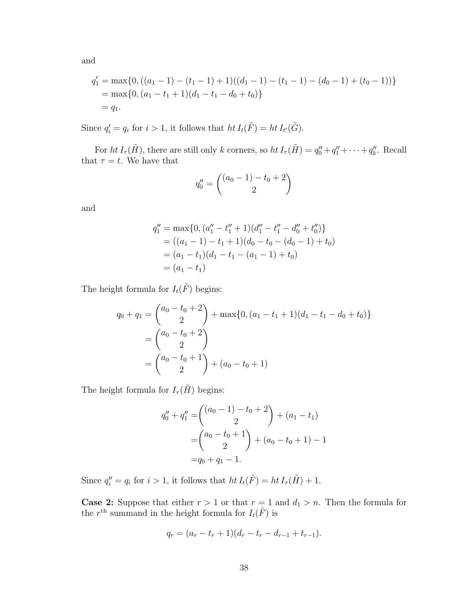and

$$
q'_1 = \max\{0, ((a_1 - 1) - (t_1 - 1) + 1)((d_1 - 1) - (t_1 - 1) - (d_0 - 1) + (t_0 - 1))\}
$$
  
=  $\max\{0, (a_1 - t_1 + 1)(d_1 - t_1 - d_0 + t_0)\}$   
=  $q_1$ .

Since  $q_i' = q_i$  for  $i > 1$ , it follows that  $ht I_t(\tilde{F}) = ht I_{t'}(\tilde{G})$ .

For  $ht I_{\tau}(\tilde{H})$ , there are still only k corners, so  $ht I_{\tau}(\tilde{H}) = q''_0 + q''_1 + \cdots + q''_k$ . Recall that  $\tau = t$ . We have that

$$
q_0'' = \binom{(a_0 - 1) - t_0 + 2}{2}
$$

and

$$
q_1'' = \max\{0, (a_1'' - t_1'' + 1)(d_1'' - t_1'' - d_0'' + t_0'')\}
$$
  
=  $((a_1 - 1) - t_1 + 1)(d_0 - t_0 - (d_0 - 1) + t_0)$   
=  $(a_1 - t_1)(d_1 - t_1 - (a_1 - 1) + t_0)$   
=  $(a_1 - t_1)$ 

The height formula for  $I_t(\tilde{F})$  begins:

$$
q_0 + q_1 = \binom{a_0 - t_0 + 2}{2} + \max\{0, (a_1 - t_1 + 1)(d_1 - t_1 - d_0 + t_0)\}
$$
  
= 
$$
\binom{a_0 - t_0 + 2}{2}
$$
  
= 
$$
\binom{a_0 - t_0 + 1}{2} + (a_0 - t_0 + 1)
$$

The height formula for  $I_{\tau}(\tilde{H})$  begins:

$$
q_0'' + q_1'' = \binom{(a_0 - 1) - t_0 + 2}{2} + (a_1 - t_1)
$$
  
= 
$$
\binom{a_0 - t_0 + 1}{2} + (a_0 - t_0 + 1) - 1
$$
  
= 
$$
q_0 + q_1 - 1.
$$

Since  $q''_i = q_i$  for  $i > 1$ , it follows that  $ht I_t(\tilde{F}) = ht I_{\tau}(\tilde{H}) + 1$ .

**Case 2:** Suppose that either  $r > 1$  or that  $r = 1$  and  $d_1 > n$ . Then the formula for the  $r<sup>th</sup>$  summand in the height formula for  $I_t(\tilde{F})$  is

$$
q_r = (a_r - t_r + 1)(d_r - t_r - d_{r-1} + t_{r-1}).
$$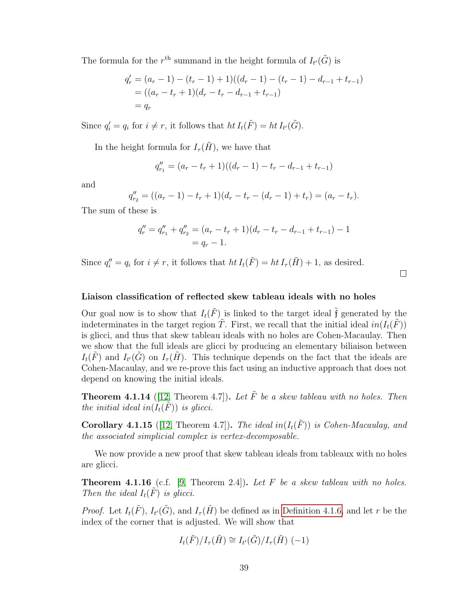The formula for the  $r<sup>th</sup>$  summand in the height formula of  $I_{t'}(\tilde{G})$  is

$$
q'_r = (a_r - 1) - (t_r - 1) + 1)((d_r - 1) - (t_r - 1) - d_{r-1} + t_{r-1})
$$
  
= ((a\_r - t\_r + 1)(d\_r - t\_r - d\_{r-1} + t\_{r-1})  
= q\_r

Since  $q_i' = q_i$  for  $i \neq r$ , it follows that  $ht I_t(\tilde{F}) = ht I_{t'}(\tilde{G})$ .

In the height formula for  $I_{\tau}(\tilde{H})$ , we have that

$$
q_{r_1}'' = (a_r - t_r + 1)((d_r - 1) - t_r - d_{r-1} + t_{r-1})
$$

and

$$
q_{r_2}'' = ((a_r - 1) - t_r + 1)(d_r - t_r - (d_r - 1) + t_r) = (a_r - t_r).
$$

The sum of these is

$$
q''_r = q''_{r_1} + q''_{r_2} = (a_r - t_r + 1)(d_r - t_r - d_{r-1} + t_{r-1}) - 1
$$
  
=  $q_r - 1$ .

Since  $q''_i = q_i$  for  $i \neq r$ , it follows that  $ht I_t(\tilde{F}) = ht I_{\tau}(\tilde{H}) + 1$ , as desired.

 $\Box$ 

#### Liaison classification of reflected skew tableau ideals with no holes

Our goal now is to show that  $I_t(\tilde{F})$  is linked to the target ideal  $\tilde{f}$  generated by the indeterminates in the target region  $\tilde{T}$ . First, we recall that the initial ideal  $in(I_t(\tilde{F}))$ is glicci, and thus that skew tableau ideals with no holes are Cohen-Macaulay. Then we show that the full ideals are glicci by producing an elementary biliaison between  $I_t(\tilde{F})$  and  $I_{t'}(\tilde{G})$  on  $I_{\tau}(\tilde{H})$ . This technique depends on the fact that the ideals are Cohen-Macaulay, and we re-prove this fact using an inductive approach that does not depend on knowing the initial ideals.

**Theorem 4.1.14** ([\[12,](#page-58-3) Theorem 4.7]). Let  $\tilde{F}$  be a skew tableau with no holes. Then the initial ideal in $(I_t(\tilde{F}))$  is glicci.

<span id="page-46-0"></span>**Corollary 4.1.15** ([\[12,](#page-58-3) Theorem 4.7]). The ideal in( $I_t(\tilde{F})$ ) is Cohen-Macaulay, and the associated simplicial complex is vertex-decomposable.

We now provide a new proof that skew tableau ideals from tableaux with no holes are glicci.

<span id="page-46-1"></span>**Theorem 4.1.16** (c.f. [\[9,](#page-58-10) Theorem 2.4]). Let F be a skew tableau with no holes. Then the ideal  $I_t(\tilde{F})$  is glicci.

*Proof.* Let  $I_t(\tilde{F})$ ,  $I_{t'}(\tilde{G})$ , and  $I_{\tau}(\tilde{H})$  be defined as in [Definition 4.1.6,](#page-41-0) and let r be the index of the corner that is adjusted. We will show that

$$
I_t(\tilde{F})/I_{\tau}(\tilde{H}) \cong I_{t'}(\tilde{G})/I_{\tau}(\tilde{H}) (-1)
$$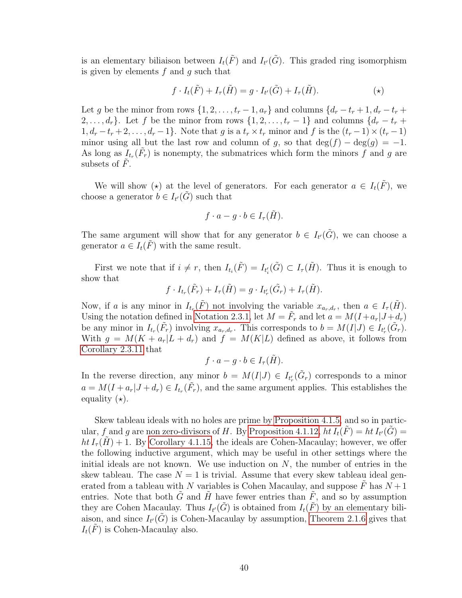is an elementary biliaison between  $I_t(\tilde{F})$  and  $I_{t'}(\tilde{G})$ . This graded ring isomorphism is given by elements  $f$  and  $g$  such that

$$
f \cdot I_t(\tilde{F}) + I_\tau(\tilde{H}) = g \cdot I_{t'}(\tilde{G}) + I_\tau(\tilde{H}). \tag{(*)}
$$

Let g be the minor from rows  $\{1, 2, \ldots, t_r - 1, a_r\}$  and columns  $\{d_r - t_r + 1, d_r - t_r +$ 2, ...,  $d_r$ . Let f be the minor from rows  $\{1, 2, \ldots, t_r - 1\}$  and columns  $\{d_r - t_r +$  $1, d_r - t_r + 2, \ldots, d_r - 1$ . Note that g is a  $t_r \times t_r$  minor and f is the  $(t_r - 1) \times (t_r - 1)$ minor using all but the last row and column of q, so that  $\deg(f) - \deg(q) = -1$ . As long as  $I_{t_r}(\tilde{F}_r)$  is nonempty, the submatrices which form the minors f and g are subsets of  $F$ .

We will show ( $\star$ ) at the level of generators. For each generator  $a \in I_t(\tilde{F})$ , we choose a generator  $b \in I_{t'}(\tilde{G})$  such that

$$
f \cdot a - g \cdot b \in I_{\tau}(\tilde{H}).
$$

The same argument will show that for any generator  $b \in I_{t'}(\tilde{G})$ , we can choose a generator  $a \in I_t(\tilde{F})$  with the same result.

First we note that if  $i \neq r$ , then  $I_{t_i}(\tilde{F}) = I_{t_i}(\tilde{G}) \subset I_{\tau}(\tilde{H})$ . Thus it is enough to show that

$$
f \cdot I_{t_r}(\tilde{F}_r) + I_{\tau}(\tilde{H}) = g \cdot I_{t'_r}(\tilde{G}_r) + I_{\tau}(\tilde{H}).
$$

Now, if a is any minor in  $I_{t_r}(\tilde{F})$  not involving the variable  $x_{a_r,d_r}$ , then  $a \in I_{\tau}(\tilde{H})$ . Using the notation defined in [Notation 2.3.1,](#page-14-2) let  $M = \tilde{F}_r$  and let  $a = M(I + a_r | J + d_r)$ be any minor in  $I_{t_r}(\tilde{F}_r)$  involving  $x_{a_r,d_r}$ . This corresponds to  $b = M(I|J) \in I_{t'_r}(\tilde{G}_r)$ . With  $g = M(K + a_r)L + d_r$  and  $f = M(K)L$  defined as above, it follows from [Corollary 2.3.11](#page-18-0) that

$$
f \cdot a - g \cdot b \in I_{\tau}(\tilde{H}).
$$

In the reverse direction, any minor  $b = M(I|J) \in I_{t_r}(\tilde{G}_r)$  corresponds to a minor  $a = M(I + a_r | J + d_r) \in I_{t_r}(\tilde{F}_r)$ , and the same argument applies. This establishes the equality  $(\star)$ .

Skew tableau ideals with no holes are prime by [Proposition 4.1.5,](#page-41-1) and so in partic-ular, f and g are non zero-divisors of H. By [Proposition 4.1.12,](#page-43-0)  $ht I_t(\tilde{F}) = ht I_{t'}(\tilde{G}) =$  $ht I_{\tau}(H) + 1$ . By [Corollary 4.1.15,](#page-46-0) the ideals are Cohen-Macaulay; however, we offer the following inductive argument, which may be useful in other settings where the initial ideals are not known. We use induction on  $N$ , the number of entries in the skew tableau. The case  $N = 1$  is trivial. Assume that every skew tableau ideal generated from a tableau with N variables is Cohen Macaulay, and suppose  $\tilde{F}$  has  $N+1$ entries. Note that both  $\tilde{G}$  and  $\tilde{H}$  have fewer entries than  $\tilde{F}$ , and so by assumption they are Cohen Macaulay. Thus  $I_{t'}(\tilde{G})$  is obtained from  $I_t(\tilde{F})$  by an elementary biliaison, and since  $I_{t'}(\tilde{G})$  is Cohen-Macaulay by assumption, [Theorem 2.1.6](#page-12-1) gives that  $I_t(F)$  is Cohen-Macaulay also.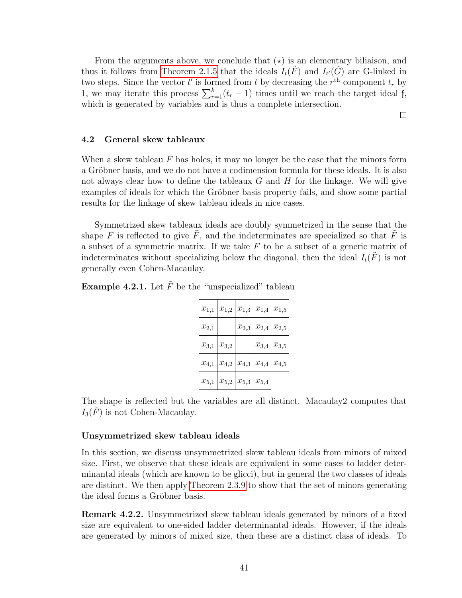From the arguments above, we conclude that  $(\star)$  is an elementary biliaison, and thus it follows from [Theorem 2.1.5](#page-12-2) that the ideals  $I_t(\tilde{F})$  and  $I_{t'}(\tilde{G})$  are G-linked in two steps. Since the vector  $t'$  is formed from t by decreasing the  $r<sup>th</sup>$  component  $t_r$  by 1, we may iterate this process  $\sum_{r=1}^{k} (t_r - 1)$  times until we reach the target ideal f, which is generated by variables and is thus a complete intersection.

 $\Box$ 

## <span id="page-48-0"></span>4.2 General skew tableaux

When a skew tableau F has holes, it may no longer be the case that the minors form a Gröbner basis, and we do not have a codimension formula for these ideals. It is also not always clear how to define the tableaux  $G$  and  $H$  for the linkage. We will give examples of ideals for which the Gröbner basis property fails, and show some partial results for the linkage of skew tableau ideals in nice cases.

Symmetrized skew tableaux ideals are doubly symmetrized in the sense that the shape F is reflected to give  $\tilde{F}$ , and the indeterminates are specialized so that  $\tilde{F}$  is a subset of a symmetric matrix. If we take  $F$  to be a subset of a generic matrix of indeterminates without specializing below the diagonal, then the ideal  $I_t(\tilde{F})$  is not generally even Cohen-Macaulay.

<span id="page-48-2"></span>**Example 4.2.1.** Let  $\tilde{F}$  be the "unspecialized" tableau

|                        |                       | $x_{1,1}   x_{1,2}   x_{1,3}   x_{1,4}   x_{1,5}$ |                                   |  |
|------------------------|-----------------------|---------------------------------------------------|-----------------------------------|--|
| $\boldsymbol{x}_{2,1}$ |                       |                                                   | $x_{2,3}$   $x_{2,4}$   $x_{2,5}$ |  |
|                        | $x_{3,1}$   $x_{3,2}$ |                                                   | $x_{3,4}$   $x_{3,5}$             |  |
|                        |                       | $x_{4,1}   x_{4,2}   x_{4,3}   x_{4,4}   x_{4,5}$ |                                   |  |
|                        |                       | $x_{5,1}$   $x_{5,2}$   $x_{5,3}$   $x_{5,4}$     |                                   |  |

The shape is reflected but the variables are all distinct. Macaulay2 computes that  $I_3(F)$  is not Cohen-Macaulay.

## Unsymmetrized skew tableau ideals

In this section, we discuss unsymmetrized skew tableau ideals from minors of mixed size. First, we observe that these ideals are equivalent in some cases to ladder determinantal ideals (which are known to be glicci), but in general the two classes of ideals are distinct. We then apply [Theorem 2.3.9](#page-17-1) to show that the set of minors generating the ideal forms a Gröbner basis.

<span id="page-48-1"></span>Remark 4.2.2. Unsymmetrized skew tableau ideals generated by minors of a fixed size are equivalent to one-sided ladder determinantal ideals. However, if the ideals are generated by minors of mixed size, then these are a distinct class of ideals. To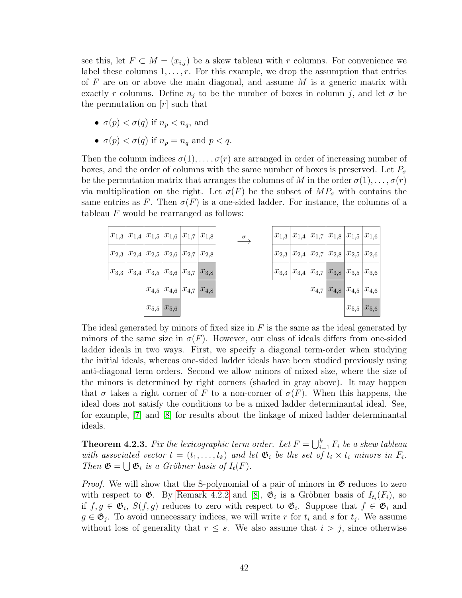see this, let  $F \subset M = (x_{i,j})$  be a skew tableau with r columns. For convenience we label these columns  $1, \ldots, r$ . For this example, we drop the assumption that entries of  $F$  are on or above the main diagonal, and assume  $M$  is a generic matrix with exactly r columns. Define  $n_j$  to be the number of boxes in column j, and let  $\sigma$  be the permutation on  $[r]$  such that

- $\sigma(p) < \sigma(q)$  if  $n_p < n_q$ , and
- $\sigma(p) < \sigma(q)$  if  $n_p = n_q$  and  $p < q$ .

Then the column indices  $\sigma(1), \ldots, \sigma(r)$  are arranged in order of increasing number of boxes, and the order of columns with the same number of boxes is preserved. Let  $P_{\sigma}$ be the permutation matrix that arranges the columns of M in the order  $\sigma(1), \ldots, \sigma(r)$ via multiplication on the right. Let  $\sigma(F)$  be the subset of  $MP_{\sigma}$  with contains the same entries as F. Then  $\sigma(F)$  is a one-sided ladder. For instance, the columns of a tableau  $F$  would be rearranged as follows:

| $x_{1,3}$   | $x_{1,4}$ $x_{1,5}$ $x_{1,6}$ $x_{1,7}$ $x_{1,8}$ |                     |                                               | $\stackrel{\sigma}{\longrightarrow}$ |             |  | $x_{1,3}   x_{1,4}   x_{1,7}   x_{1,8}   x_{1,5}  $ | $,  x_{1,6} $        |
|-------------|---------------------------------------------------|---------------------|-----------------------------------------------|--------------------------------------|-------------|--|-----------------------------------------------------|----------------------|
| $(x_{2,3})$ | $\ x_{2,4}\ x_{2,5}\ x_{2,6}\ x_{2,7}\ x_{2,8}\ $ |                     |                                               |                                      | $(x_{2,3})$ |  | $\ x_{2,4}\ x_{2,7}\ x_{2,8}\ x_{2,5}\ $            | , $\mid x_{2,6}\mid$ |
| $x_{3,3}$   | $x_{3,4}$ $x_{3,5}$ $x_{3,6}$ $x_{3,7}$ $x_{3,8}$ |                     |                                               |                                      |             |  | $x_{3,3}   x_{3,4}   x_{3,7}   x_{3,8}   x_{3,5}  $ | $x_{3,6}$            |
|             |                                                   |                     | $x_{4,5}$   $x_{4,6}$   $x_{4,7}$   $x_{4,8}$ |                                      |             |  | $x_{4,7}$ $x_{4,8}$ $x_{4,5}$                       | $,  x_{4,6} $        |
|             |                                                   | $x_{5,5}$ $x_{5,6}$ |                                               |                                      |             |  | $x_{5,5}$ $x_{5,6}$                                 |                      |

The ideal generated by minors of fixed size in  $F$  is the same as the ideal generated by minors of the same size in  $\sigma(F)$ . However, our class of ideals differs from one-sided ladder ideals in two ways. First, we specify a diagonal term-order when studying the initial ideals, whereas one-sided ladder ideals have been studied previously using anti-diagonal term orders. Second we allow minors of mixed size, where the size of the minors is determined by right corners (shaded in gray above). It may happen that  $\sigma$  takes a right corner of F to a non-corner of  $\sigma(F)$ . When this happens, the ideal does not satisfy the conditions to be a mixed ladder determinantal ideal. See, for example, [\[7\]](#page-58-12) and [\[8\]](#page-58-7) for results about the linkage of mixed ladder determinantal ideals.

**Theorem 4.2.3.** Fix the lexicographic term order. Let  $F = \bigcup_{i=1}^{k} F_i$  be a skew tableau with associated vector  $t = (t_1, \ldots, t_k)$  and let  $\mathfrak{G}_i$  be the set of  $t_i \times t_i$  minors in  $F_i$ . Then  $\mathfrak{G} = \bigcup \mathfrak{G}_i$  is a Gröbner basis of  $I_t(F)$ .

*Proof.* We will show that the S-polynomial of a pair of minors in  $\mathfrak{G}$  reduces to zero with respect to  $\mathfrak{G}$ . By [Remark 4.2.2](#page-48-1) and [\[8\]](#page-58-7),  $\mathfrak{G}_i$  is a Gröbner basis of  $I_{t_i}(F_i)$ , so if  $f, g \in \mathfrak{G}_i$ ,  $S(f, g)$  reduces to zero with respect to  $\mathfrak{G}_i$ . Suppose that  $f \in \mathfrak{G}_i$  and  $g \in \mathfrak{G}_j$ . To avoid unnecessary indices, we will write r for  $t_i$  and s for  $t_j$ . We assume without loss of generality that  $r \leq s$ . We also assume that  $i > j$ , since otherwise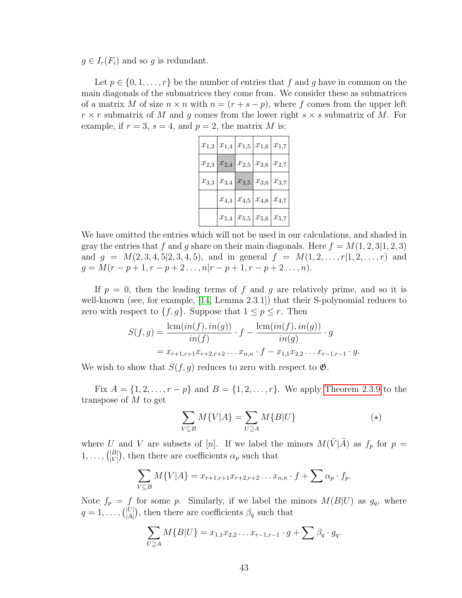$g \in I_r(F_i)$  and so g is redundant.

Let  $p \in \{0, 1, \ldots, r\}$  be the number of entries that f and g have in common on the main diagonals of the submatrices they come from. We consider these as submatrices of a matrix M of size  $n \times n$  with  $n = (r + s - p)$ , where f comes from the upper left  $r \times r$  submatrix of M and g comes from the lower right  $s \times s$  submatrix of M. For example, if  $r = 3$ ,  $s = 4$ , and  $p = 2$ , the matrix M is:

|  | $x_{1,3}$   $x_{1,4}$   $x_{1,5}$   $x_{1,6}$   $x_{1,7}$ |  |
|--|-----------------------------------------------------------|--|
|  | $x_{2,3}$ $x_{2,4}$ $x_{2,5}$ $x_{2,6}$ $x_{2,7}$         |  |
|  | $x_{3,3}$   $x_{3,4}$   $x_{3,5}$   $x_{3,6}$   $x_{3,7}$ |  |
|  | $x_{4,4} x_{4,5} x_{4,6} x_{4,7}$                         |  |
|  | $x_{5,4}$ $x_{5,5}$ $x_{5,6}$ $x_{5,7}$                   |  |

We have omitted the entries which will not be used in our calculations, and shaded in gray the entries that f and g share on their main diagonals. Here  $f = M(1, 2, 3|1, 2, 3)$ and  $g = M(2, 3, 4, 5|2, 3, 4, 5)$ , and in general  $f = M(1, 2, \ldots, r|1, 2, \ldots, r)$  and  $g = M(r - p + 1, r - p + 2, \ldots, n|r - p + 1, r - p + 2, \ldots, n).$ 

If  $p = 0$ , then the leading terms of f and g are relatively prime, and so it is well-known (see, for example, [\[14,](#page-58-13) Lemma 2.3.1]) that their S-polynomial reduces to zero with respect to  $\{f, g\}$ . Suppose that  $1 \leq p \leq r$ . Then

$$
S(f,g) = \frac{\operatorname{lcm}(in(f), in(g))}{in(f)} \cdot f - \frac{\operatorname{lcm}(in(f), in(g))}{in(g)} \cdot g
$$
  
=  $x_{r+1,r+1}x_{r+2,r+2} \dots x_{n,n} \cdot f - x_{1,1}x_{2,2} \dots x_{r-1,r-1} \cdot g.$ 

We wish to show that  $S(f, g)$  reduces to zero with respect to  $\mathfrak{G}$ .

Fix  $A = \{1, 2, ..., r - p\}$  and  $B = \{1, 2, ..., r\}$ . We apply [Theorem 2.3.9](#page-17-1) to the transpose of M to get

$$
\sum_{V \subseteq B} M\{V|A\} = \sum_{U \supseteq A} M\{B|U\} \tag{\star}
$$

where U and V are subsets of [n]. If we label the minors  $M(\tilde{V}|\tilde{A})$  as  $f_p$  for  $p =$  $1, \ldots, \binom{|B|}{|V|}$  $\binom{|B|}{|V|}$ , then there are coefficients  $\alpha_p$  such that

$$
\sum_{V \subseteq B} M\{V|A\} = x_{r+1,r+1}x_{r+2,r+2}\dots x_{n,n} \cdot f + \sum \alpha_p \cdot f_p.
$$

Note  $f_p = f$  for some p. Similarly, if we label the minors  $M(B|U)$  as  $g_q$ , where  $q=1,\ldots, \binom{|U|}{|A|}$  $\begin{bmatrix} |U| \\ |A| \end{bmatrix}$ , then there are coefficients  $\beta_q$  such that

$$
\sum_{U \supseteq A} M\{B|U\} = x_{1,1}x_{2,2}\dots x_{r-1,r-1} \cdot g + \sum \beta_q \cdot g_q.
$$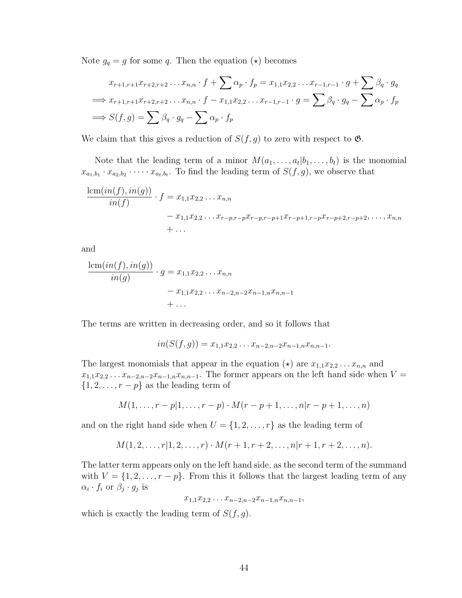Note  $g_q = g$  for some q. Then the equation  $(\star)$  becomes

$$
x_{r+1,r+1}x_{r+2,r+2}\dots x_{n,n} \cdot f + \sum \alpha_p \cdot f_p = x_{1,1}x_{2,2}\dots x_{r-1,r-1} \cdot g + \sum \beta_q \cdot g_q
$$
  
\n
$$
\implies x_{r+1,r+1}x_{r+2,r+2}\dots x_{n,n} \cdot f - x_{1,1}x_{2,2}\dots x_{r-1,r-1} \cdot g = \sum \beta_q \cdot g_q - \sum \alpha_p \cdot f_p
$$
  
\n
$$
\implies S(f,g) = \sum \beta_q \cdot g_q - \sum \alpha_p \cdot f_p
$$

We claim that this gives a reduction of  $S(f, g)$  to zero with respect to  $\mathfrak{G}$ .

Note that the leading term of a minor  $M(a_1, \ldots, a_t | b_1, \ldots, b_t)$  is the monomial  $x_{a_1,b_1} \cdot x_{a_2,b_2} \cdot \cdots \cdot x_{a_t,b_t}$ . To find the leading term of  $S(f,g)$ , we observe that

$$
\frac{\operatorname{lcm}(in(f), in(g))}{in(f)} \cdot f = x_{1,1}x_{2,2} \dots x_{n,n}
$$
  
-  $x_{1,1}x_{2,2} \dots x_{r-p,r-p}x_{r-p+1}x_{r-p+1,r-p}x_{r-p+2,r-p+2}, \dots, x_{n,n}$   
+ ...

and

$$
\frac{\text{lcm}(in(f), in(g))}{in(g)} \cdot g = x_{1,1}x_{2,2} \dots x_{n,n} - x_{1,1}x_{2,2} \dots x_{n-2,n-2}x_{n-1,n}x_{n,n-1} + \dots
$$

The terms are written in decreasing order, and so it follows that

$$
in(S(f,g)) = x_{1,1}x_{2,2}\ldots x_{n-2,n-2}x_{n-1,n}x_{n,n-1}.
$$

The largest monomials that appear in the equation  $(\star)$  are  $x_{1,1}x_{2,2} \ldots x_{n,n}$  and  $x_{1,1}x_{2,2} \ldots x_{n-2,n-2}x_{n-1,n}x_{n,n-1}$ . The former appears on the left hand side when  $V =$  $\{1, 2, \ldots, r - p\}$  as the leading term of

$$
M(1,\ldots,r-p|1,\ldots,r-p)\cdot M(r-p+1,\ldots,n|r-p+1,\ldots,n)
$$

and on the right hand side when  $U = \{1, 2, \ldots, r\}$  as the leading term of

$$
M(1, 2, \ldots, r | 1, 2, \ldots, r) \cdot M(r + 1, r + 2, \ldots, n | r + 1, r + 2, \ldots, n).
$$

The latter term appears only on the left hand side, as the second term of the summand with  $V = \{1, 2, \ldots, r - p\}$ . From this it follows that the largest leading term of any  $\alpha_i \cdot f_i$  or  $\beta_j \cdot g_j$  is

 $x_{1,1}x_{2,2} \ldots x_{n-2,n-2}x_{n-1,n}x_{n,n-1},$ 

which is exactly the leading term of  $S(f, g)$ .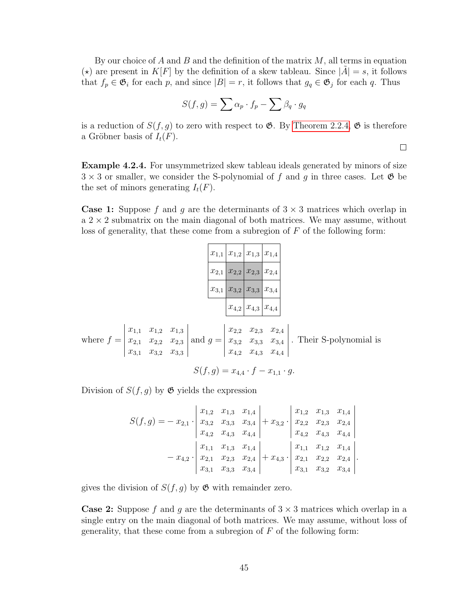By our choice of A and B and the definition of the matrix  $M$ , all terms in equation ( $\star$ ) are present in K[F] by the definition of a skew tableau. Since  $|A| = s$ , it follows that  $f_p \in \mathfrak{G}_i$  for each p, and since  $|B| = r$ , it follows that  $g_q \in \mathfrak{G}_j$  for each q. Thus

$$
S(f,g) = \sum \alpha_p \cdot f_p - \sum \beta_q \cdot g_q
$$

is a reduction of  $S(f, g)$  to zero with respect to  $\mathfrak{G}$ . By [Theorem 2.2.4,](#page-13-2)  $\mathfrak{G}$  is therefore a Gröbner basis of  $I_t(F)$ .

 $\Box$ 

Example 4.2.4. For unsymmetrized skew tableau ideals generated by minors of size  $3 \times 3$  or smaller, we consider the S-polynomial of f and g in three cases. Let  $\mathfrak{G}$  be the set of minors generating  $I_t(F)$ .

**Case 1:** Suppose f and g are the determinants of  $3 \times 3$  matrices which overlap in  $a \sim 2 \times 2$  submatrix on the main diagonal of both matrices. We may assume, without loss of generality, that these come from a subregion of  $F$  of the following form:

|             |  | $x_{1,1} x_{1,2} x_{1,3} x_{1,4}$ |                           |                               |     |  |
|-------------|--|-----------------------------------|---------------------------|-------------------------------|-----|--|
|             |  | $x_{2,1} x_{2,2} x_{2,3} x_{2,4}$ |                           |                               |     |  |
|             |  | $x_{3,1} x_{3,2} x_{3,3} x_{3,4}$ |                           |                               |     |  |
|             |  |                                   | $x_{4,2} x_{4,3} x_{4,4}$ |                               |     |  |
| 2 $x_{1,3}$ |  |                                   |                           | $x_{2,2}$ $x_{2,3}$ $x_{2,4}$ | --- |  |

where  $f =$  $x_{1,1}$   $x_{1,2}$   $x_{1,3}$  $x_{2,1}$   $x_{2,2}$   $x_{2,3}$  $x_{3,1}$   $x_{3,2}$   $x_{3,3}$ and  $g =$  $x_{3,2}$   $x_{3,3}$   $x_{3,4}$  $x_{4,2}$   $x_{4,3}$   $x_{4,4}$ . Their S-polynomial is

 $S(f, g) = x_{4,4} \cdot f - x_{1,1} \cdot g.$ 

Division of  $S(f, g)$  by  $\mathfrak G$  yields the expression

$$
S(f,g) = -x_{2,1} \cdot \begin{vmatrix} x_{1,2} & x_{1,3} & x_{1,4} \\ x_{3,2} & x_{3,3} & x_{3,4} \\ x_{4,2} & x_{4,3} & x_{4,4} \end{vmatrix} + x_{3,2} \cdot \begin{vmatrix} x_{1,2} & x_{1,3} & x_{1,4} \\ x_{2,2} & x_{2,3} & x_{2,4} \\ x_{4,2} & x_{4,3} & x_{4,4} \end{vmatrix} + x_{4,2} \cdot \begin{vmatrix} x_{1,3} & x_{1,4} \\ x_{2,2} & x_{2,3} & x_{2,4} \\ x_{4,2} & x_{4,3} & x_{4,4} \\ x_{5,1} & x_{5,2} & x_{5,4} \end{vmatrix} + x_{4,3} \cdot \begin{vmatrix} x_{1,1} & x_{1,2} & x_{1,4} \\ x_{2,1} & x_{2,2} & x_{2,4} \\ x_{3,1} & x_{3,2} & x_{3,4} \end{vmatrix}.
$$

gives the division of  $S(f, g)$  by  $\mathfrak{G}$  with remainder zero.

**Case 2:** Suppose f and g are the determinants of  $3 \times 3$  matrices which overlap in a single entry on the main diagonal of both matrices. We may assume, without loss of generality, that these come from a subregion of  $F$  of the following form: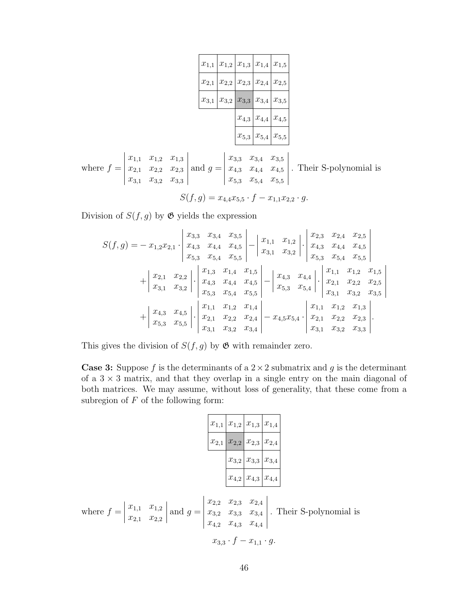|  |                                                                                     |                           | $x_{1,1}\left\lfloor x_{1,2}\left\lfloor x_{1,3}\left\lfloor x_{1,4}\right\rfloor x_{1,5}\right\rfloor\right.$ |
|--|-------------------------------------------------------------------------------------|---------------------------|----------------------------------------------------------------------------------------------------------------|
|  | $x_{2,1} x_{2,2} x_{2,3} x_{2,4} x_{2,5}$                                           |                           |                                                                                                                |
|  | $x_{3,1}\left\vert x_{3,2}\right\vert x_{3,3}\left\vert x_{3,4}\right\vert x_{3,5}$ |                           |                                                                                                                |
|  |                                                                                     | $x_{4,3} x_{4,4} x_{4,5}$ |                                                                                                                |
|  |                                                                                     |                           | $x_{5,3}$ $x_{5,4}$ $x_{5,5}$                                                                                  |

 $\mathbf{r}$ 

where 
$$
f = \begin{vmatrix} x_{1,1} & x_{1,2} & x_{1,3} \ x_{2,1} & x_{2,2} & x_{2,3} \ x_{3,1} & x_{3,2} & x_{3,3} \end{vmatrix}
$$
 and  $g = \begin{vmatrix} x_{3,3} & x_{3,4} & x_{3,5} \ x_{4,3} & x_{4,4} & x_{4,5} \ x_{5,3} & x_{5,4} & x_{5,5} \end{vmatrix}$ . Their S-polynomial is

$$
S(f,g) = x_{4,4}x_{5,5} \cdot f - x_{1,1}x_{2,2} \cdot g.
$$

Division of  $S(f, g)$  by  $\mathfrak G$  yields the expression

$$
S(f,g) = -x_{1,2}x_{2,1} \cdot \begin{vmatrix} x_{3,3} & x_{3,4} & x_{3,5} \ x_{4,3} & x_{4,4} & x_{4,5} \ x_{5,3} & x_{5,4} & x_{5,5} \ x_{5,3} & x_{5,4} & x_{5,5} \ x_{5,3} & x_{5,4} & x_{5,5} \ x_{5,3} & x_{5,4} & x_{5,5} \ x_{5,3} & x_{5,4} & x_{5,5} \ x_{5,3} & x_{5,4} & x_{5,5} \ x_{5,3} & x_{5,4} & x_{5,5} \ x_{5,3} & x_{5,4} & x_{5,5} \ x_{5,3} & x_{5,4} & x_{5,5} \ x_{5,3} & x_{5,4} & x_{5,5} \ x_{5,3} & x_{5,4} & x_{5,5} \ x_{5,3} & x_{5,4} & x_{5,5} \ x_{5,3} & x_{5,4} & x_{5,5} \ x_{5,3} & x_{5,4} & x_{5,5} \ x_{5,3} & x_{5,4} & x_{5,5} \ x_{5,3} & x_{5,4} & x_{5,5} \ x_{5,3} & x_{5,5} \ x_{5,3} & x_{5,5} \ x_{5,3} & x_{5,5} \ x_{5,3} & x_{5,5} \ x_{5,3} & x_{5,5} \ x_{5,3} & x_{5,5} \ x_{5,3} & x_{5,5} \ x_{5,3} & x_{5,5} \ x_{5,3} & x_{5,5} \ x_{5,3} & x_{5,5} \ x_{5,3} & x_{5,5} \ x_{5,3} & x_{5,5} \ x_{5,3} & x_{5,5} \ x_{5,3} & x_{5,5} \ x_{5,3} & x_{5,5} \end{vmatrix}.
$$

This gives the division of  $S(f, g)$  by  $\mathfrak G$  with remainder zero.

**Case 3:** Suppose f is the determinants of a  $2 \times 2$  submatrix and g is the determinant of a  $3 \times 3$  matrix, and that they overlap in a single entry on the main diagonal of both matrices. We may assume, without loss of generality, that these come from a subregion of  $F$  of the following form:

| $x_{1,1}$ | $x_{1,2}$ $x_{1,3}$ $x_{1,4}$ |           |
|-----------|-------------------------------|-----------|
| $x_{2,1}$ | $x_{2,2}$ $x_{2,3}$           | $x_{2,4}$ |
|           | $x_{3,2}$ $x_{3,3}$ $x_{3,4}$ |           |
|           | $x_{4,2}$ $x_{4,3}$           | $x_{4,4}$ |

where 
$$
f = \begin{vmatrix} x_{1,1} & x_{1,2} \\ x_{2,1} & x_{2,2} \end{vmatrix}
$$
 and  $g = \begin{vmatrix} x_{2,2} & x_{2,3} & x_{2,4} \\ x_{3,2} & x_{3,3} & x_{3,4} \\ x_{4,2} & x_{4,3} & x_{4,4} \end{vmatrix}$ . Their S-polynomial is  
\n
$$
x_{3,3} \cdot f - x_{1,1} \cdot g.
$$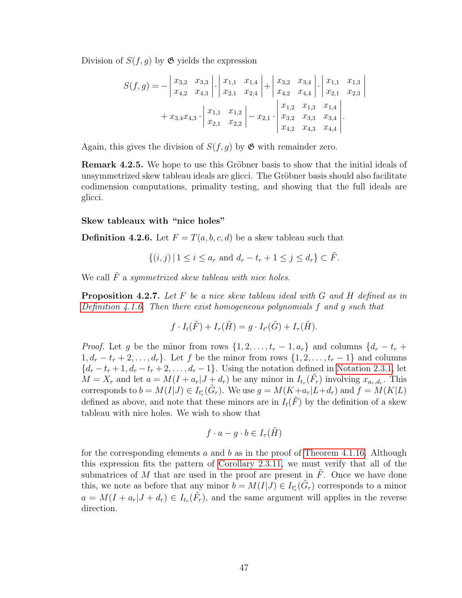Division of  $S(f, g)$  by  $\mathfrak G$  yields the expression

$$
S(f,g) = -\begin{vmatrix} x_{3,2} & x_{3,3} \\ x_{4,2} & x_{4,3} \end{vmatrix} \cdot \begin{vmatrix} x_{1,1} & x_{1,4} \\ x_{2,1} & x_{2,4} \end{vmatrix} + \begin{vmatrix} x_{3,2} & x_{3,4} \\ x_{4,2} & x_{4,4} \end{vmatrix} \cdot \begin{vmatrix} x_{1,1} & x_{1,3} \\ x_{2,1} & x_{2,3} \end{vmatrix}
$$
  
+  $x_{3,4}x_{4,3} \cdot \begin{vmatrix} x_{1,1} & x_{1,2} \\ x_{2,1} & x_{2,2} \end{vmatrix} - x_{2,1} \cdot \begin{vmatrix} x_{1,2} & x_{1,3} & x_{1,4} \\ x_{3,2} & x_{3,3} & x_{3,4} \\ x_{4,2} & x_{4,3} & x_{4,4} \end{vmatrix}.$ 

Again, this gives the division of  $S(f, g)$  by  $\mathfrak{G}$  with remainder zero.

**Remark 4.2.5.** We hope to use this Gröbner basis to show that the initial ideals of unsymmetrized skew tableau ideals are glicci. The Gröbner basis should also facilitate codimension computations, primality testing, and showing that the full ideals are glicci.

## Skew tableaux with "nice holes"

**Definition 4.2.6.** Let  $F = T(a, b, c, d)$  be a skew tableau such that

$$
\{(i,j) \mid 1 \le i \le a_r \text{ and } d_r - t_r + 1 \le j \le d_r\} \subset \tilde{F}.
$$

We call  $\tilde{F}$  a symmetrized skew tableau with nice holes.

**Proposition 4.2.7.** Let F be a nice skew tableau ideal with G and H defined as in [Definition 4.1.6.](#page-41-0) Then there exist homogeneous polynomials f and g such that

$$
f\cdot I_t(\tilde{F})+I_{\tau}(\tilde{H})=g\cdot I_{t'}(\tilde{G})+I_{\tau}(\tilde{H}).
$$

*Proof.* Let g be the minor from rows  $\{1, 2, \ldots, t_r - 1, a_r\}$  and columns  $\{d_r - t_r +$  $1, d_r - t_r + 2, \ldots, d_r$ . Let f be the minor from rows  $\{1, 2, \ldots, t_r - 1\}$  and columns  ${d_r-t_r+1, d_r-t_r+2,..., d_r-1}.$  Using the notation defined in [Notation 2.3.1,](#page-14-2) let  $M = X_r$  and let  $a = M(I + a_r | J + d_r)$  be any minor in  $I_{t_r}(\tilde{F}_r)$  involving  $x_{a_r,d_r}$ . This corresponds to  $b = M(I|J) \in I_{t_r}(\tilde{G}_r)$ . We use  $g = M(K+a_r|L+d_r)$  and  $f = M(K|L)$ defined as above, and note that these minors are in  $I_t(\tilde{F})$  by the definition of a skew tableau with nice holes. We wish to show that

$$
f \cdot a - g \cdot b \in I_{\tau}(\tilde{H})
$$

for the corresponding elements a and b as in the proof of [Theorem 4.1.16.](#page-46-1) Although this expression fits the pattern of [Corollary 2.3.11,](#page-18-0) we must verify that all of the submatrices of M that are used in the proof are present in  $\tilde{F}$ . Once we have done this, we note as before that any minor  $b = M(I|J) \in I_{t_r}(\tilde{G}_r)$  corresponds to a minor  $a = M(I + a_r | J + d_r) \in I_{t_r}(\tilde{F}_r)$ , and the same argument will applies in the reverse direction.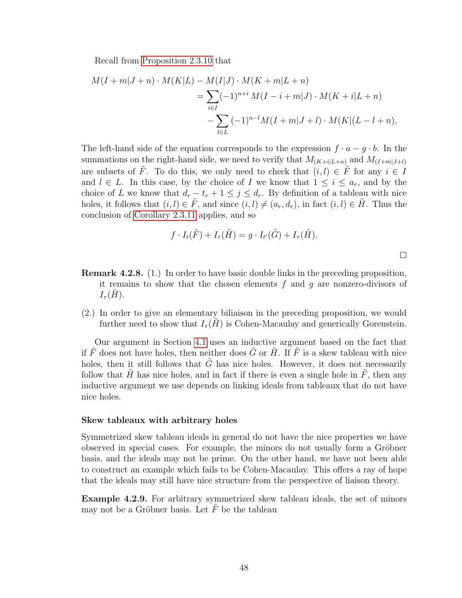Recall from [Proposition 2.3.10](#page-17-0) that

$$
M(I+m|J+n) \cdot M(K|L) - M(I|J) \cdot M(K+m|L+n)
$$
  
= 
$$
\sum_{i \in I} (-1)^{n+i} M(I-i+m|J) \cdot M(K+i|L+n)
$$
  
- 
$$
\sum_{l \in L} (-1)^{n-l} M(I+m|J+l) \cdot M(K|(L-l+n),
$$

The left-hand side of the equation corresponds to the expression  $f \cdot a - g \cdot b$ . In the summations on the right-hand side, we need to verify that  $M_{(K+i|L+n)}$  and  $M_{(I+m|J+l)}$ are subsets of  $\tilde{F}$ . To do this, we only need to check that  $(i, l) \in \tilde{F}$  for any  $i \in I$ and  $l \in L$ . In this case, by the choice of I we know that  $1 \leq i \leq a_r$ , and by the choice of L we know that  $d_r - t_r + 1 \leq j \leq d_r$ . By definition of a tableau with nice holes, it follows that  $(i, l) \in \mathring{F}$ , and since  $(i, l) \neq (a_r, d_r)$ , in fact  $(i, l) \in \mathring{H}$ . Thus the conclusion of [Corollary 2.3.11](#page-18-0) applies, and so

$$
f \cdot I_t(\tilde{F}) + I_\tau(\tilde{H}) = g \cdot I_{t'}(\tilde{G}) + I_\tau(\tilde{H}).
$$

 $\Box$ 

- Remark 4.2.8. (1.) In order to have basic double links in the preceding proposition, it remains to show that the chosen elements  $f$  and  $g$  are nonzero-divisors of  $I_{\tau}(H)$ .
- (2.) In order to give an elementary biliaison in the preceding proposition, we would further need to show that  $I_{\tau}(H)$  is Cohen-Macaulay and generically Gorenstein.

Our argument in Section [4.1](#page-39-1) uses an inductive argument based on the fact that if  $\tilde{F}$  does not have holes, then neither does  $\tilde{G}$  or  $\tilde{H}$ . If  $\tilde{F}$  is a skew tableau with nice holes, then it still follows that  $\tilde{G}$  has nice holes. However, it does not necessarily follow that  $\tilde{H}$  has nice holes, and in fact if there is even a single hole in  $\tilde{F}$ , then any inductive argument we use depends on linking ideals from tableaux that do not have nice holes.

## Skew tableaux with arbitrary holes

Symmetrized skew tableau ideals in general do not have the nice properties we have observed in special cases. For example, the minors do not usually form a Gröbner basis, and the ideals may not be prime. On the other hand, we have not been able to construct an example which fails to be Cohen-Macaulay. This offers a ray of hope that the ideals may still have nice structure from the perspective of liaison theory.

Example 4.2.9. For arbitrary symmetrized skew tableau ideals, the set of minors may not be a Gröbner basis. Let  $F$  be the tableau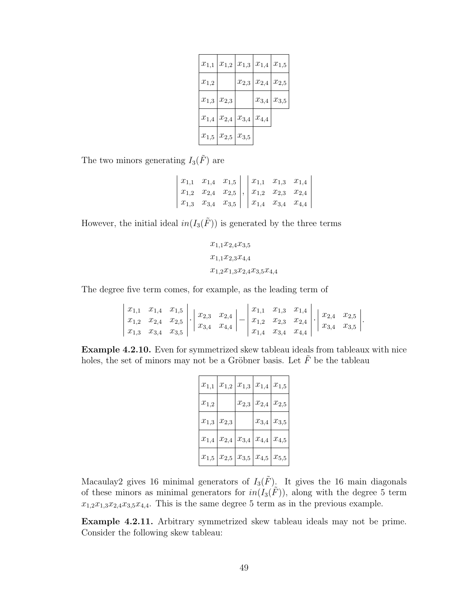|                        |                                   | $x_{1,1}   x_{1,2}   x_{1,3}   x_{1,4}   x_{1,5}$ |                               |  |
|------------------------|-----------------------------------|---------------------------------------------------|-------------------------------|--|
| $\boldsymbol{x}_{1,2}$ |                                   |                                                   | $x_{2,3}$ $x_{2,4}$ $x_{2,5}$ |  |
| $x_{1,3}$   $x_{2,3}$  |                                   |                                                   | $x_{3,4}$   $x_{3,5}$         |  |
|                        |                                   | $x_{1,4} x_{2,4} x_{3,4} x_{4,4}$                 |                               |  |
|                        | $x_{1,5}$   $x_{2,5}$   $x_{3,5}$ |                                                   |                               |  |

The two minors generating  $I_3(\tilde{F})$  are

|  |  |  | $\begin{vmatrix} x_{1,1} & x_{1,4} & x_{1,5} \\ x_{1,2} & x_{2,4} & x_{2,5} \\ x_{1,3} & x_{3,4} & x_{3,5} \end{vmatrix}, \begin{vmatrix} x_{1,1} & x_{1,3} & x_{1,4} \\ x_{1,2} & x_{2,3} & x_{2,4} \\ x_{1,4} & x_{3,4} & x_{4,4} \end{vmatrix}$ |
|--|--|--|----------------------------------------------------------------------------------------------------------------------------------------------------------------------------------------------------------------------------------------------------|
|  |  |  |                                                                                                                                                                                                                                                    |
|  |  |  |                                                                                                                                                                                                                                                    |

However, the initial ideal  $in(I_3(\tilde{F}))$  is generated by the three terms

$$
\begin{array}{l} x_{1,1} x_{2,4} x_{3,5} \\ x_{1,1} x_{2,3} x_{4,4} \\ x_{1,2} x_{1,3} x_{2,4} x_{3,5} x_{4,4} \end{array}
$$

The degree five term comes, for example, as the leading term of

$$
\begin{vmatrix} x_{1,1} & x_{1,4} & x_{1,5} \ x_{1,2} & x_{2,4} & x_{2,5} \ x_{1,3} & x_{3,4} & x_{3,5} \end{vmatrix} \cdot \begin{vmatrix} x_{2,3} & x_{2,4} \ x_{3,4} & x_{4,4} \end{vmatrix} = \begin{vmatrix} x_{1,1} & x_{1,3} & x_{1,4} \ x_{1,2} & x_{2,3} & x_{2,4} \ x_{1,4} & x_{3,4} & x_{4,4} \end{vmatrix} \cdot \begin{vmatrix} x_{2,4} & x_{2,5} \ x_{3,4} & x_{3,5} \end{vmatrix}.
$$

Example 4.2.10. Even for symmetrized skew tableau ideals from tableaux with nice holes, the set of minors may not be a Gröbner basis. Let  $\tilde{F}$  be the tableau

|           |                       | $x_{1,1} x_{1,2} x_{1,3} x_{1,4} x_{1,5}$         |                               |                       |
|-----------|-----------------------|---------------------------------------------------|-------------------------------|-----------------------|
| $x_{1,2}$ |                       |                                                   | $x_{2,3}$ $x_{2,4}$ $x_{2,5}$ |                       |
|           | $x_{1,3}$   $x_{2,3}$ |                                                   |                               | $x_{3,4}$   $x_{3,5}$ |
|           |                       | $x_{1,4}$ $x_{2,4}$ $x_{3,4}$ $x_{4,4}$ $x_{4,5}$ |                               |                       |
|           |                       | $x_{1,5}$ $x_{2,5}$ $x_{3,5}$ $x_{4,5}$ $x_{5,5}$ |                               |                       |

Macaulay2 gives 16 minimal generators of  $I_3(\tilde{F})$ . It gives the 16 main diagonals of these minors as minimal generators for  $in(I_3(\tilde{F}))$ , along with the degree 5 term  $x_{1,2}x_{1,3}x_{2,4}x_{3,5}x_{4,4}$ . This is the same degree 5 term as in the previous example.

Example 4.2.11. Arbitrary symmetrized skew tableau ideals may not be prime. Consider the following skew tableau: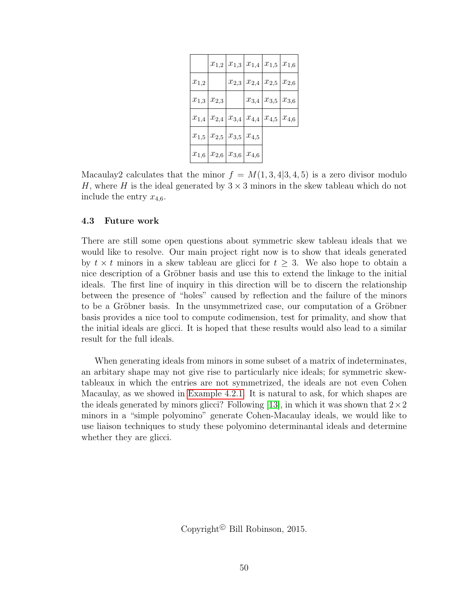|           |                       | $x_{1,2} x_{1,3} x_{1,4} x_{1,5} x_{1,6}$          |                                         |                                   |  |
|-----------|-----------------------|----------------------------------------------------|-----------------------------------------|-----------------------------------|--|
| $x_{1,2}$ |                       |                                                    | $x_{2,3}$ $x_{2,4}$ $x_{2,5}$ $x_{2,6}$ |                                   |  |
|           | $x_{1,3}$   $x_{2,3}$ |                                                    |                                         | $x_{3,4}$   $x_{3,5}$   $x_{3,6}$ |  |
|           |                       | $x_{1,4} x_{2,4} x_{3,4} x_{4,4} x_{4,5} x_{4,6} $ |                                         |                                   |  |
|           |                       | $x_{1,5}$ $x_{2,5}$ $x_{3,5}$ $x_{4,5}$            |                                         |                                   |  |
|           |                       | $x_{1,6}$   $x_{2,6}$   $x_{3,6}$   $x_{4,6}$      |                                         |                                   |  |

Macaulay2 calculates that the minor  $f = M(1, 3, 4|3, 4, 5)$  is a zero divisor modulo H, where H is the ideal generated by  $3 \times 3$  minors in the skew tableau which do not include the entry  $x_{4,6}$ .

## <span id="page-57-0"></span>4.3 Future work

There are still some open questions about symmetric skew tableau ideals that we would like to resolve. Our main project right now is to show that ideals generated by  $t \times t$  minors in a skew tableau are glicci for  $t \geq 3$ . We also hope to obtain a nice description of a Gröbner basis and use this to extend the linkage to the initial ideals. The first line of inquiry in this direction will be to discern the relationship between the presence of "holes" caused by reflection and the failure of the minors to be a Gröbner basis. In the unsymmetrized case, our computation of a Gröbner basis provides a nice tool to compute codimension, test for primality, and show that the initial ideals are glicci. It is hoped that these results would also lead to a similar result for the full ideals.

When generating ideals from minors in some subset of a matrix of indeterminates, an arbitary shape may not give rise to particularly nice ideals; for symmetric skewtableaux in which the entries are not symmetrized, the ideals are not even Cohen Macaulay, as we showed in [Example 4.2.1.](#page-48-2) It is natural to ask, for which shapes are the ideals generated by minors glicci? Following [\[13\]](#page-58-14), in which it was shown that  $2\times 2$ minors in a "simple polyomino" generate Cohen-Macaulay ideals, we would like to use liaison techniques to study these polyomino determinantal ideals and determine whether they are glicci.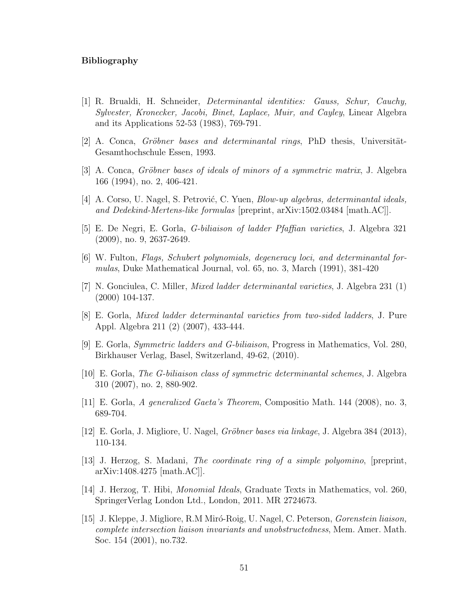## Bibliography

- <span id="page-58-11"></span><span id="page-58-0"></span>[1] R. Brualdi, H. Schneider, Determinantal identities: Gauss, Schur, Cauchy, Sylvester, Kronecker, Jacobi, Binet, Laplace, Muir, and Cayley, Linear Algebra and its Applications 52-53 (1983), 769-791.
- <span id="page-58-9"></span> $[2]$  A. Conca, *Gröbner bases and determinantal rings*, PhD thesis, Universität-Gesamthochschule Essen, 1993.
- <span id="page-58-5"></span>[3] A. Conca, *Gröbner bases of ideals of minors of a symmetric matrix*, J. Algebra 166 (1994), no. 2, 406-421.
- <span id="page-58-4"></span>[4] A. Corso, U. Nagel, S. Petrović, C. Yuen, *Blow-up algebras, determinantal ideals*, and Dedekind-Mertens-like formulas [preprint, arXiv:1502.03484 [math.AC]].
- <span id="page-58-6"></span>[5] E. De Negri, E. Gorla, G-biliaison of ladder Pfaffian varieties, J. Algebra 321 (2009), no. 9, 2637-2649.
- [6] W. Fulton, Flags, Schubert polynomials, degeneracy loci, and determinantal formulas, Duke Mathematical Journal, vol. 65, no. 3, March (1991), 381-420
- <span id="page-58-12"></span>[7] N. Gonciulea, C. Miller, Mixed ladder determinantal varieties, J. Algebra 231 (1) (2000) 104-137.
- <span id="page-58-7"></span>[8] E. Gorla, Mixed ladder determinantal varieties from two-sided ladders, J. Pure Appl. Algebra 211 (2) (2007), 433-444.
- <span id="page-58-10"></span>[9] E. Gorla, Symmetric ladders and G-biliaison, Progress in Mathematics, Vol. 280, Birkhauser Verlag, Basel, Switzerland, 49-62, (2010).
- <span id="page-58-8"></span>[10] E. Gorla, The G-biliaison class of symmetric determinantal schemes, J. Algebra 310 (2007), no. 2, 880-902.
- <span id="page-58-2"></span>[11] E. Gorla, A generalized Gaeta's Theorem, Compositio Math. 144 (2008), no. 3, 689-704.
- <span id="page-58-3"></span>[12] E. Gorla, J. Migliore, U. Nagel, *Gröbner bases via linkage*, J. Algebra 384 (2013), 110-134.
- <span id="page-58-14"></span>[13] J. Herzog, S. Madani, The coordinate ring of a simple polyomino, [preprint, arXiv:1408.4275 [math.AC]].
- <span id="page-58-13"></span>[14] J. Herzog, T. Hibi, Monomial Ideals, Graduate Texts in Mathematics, vol. 260, SpringerVerlag London Ltd., London, 2011. MR 2724673.
- <span id="page-58-1"></span>[15] J. Kleppe, J. Migliore, R.M Miró-Roig, U. Nagel, C. Peterson, *Gorenstein liaison*, complete intersection liaison invariants and unobstructedness, Mem. Amer. Math. Soc. 154 (2001), no.732.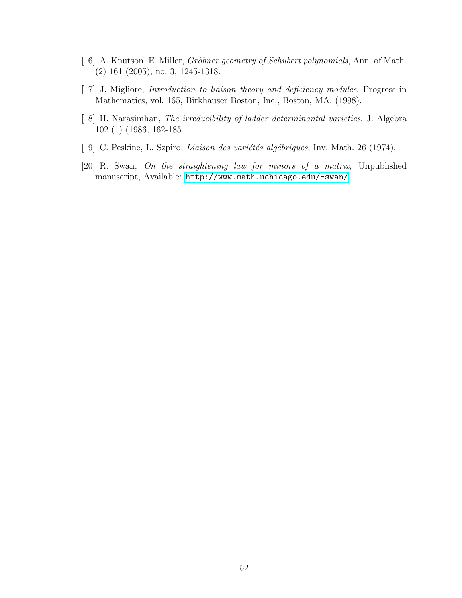- [16] A. Knutson, E. Miller, *Gröbner geometry of Schubert polynomials*, Ann. of Math. (2) 161 (2005), no. 3, 1245-1318.
- [17] J. Migliore, Introduction to liaison theory and deficiency modules, Progress in Mathematics, vol. 165, Birkhauser Boston, Inc., Boston, MA, (1998).
- [18] H. Narasimhan, The irreducibility of ladder determinantal varieties, J. Algebra 102 (1) (1986, 162-185.
- <span id="page-59-0"></span>[19] C. Peskine, L. Szpiro, *Liaison des variétés algébriques*, Inv. Math. 26 (1974).
- <span id="page-59-1"></span>[20] R. Swan, On the straightening law for minors of a matrix, Unpublished manuscript, Available: <http://www.math.uchicago.edu/~swan/>.